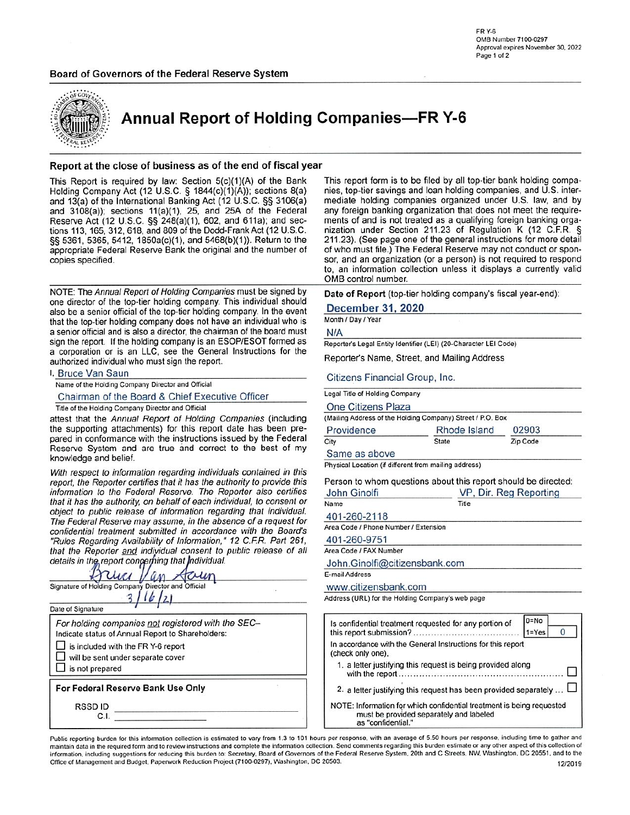# Board of Governors of the Federal Reserve System



**Annual Report of Holding Companies-FR Y-6** 

### Report at the close of business as of the end of fiscal year

This Report is required by law: Section 5(c)(1)(A) of the Bank Holding Company Act (12 U.S.C. § 1844(c)(1)(A)); sections 8(a) and 13(a) of the International Banking Act (12 U.S.C. §§ 3106(a) and 3108(a)); sections 11(a)(1), 25, and 25A of the Federal Reserve Act (12 U.S.C. §§ 248(a)(1), 602, and 611a); and sections 113, 165, 312, 618, and 809 of the Dodd-Frank Act (12 U.S.C. §§ 5361, 5365, 5412, 1850a(c)(1), and 5468(b)(1)). Return to the appropriate Federal Reserve Bank the original and the number of copies specified.

NOTE: The Annual Report of Holding Companies must be signed by one director of the top-tier holding company. This individual should also be a senior official of the top-tier holding company. In the event that the top-tier holding company does not have an individual who is a senior official and is also a director, the chairman of the board must sign the report. If the holding company is an ESOP/ESOT formed as a corporation or is an LLC, see the General Instructions for the authorized individual who must sign the report.

I. Bruce Van Saun

Name of the Holding Company Director and Official

Chairman of the Board & Chief Executive Officer

Title of the Holding Company Director and Official

attest that the Annual Report of Holding Companies (including the supporting attachments) for this report date has been prepared in conformance with the instructions issued by the Federal Reserve System and are true and correct to the best of my knowledge and belief.

With respect to information regarding individuals contained in this report, the Reporter certifies that it has the authority to provide this information to the Federal Reserve. The Reporter also certifies that it has the authority, on behalf of each individual, to consent or object to public release of information regarding that individual. The Federal Reserve may assume, in the absence of a request for confidential treatment submitted in accordance with the Board's "Rules Regarding Availability of Information," 12 C.F.R. Part 261, that the Reporter and individual consent to public release of all details in the report congerfiing that individual.

| Date of Signature                                                                                       |  |
|---------------------------------------------------------------------------------------------------------|--|
| For holding companies not registered with the SEC-<br>Indicate status of Annual Report to Shareholders: |  |
| is included with the FR Y-6 report                                                                      |  |
| will be sent under separate cover                                                                       |  |
| is not prepared                                                                                         |  |
| For Federal Reserve Bank Use Only                                                                       |  |
| RSSD ID                                                                                                 |  |
| C.I                                                                                                     |  |

This report form is to be filed by all top-tier bank holding companies, top-tier savings and loan holding companies, and U.S. intermediate holding companies organized under U.S. law, and by any foreign banking organization that does not meet the requirements of and is not treated as a qualifying foreign banking organization under Section 211.23 of Regulation K (12 C.F.R. § 211.23). (See page one of the general instructions for more detail of who must file.) The Federal Reserve may not conduct or sponsor, and an organization (or a person) is not required to respond to, an information collection unless it displays a currently valid OMB control number.

Date of Report (top-tier holding company's fiscal year-end):

**December 31, 2020** 

#### Month / Day / Year

 $N/A$ 

Reporter's Legal Entity Identifier (LEI) (20-Character LEI Code)

Reporter's Name, Street, and Mailing Address

Citizens Financial Group, Inc.

|  |  |  |  | Legal Title of Holding Company |
|--|--|--|--|--------------------------------|
|--|--|--|--|--------------------------------|

One Citizens Plaza

(Mailing Address of the Holding Company) Street / P.O. Box

| Providence    | Rhode Island | 02903    |  |
|---------------|--------------|----------|--|
| City          | State        | Zip Code |  |
| Same as above |              |          |  |

Physical Location (if different from mailing address)

Person to whom questions about this report should be directed: John Ginolfi VP, Dir. Reg Reporting

| Name                                             | Title |
|--------------------------------------------------|-------|
| 401-260-2118                                     |       |
| Area Code / Phone Number / Extension             |       |
| 401-260-9751                                     |       |
| Area Code / FAX Number                           |       |
| John.Ginolfi@citizensbank.com                    |       |
| E-mail Address                                   |       |
| www.citizensbank.com                             |       |
| Address (URL) for the Holding Company's web page |       |

| Is confidential treatment requested for any portion of                                                                                | $0 = No$<br>$1 = Yes$ |
|---------------------------------------------------------------------------------------------------------------------------------------|-----------------------|
| In accordance with the General Instructions for this report<br>(check only one).                                                      |                       |
| 1. a letter justifying this request is being provided along                                                                           |                       |
| 2. a letter justifying this request has been provided separately                                                                      |                       |
| NOTE: Information for which confidential treatment is being requested<br>must be provided separately and labeled<br>as "confidential" |                       |

Public reporting burden for this information collection is estimated to vary from 1.3 to 101 hours per response, with an average of 5.50 hours per response, including time to gather and maintain data in the required form and to review instructions and complete the information collection. Send comments regarding this burden estimate or any other aspect of this collection of information, including suggestions for reducing this burden to: Secretary, Board of Governors of the Federal Reserve System, 20th and C Streets, NW, Washington, DC 20551, and to the Office of Management and Budget, Paperwork Reduction Project (7100-0297), Washington, DC 20503. 12/2019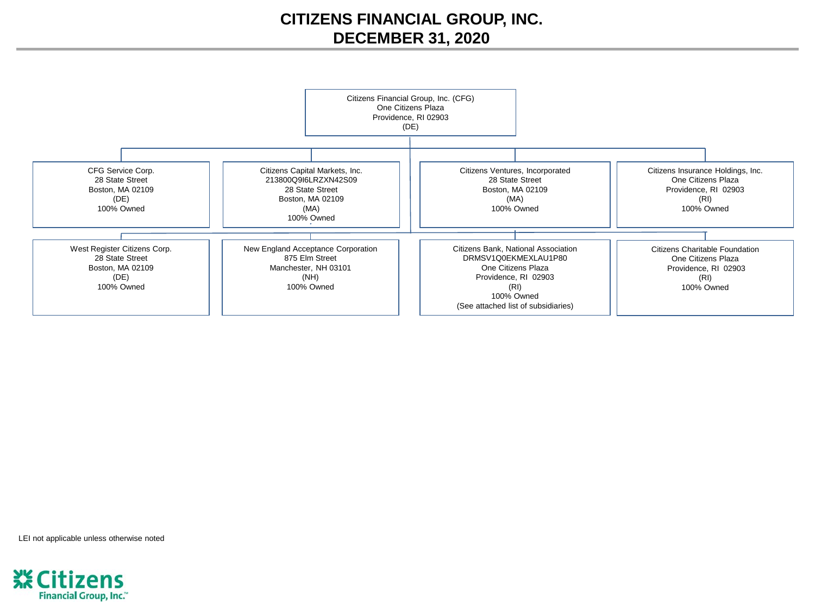# **CITIZENS FINANCIAL GROUP, INC. DECEMBER 31, 2020**



LEI not applicable unless otherwise noted

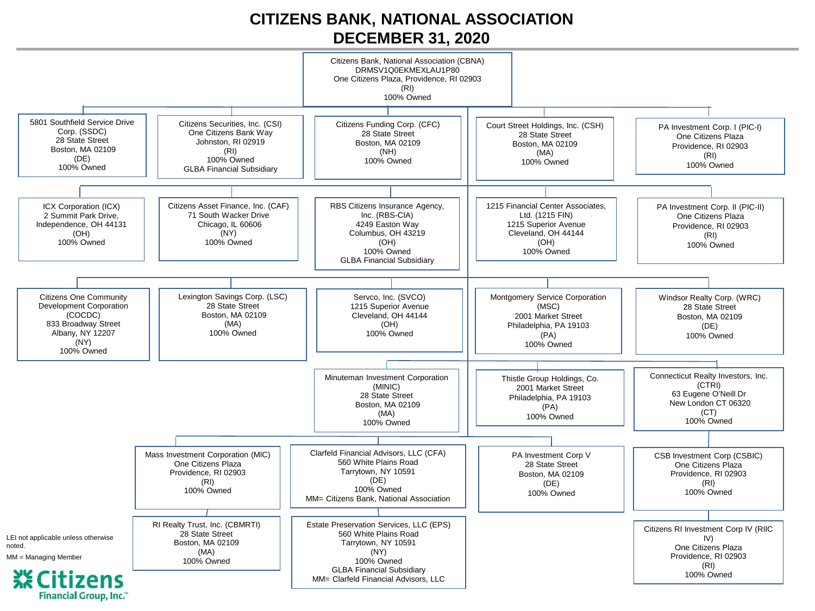# **CITIZENS BANK, NATIONAL ASSOCIATION DECEMBER 31, 2020**

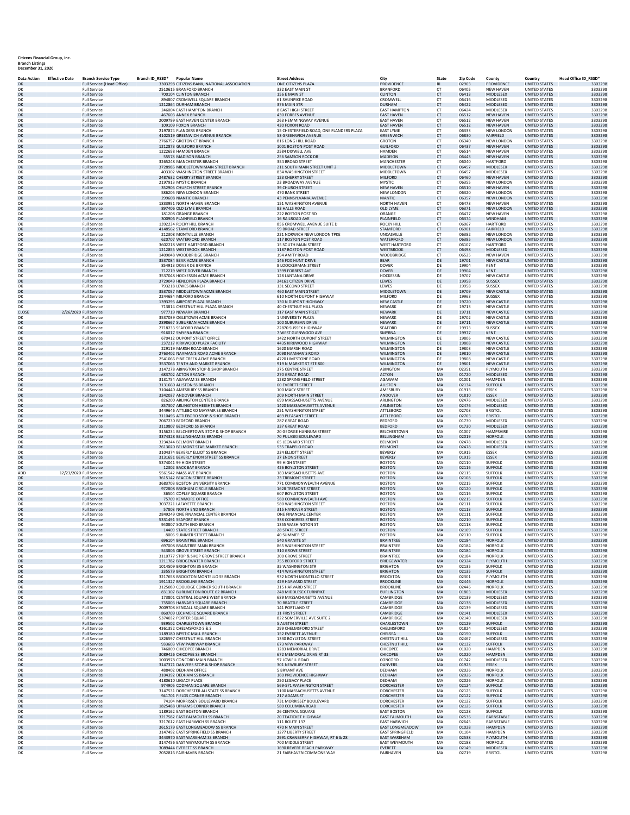# **Citizens Financial Group, Inc. Branch Listings December 31, 2020**

| <b>Data Action</b> | <b>Effective Date</b> | <b>Branch Service Type</b>                 | Branch ID_RSSD* | <b>Popular Name</b>                                                    | <b>Street Address</b>                                     | City                                       | <b>State</b>           | Zip Code       | County                           | Country                                      | Head Office ID_RSSD* |
|--------------------|-----------------------|--------------------------------------------|-----------------|------------------------------------------------------------------------|-----------------------------------------------------------|--------------------------------------------|------------------------|----------------|----------------------------------|----------------------------------------------|----------------------|
| OK                 |                       | <b>Full Service (Head Office)</b>          |                 | 3303298 CITIZENS BANK, NATIONAL ASSOCIATION                            | ONE CITIZENS PLAZA                                        | PROVIDENCE                                 | R1                     | 02903          | <b>PROVIDENCE</b>                | <b>UNITED STATES</b>                         | 3303298              |
| OK                 |                       | <b>Full Service</b>                        |                 | 2510615 BRANFORD BRANCH                                                | 332 EAST MAIN ST                                          | <b>BRANFORD</b>                            | <b>CT</b>              | 06405          | <b>NEW HAVEN</b>                 | <b>UNITED STATES</b>                         | 3303298              |
| OK                 |                       | <b>Full Service</b>                        |                 | 700104 CLINTON BRANCH                                                  | 156 E MAIN ST                                             | <b>CLINTON</b>                             | CT                     | 06413          | <b>MIDDLESEX</b>                 | <b>UNITED STATES</b>                         | 3303298              |
| OK<br>OK           |                       | <b>Full Service</b><br><b>Full Service</b> |                 | 894807 CROMWELL SQUARE BRANCH<br>1212864 DURHAM BRANCH                 | <b>61 SHUNPIKE ROAD</b><br>376 MAIN STR                   | CROMWELL<br><b>DURHAM</b>                  | <b>CT</b><br>CT        | 06416<br>06422 | MIDDLESEX<br>MIDDLESEX           | <b>UNITED STATES</b><br><b>UNITED STATES</b> | 3303298<br>3303298   |
| OK                 |                       | <b>Full Service</b>                        |                 | 246004 EAST HAMPTON BRANCH                                             | 8 EAST HIGH STREET                                        | <b>EAST HAMPTON</b>                        | CT                     | 06424          | MIDDLESEX                        | <b>UNITED STATES</b>                         | 3303298              |
| OK                 |                       | <b>Full Service</b>                        |                 | 467603 ANNEX BRANCH                                                    | <b>430 FORBES AVENUE</b>                                  | <b>EAST HAVEN</b>                          | <b>CT</b>              | 06512          | <b>NEW HAVEN</b>                 | <b>UNITED STATES</b>                         | 3303298              |
| OK                 |                       | <b>Full Service</b>                        |                 | 2009799 EAST HAVEN CENTER BRANCH                                       | 263 HEMMINGWAY AVENUE                                     | <b>EAST HAVEN</b>                          | CT                     | 06512          | <b>NEW HAVEN</b>                 | <b>UNITED STATES</b>                         | 3303298              |
| OK                 |                       | <b>Full Service</b>                        |                 | 109109 FOXON BRANCH                                                    | 430 FOXON ROAD                                            | <b>EAST HAVEN</b>                          | CT                     | 06512          | <b>NEW HAVEN</b>                 | <b>UNITED STATES</b>                         | 3303298              |
| OK                 |                       | <b>Full Service</b>                        |                 | 2197874 FLANDERS BRANCH                                                | 15 CHESTERFIELD ROAD, ONE FLANDERS PLAZA                  | <b>EAST LYME</b>                           | <b>CT</b>              | 06333          | NEW LONDON                       | <b>UNITED STATES</b>                         | 3303298              |
| OK<br>OK           |                       | <b>Full Service</b>                        |                 | 4102519 GREENWICH AVENUE BRANCH<br>2766757 GROTON CT BRANCH            | 53 GREENWICH AVENUE<br>816 LONG HILL ROAD                 | <b>GREENWICH</b><br><b>GROTON</b>          | CT                     | 06830<br>06340 | FAIRFIELD<br><b>NEW LONDON</b>   | <b>UNITED STATES</b><br><b>UNITED STATES</b> | 3303298<br>3303298   |
| OK                 |                       | <b>Full Service</b><br><b>Full Service</b> |                 | 1212873 GUILFORD BRANCH                                                | 1001 BOSTON POST ROAD                                     | <b>GUILFORD</b>                            | <b>CT</b><br><b>CT</b> | 06437          | <b>NEW HAVEN</b>                 | <b>UNITED STATES</b>                         | 3303298              |
| OK                 |                       | <b>Full Service</b>                        |                 | 1222658 HAMDEN BRANCH                                                  | 2584 DIXWELL AVE                                          | HAMDEN                                     | CT                     | 06514          | <b>NEW HAVEN</b>                 | <b>UNITED STATES</b>                         | 3303298              |
| OK                 |                       | <b>Full Service</b>                        |                 | 55578 MADISON BRANCH                                                   | 256 SAMSON ROCK DR                                        | MADISON                                    | <b>CT</b>              | 06443          | <b>NEW HAVEN</b>                 | <b>UNITED STATES</b>                         | 3303298              |
| OK                 |                       | <b>Full Service</b>                        |                 | 3265248 MANCHESTER BRANCH                                              | 354 BROAD STREET                                          | MANCHESTER                                 | <b>CT</b>              | 06040          | <b>HARTFORD</b>                  | <b>UNITED STATES</b>                         | 3303298              |
| OK                 |                       | <b>Full Service</b>                        |                 | 3728985 MIDDLETOWN MAIN STREET BRANCH                                  | 211 SOUTH MAIN STREET UNIT 2                              | MIDDLETOWN                                 | CT                     | 06457          | MIDDLESEX                        | <b>UNITED STATES</b>                         | 3303298              |
| OK                 |                       | <b>Full Service</b>                        |                 | 403302 WASHINGTON STREET BRANCH                                        | 834 WASHINGTON STREET                                     | MIDDLETOWN                                 | CT                     | 06457          | MIDDLESEX                        | <b>UNITED STATES</b>                         | 3303298              |
| OK<br>OK           |                       | <b>Full Service</b><br><b>Full Service</b> |                 | 2487632 CHERRY STREET BRANCH<br>2197913 MYSTIC BRANCH                  | 123 CHERRY STREET<br>23 BROADWAY AVENUE                   | MILFORD<br>MYSTIC                          | CT<br>CT               | 06460<br>06355 | <b>NEW HAVEN</b><br>NEW LONDON   | <b>UNITED STATES</b><br><b>UNITED STATES</b> | 3303298<br>3303298   |
| OK                 |                       | <b>Full Service</b>                        |                 | 352905 CHURCH STREET BRANCH                                            | <b>39 CHURCH STREET</b>                                   | <b>NEW HAVEN</b>                           | <b>CT</b>              | 06510          | <b>NEW HAVEN</b>                 | <b>UNITED STATES</b>                         | 3303298              |
| OK                 |                       | <b>Full Service</b>                        |                 | 586205 NEW LONDON BRANCH                                               | 470 BANK STREET                                           | <b>NEW LONDON</b>                          | CT                     | 06320          | NEW LONDON                       | <b>UNITED STATES</b>                         | 330329               |
| OK                 |                       | <b>Full Service</b>                        |                 | 299608 NIANTIC BRANCH                                                  | 43 PENNSYLVANIA AVENUE                                    | <b>NIANTIC</b>                             | CT                     | 06357          | <b>NEW LONDON</b>                | <b>UNITED STATES</b>                         | 3303298              |
| OK                 |                       | <b>Full Service</b>                        |                 | 1833951 NORTH HAVEN BRANCH                                             | 151 WASHINGTON AVENUE                                     | NORTH HAVEN                                | <b>CT</b>              | 06473          | <b>NEW HAVEN</b>                 | UNITED STATES                                | 3303298              |
| OK                 |                       | <b>Full Service</b>                        |                 | 897406 OLD LYME BRANCH                                                 | 83 HALLS ROAD                                             | <b>OLD LYME</b>                            | CT                     | 06371          | <b>NEW LONDON</b>                | <b>UNITED STATES</b>                         | 3303298              |
| OK<br>OK           |                       | <b>Full Service</b><br><b>Full Service</b> |                 | 181208 ORANGE BRANCH<br>300906 PLAINFIELD BRANCH                       | 222 BOSTON POST RD<br>16 RAILROAD AVE                     | ORANGE<br>PLAINFIELD                       | <b>CT</b><br>CT        | 06477<br>06374 | <b>NEW HAVEN</b><br>WINDHAM      | <b>UNITED STATES</b><br><b>UNITED STATES</b> | 3303298<br>3303298   |
| OK                 |                       | <b>Full Service</b>                        |                 | 1392234 ROCKY HILL BRANCH                                              | 856 CROMWELL AVENUE SUITE D                               | <b>ROCKY HILL</b>                          | CT                     | 06067          | HARTFORD                         | <b>UNITED STATES</b>                         | 3303298              |
| OK                 |                       | <b>Full Service</b>                        |                 | 4148562 STAMFORD BRANCH                                                | 59 BROAD STREET                                           | <b>STAMFORD</b>                            | <b>CT</b>              | 06901          | FAIRFIELD                        | <b>UNITED STATES</b>                         | 3303298              |
| OK                 |                       | <b>Full Service</b>                        |                 | 212308 MONTVILLE BRANCH                                                | 221 NORWICH NEW LONDON TPKE                               | UNCASVILLE                                 | CT                     | 06382          | NEW LONDON                       | <b>UNITED STATES</b>                         | 3303298              |
| OK                 |                       | <b>Full Service</b>                        |                 | 620707 WATERFORD BRANCH                                                | 117 BOSTON POST ROAD                                      | WATERFORD                                  | CT                     | 06385          | NEW LONDON                       | <b>UNITED STATES</b>                         | 3303298              |
| OK                 |                       | <b>Full Service</b>                        |                 | 3602218 WEST HARTFORD BRANCH                                           | <b>15 SOUTH MAIN STREET</b>                               | <b>WEST HARTFORD</b>                       | <b>CT</b>              | 06107          | <b>HARTFORD</b>                  | <b>UNITED STATES</b>                         | 3303298              |
| OK                 |                       | <b>Full Service</b>                        |                 | 1212855 WESTBROOK BRANCH                                               | 1187 BOSTON POST ROAD                                     | WESTBROOK                                  | CT                     | 06498          | MIDDLESEX                        | <b>UNITED STATES</b>                         | 3303298              |
| OK<br>OK           |                       | <b>Full Service</b><br><b>Full Service</b> |                 | 1409048 WOODBRIDGE BRANCH<br>3537084 BEAR ACME BRANCH                  | 194 AMITY ROAD<br><b>146 FOX HUNT DRIVE</b>               | WOODBRIDGE<br><b>BEAR</b>                  | CT<br>DE               | 06525<br>19701 | <b>NEW HAVEN</b><br>NEW CASTLE   | <b>UNITED STATES</b><br><b>UNITED STATES</b> | 3303298<br>3303298   |
| OK                 |                       | <b>Full Service</b>                        |                 | 854913 DOVER DE BRANCH                                                 | 8 LOOCKERMAN STREET                                       | DOVER                                      | DE                     | 19904          | <b>KENT</b>                      | <b>UNITED STATES</b>                         | 3303298              |
| OK                 |                       | <b>Full Service</b>                        |                 | 712219 WEST DOVER BRANCH                                               | 1399 FORREST AVE                                          | <b>DOVER</b>                               | DE                     | 19904          | <b>KENT</b>                      | <b>UNITED STATES</b>                         | 3303298              |
| OK                 |                       | <b>Full Service</b>                        |                 | 3537048 HOCKESSIN ACME BRANCH                                          | 128 LANTANA DRIVE                                         | HOCKESSIN                                  | DE                     | 19707          | NEW CASTLE                       | <b>UNITED STATES</b>                         | 3303298              |
| OK                 |                       | <b>Full Service</b>                        |                 | 3729049 HENLOPEN PLAZA BRANCH                                          | 34161 CITIZEN DRIVE                                       | LEWES                                      | DE                     | 19958          | <b>SUSSEX</b>                    | <b>UNITED STATES</b>                         | 3303298              |
| OK                 |                       | <b>Full Service</b>                        |                 | 793218 LEWES BRANCH                                                    | 131 SECOND STREET                                         | LEWES                                      | DE                     | 19958          | SUSSEX                           | <b>UNITED STATES</b>                         | 3303298              |
| OK<br>OK           |                       | <b>Full Service</b><br><b>Full Service</b> |                 | 3537057 MIDDLETOWN ACME BRANCH<br>2244684 MILFORD BRANCH               | 460 EAST MAIN STREET<br>610 NORTH DUPONT HIGHWAY          | MIDDLETOWN<br>MILFORD                      | DE<br>DE               | 19709<br>19963 | NEW CASTLE<br><b>SUSSEX</b>      | <b>UNITED STATES</b><br><b>UNITED STATES</b> | 3303298<br>3303298   |
| OK                 |                       | <b>Full Service</b>                        |                 | 1393295 AIRPORT PLAZA BRANCH                                           | 130 N DUPONT HIGHWAY                                      | <b>NEW CASTLE</b>                          | DE                     | 19720          | <b>NEW CASTLE</b>                | <b>UNITED STATES</b>                         | 3303298              |
| OK                 |                       | <b>Full Service</b>                        |                 | 713814 CHESTNUT HILL PLAZA BRANCH                                      | 40 CHESTNUT HILL PLAZA                                    | NEWARK                                     | DE                     | 19713          | NEW CASTLE                       | <b>UNITED STATES</b>                         | 3303298              |
| CLOSE              |                       | 2/26/2020 Full Service                     |                 | 977719 NEWARK BRANCH                                                   | 117 EAST MAIN STREET                                      | NEWARK                                     | DE                     | 19711          | <b>NEW CASTLE</b>                | <b>UNITED STATES</b>                         | 3303298              |
| OK                 |                       | <b>Full Service</b>                        |                 | 3537039 OGLETOWN ACME BRANCH                                           | 1 UNIVERSITY PLAZA                                        | NEWARK                                     | DE                     | 19702          | <b>NEW CASTLE</b>                | <b>UNITED STATES</b>                         | 3303298              |
| OK                 |                       | <b>Full Service</b>                        |                 | 2898667 SUBURBAN ACME BRANCH                                           | 100 SUBURBAN DRIVE                                        | NEWARK                                     | DE                     | 19711          | <b>NEW CASTLE</b>                | <b>UNITED STATES</b>                         | 3303298              |
| OK                 |                       | <b>Full Service</b>                        |                 | 2718233 SEAFORD BRANCH                                                 | 22870 SUSSEX HIGHWAY                                      | SEAFORD<br><b>SMYRNA</b>                   | DE<br>DE               | 19973          | SUSSEX                           | <b>UNITED STATES</b>                         | 3303298              |
| OK<br>OK           |                       | <b>Full Service</b><br><b>Full Service</b> |                 | 916017 SMYRNA BRANCH<br>670412 DUPONT STREET OFFICE                    | 7 WEST GLENWOOD AVE<br>1422 NORTH DUPONT STREET           | WILMINGTON                                 | DE                     | 19977<br>19806 | <b>KENT</b><br><b>NEW CASTLE</b> | <b>UNITED STATES</b><br><b>UNITED STATES</b> | 3303298<br>3303298   |
| OK                 |                       | <b>Full Service</b>                        |                 | 237217 KIRKWOOD PLAZA FACILITY                                         | 4435 KIRKWOOD HIGHWAY                                     | WILMINGTON                                 | DE                     | 19808          | <b>NEW CASTLE</b>                | <b>UNITED STATES</b>                         | 3303298              |
| OK                 |                       | <b>Full Service</b>                        |                 | 229119 MARSH ROAD BRANCH                                               | 1620 MARSH ROAD                                           | WILMINGTON                                 | DE                     | 19803          | NEW CASTLE                       | <b>UNITED STATES</b>                         | 3303298              |
| OK                 |                       | <b>Full Service</b>                        |                 | 2763402 NAAMAN'S ROAD ACME BRANCH                                      | 2098 NAAMAN'S ROAD                                        | <b>WILMINGTON</b>                          | DE                     | 19810          | <b>NEW CASTLE</b>                | <b>UNITED STATES</b>                         | 3303298              |
| OK                 |                       | <b>Full Service</b>                        |                 | 2541066 PINE CREEK ACME BRANCH                                         | 4720 LIMESTONE ROAD                                       | WILMINGTON                                 | DE                     | 19808          | NEW CASTLE                       | <b>UNITED STATES</b>                         | 3303298              |
| OK                 |                       | <b>Full Service</b>                        |                 | 3537066 TENTH AND MARKET BRANCH<br>3147278 ABINGTON STOP & SHOP BRANCH | 919 N MARKET ST STE 800                                   | WILMINGTON                                 | DE                     | 19801          | <b>NEW CASTLE</b>                | <b>UNITED STATES</b>                         | 3303298              |
| OK<br>OK           |                       | <b>Full Service</b><br><b>Full Service</b> |                 | 683702 ACTON BRANCH                                                    | 375 CENTRE STREET<br>270 GREAT ROAD                       | ABINGTON<br><b>ACTON</b>                   | MA<br>MA               | 02351<br>01720 | PLYMOUTH<br><b>MIDDLESEX</b>     | <b>UNITED STATES</b><br><b>UNITED STATES</b> | 3303298<br>3303298   |
| OK                 |                       | <b>Full Service</b>                        |                 | 3131754 AGAWAM SS BRANCH                                               | 1282 SPRINGFIELD STREET                                   | AGAWAM                                     | MA                     | 01001          | <b>HAMPDEN</b>                   | <b>UNITED STATES</b>                         | 3303298              |
| OK                 |                       | <b>Full Service</b>                        |                 | 3131660 ALLSTON SS BRANCH                                              | 60 EVERETT STREET                                         | <b>ALLSTON</b>                             | MA                     | 02134          | <b>SUFFOLK</b>                   | <b>UNITED STATES</b>                         | 3303298              |
| OK                 |                       | <b>Full Service</b>                        |                 | 3104440 AMESBURY SS BRANCH                                             | 100 MACY STREET                                           | AMESBURY                                   | MA                     | 01913          | <b>ESSEX</b>                     | <b>UNITED STATES</b>                         | 3303298              |
| OK                 |                       | <b>Full Service</b>                        |                 | 3342037 ANDOVER BRANCH                                                 | 209 NORTH MAIN STREET                                     | ANDOVER                                    | MA                     | 01810          | ESSEX                            | <b>UNITED STATES</b>                         | 3303298              |
| OK                 |                       | <b>Full Service</b>                        |                 | 826200 ARLINGTON CENTER BRANCH                                         | 699 MASSACHUSETTS AVENUE                                  | ARLINGTON                                  | MA                     | 02476          | MIDDLESEX                        | <b>UNITED STATES</b>                         | 3303298              |
| OK<br>OK           |                       | <b>Full Service</b><br><b>Full Service</b> |                 | 857307 ARLINGTON HEIGHTS BRANCH<br>3449646 ATTLEBORO MAYFAIR SS BRANCH | 1420 MASSACHUSETTS AVENUE<br>251 WASHINGTON STREET        | <b>ARLINGTON</b><br>ATTLEBORO              | MA<br>MA               | 02476<br>02703 | MIDDLESEX<br><b>BRISTOL</b>      | <b>UNITED STATES</b><br><b>UNITED STATES</b> | 3303298<br>3303298   |
| OK                 |                       | <b>Full Service</b>                        |                 | 3110496 ATTLEBORO STOP & SHOP BRANCH                                   | 469 PLEASANT STREET                                       | <b>ATTLEBORO</b>                           | MA                     | 02703          | <b>BRISTOL</b>                   | <b>UNITED STATES</b>                         | 3303298              |
| OK                 |                       | <b>Full Service</b>                        |                 | 2067230 BEDFORD BRANCH                                                 | 287 GREAT ROAD                                            | <b>BEDFORD</b>                             | MA                     | 01730          | MIDDLESEX                        | <b>UNITED STATES</b>                         | 3303298              |
| OK                 |                       | <b>Full Service</b>                        |                 | 3110807 BEDFORD SS BRANCH                                              | 337 GREAT ROAD                                            | <b>BEDFORD</b>                             | MA                     | 01730          | MIDDLESEX                        | <b>UNITED STATES</b>                         | 3303298              |
| OK                 |                       | <b>Full Service</b>                        |                 | 3156234 BELCHERTOWN STOP & SHOP BRANCH                                 | 20 GEORGE HANNUM STREET                                   | <b>BELCHERTOWN</b>                         | MA                     | 01007          | <b>HAMPSHIRE</b>                 | <b>UNITED STATES</b>                         | 3303298              |
| OK                 |                       | <b>Full Service</b>                        |                 | 3374328 BELLINGHAM SS BRANCH                                           | 70 PULASKI BOULEVARD                                      | <b>BELLINGHAM</b>                          | MA                     | 02019          | <b>NORFOLK</b>                   | <b>UNITED STATES</b>                         | 3303298              |
| OK                 |                       | <b>Full Service</b>                        |                 | 3234244 BELMONT BRANCH                                                 | <b>65 LEONARD STREET</b>                                  | <b>BELMONT</b>                             | MA                     | 02478          | MIDDLESEX                        | <b>UNITED STATES</b>                         | 3303298              |
| OK<br>OK           |                       | <b>Full Service</b><br><b>Full Service</b> |                 | 2613020 BELMONT STAR MARKET BRANCH<br>3104374 BEVERLY ELLIOT SS BRANCH | 535 TRAPELO ROAD<br>224 ELLIOTT STREET                    | <b>BELMONT</b><br>BEVERLY                  | MA<br>MA               | 02478<br>01915 | <b>MIDDLESEX</b><br>ESSEX        | <b>UNITED STATES</b><br><b>UNITED STATES</b> | 3303298<br>330329    |
| OK                 |                       | <b>Full Service</b>                        |                 | 3131651 BEVERLY ENON STREET SS BRANCH                                  | 37 ENON STREET                                            | <b>BEVERLY</b>                             | MA                     | 01915          | ESSEX                            | <b>UNITED STATES</b>                         | 3303298              |
| OK                 |                       | <b>Full Service</b>                        |                 | 5374041 99 HIGH STREET                                                 | 99 HIGH STREET                                            | <b>BOSTON</b>                              | MA                     | 02110          | <b>SUFFOLK</b>                   | <b>UNITED STATES</b>                         | 3303298              |
| OK                 |                       | <b>Full Service</b>                        |                 | 12302 BACK BAY BRANCH                                                  | 426 BOYLSTON STREET                                       | <b>BOSTON</b>                              | MA                     | 02116          | <b>SUFFOLK</b>                   | <b>UNITED STATES</b>                         | 3303298              |
| ADD                |                       | 12/23/2020 Full Service                    |                 | 5561542 MASS AVE BRANCH                                                | 183 MASSACHUSETTS AVE                                     | <b>BOSTON</b>                              | MA                     | 02115          | <b>SUFFOLK</b>                   | <b>UNITED STATES</b>                         | 3303298              |
| OK                 |                       | <b>Full Service</b>                        |                 | 3615142 BEACON STREET BRANCH                                           | <b>73 TREMONT STREET</b>                                  | <b>BOSTON</b>                              | MA                     | 02108          | <b>SUFFOLK</b>                   | <b>UNITED STATES</b>                         | 3303298              |
| OK<br>OK           |                       | <b>Full Service</b><br><b>Full Service</b> |                 | 3683703 BOSTON UNIVERSITY BRANCH<br>972808 BRIGHAM CIRCLE BRANCH       | 771 COMMONWEALTH AVENUE<br>1628 TREMONT STREET            | <b>BOSTON</b><br><b>BOSTON</b>             | MA<br>MA               | 02215<br>02120 | <b>SUFFOLK</b><br><b>SUFFOLK</b> | <b>UNITED STATES</b><br><b>UNITED STATES</b> | 3303298<br>3303298   |
| OK                 |                       | <b>Full Service</b>                        |                 | 36504 COPLEY SQUARE BRANCH                                             | 607 BOYLSTON STREET                                       | <b>BOSTON</b>                              | MA                     | 02116          | <b>SUFFOLK</b>                   | <b>UNITED STATES</b>                         | 3303298              |
| OK                 |                       | <b>Full Service</b>                        |                 | 75709 KENMORE OFFICE                                                   | 560 COMMONWEALTH AVE                                      | <b>BOSTON</b>                              | MA                     | 02215          | <b>SUFFOLK</b>                   | <b>UNITED STATES</b>                         | 3303298              |
| OK                 |                       | <b>Full Service</b>                        |                 | 3037221 LAFAYETTE BRANCH                                               | 580 WASHINGTON STREET                                     | <b>BOSTON</b>                              | MA                     | 02111          | <b>SUFFOLK</b>                   | <b>UNITED STATES</b>                         | 3303298              |
| OK                 |                       | <b>Full Service</b>                        |                 | 57808 NORTH END BRANCH                                                 | 315 HANOVER STREET                                        | <b>BOSTON</b>                              | MA                     | 02113          | <b>SUFFOLK</b>                   | <b>UNITED STATES</b>                         | 3303298              |
| OK                 |                       | <b>Full Service</b>                        |                 | 2849249 ONE FINANCIAL CENTER BRANCH                                    | ONE FINANCIAL CENTER                                      | <b>BOSTON</b>                              | MA                     | 02111          | <b>SUFFOLK</b>                   | <b>UNITED STATES</b>                         | 3303298              |
| OK                 |                       | <b>Full Service</b>                        |                 | 5331491 SEAPORT BRANCH                                                 | <b>338 CONGRESS STREET</b>                                | <b>BOSTON</b>                              | MA                     | 02210          | <b>SUFFOLK</b>                   | <b>UNITED STATES</b>                         | 3303298              |
| OK<br>OK           |                       | <b>Full Service</b><br><b>Full Service</b> |                 | 940807 SOUTH END BRANCH<br>14409 STATE STREET BRANCH                   | 1355 WASHINGTON ST<br><b>28 STATE STREET</b>              | <b>BOSTON</b><br><b>BOSTON</b>             | MA<br>MA               | 02118<br>02109 | <b>SUFFOLK</b><br><b>SUFFOLK</b> | <b>UNITED STATES</b><br><b>UNITED STATES</b> | 3303298<br>3303298   |
|                    |                       |                                            |                 | <b>MOR SUMMAD STREET RRANC</b>                                         | 10 SI IMMER '                                             |                                            |                        | 02110          | SLIEEOLI                         | <b>INITEI</b>                                | 3303799              |
| OK                 |                       | <b>Full Service</b>                        |                 | 696104 BRAINTREE BRANCH                                                | 540 GRANITE ST                                            | <b>BRAINTREE</b>                           | MA                     | 02184          | <b>NORFOLK</b>                   | <b>UNITED STATES</b>                         | 3303298              |
| OK                 |                       | <b>Full Service</b>                        |                 | 697008 BRAINTREE MAIN BRANCH                                           | <b>865 WASHINGTON STREET</b>                              | <b>BRAINTREE</b>                           | MA                     | 02184          | NORFOLK                          | <b>UNITED STATES</b>                         | 3303298              |
| OK                 |                       | <b>Full Service</b>                        |                 | 543806 GROVE STREET BRANCH                                             | 310 GROVE STREET                                          | <b>BRAINTREE</b>                           | MA                     | 02184          | <b>NORFOLK</b>                   | <b>UNITED STATES</b>                         | 3303298              |
| OK<br>OK           |                       | <b>Full Service</b><br><b>Full Service</b> |                 | 3110777 STOP & SHOP GROVE STREET BRANCH<br>1211782 BRIDGEWATER BRANCH  | 300 GROVE STREET<br><b>755 BEDFORD STREET</b>             | <b>BRAINTREE</b><br>BRIDGEWATER            | MA<br>MA               | 02184<br>02324 | NORFOLK<br>PLYMOUTH              | <b>UNITED STATES</b><br><b>UNITED STATES</b> | 3303298<br>3303298   |
| OK                 |                       | <b>Full Service</b>                        |                 | 1014509 BRIGHTON 35 BRANCH                                             | 35 WASHINGTON STR                                         | <b>BRIGHTON</b>                            | MA                     | 02135          | <b>SUFFOLK</b>                   | <b>UNITED STATES</b>                         | 3303298              |
| OK                 |                       | <b>Full Service</b>                        |                 | 335579 BRIGHTON BRANCH                                                 | 414 WASHINGTON STREET                                     | <b>BRIGHTON</b>                            | MA                     | 02135          | <b>SUFFOLK</b>                   | <b>UNITED STATES</b>                         | 3303298              |
| OK                 |                       | <b>Full Service</b>                        |                 | 3217658 BROCKTON MONTELLO SS BRANCH                                    | 932 NORTH MONTELLO STREET                                 | <b>BROCKTON</b>                            | MA                     | 02301          | PLYMOUTH                         | UNITED STATES                                | 3303298              |
| OK                 |                       | <b>Full Service</b>                        |                 | 1911327 BROOKLINE BRANCH                                               | 429 HARVARD STREET                                        | <b>BROOKLINE</b>                           | MA                     | 02446          | <b>NORFOLK</b>                   | <b>UNITED STATES</b>                         | 3303298              |
| OK                 |                       | <b>Full Service</b>                        |                 | 3125089 COOLIDGE CORNER SOUTH BRANCH                                   | 315 HARVARD STREET                                        | <b>BROOKLINE</b>                           | MA                     | 02446          | NORFOLK                          | <b>UNITED STATES</b>                         | 3303298              |
| OK<br>OK           |                       | <b>Full Service</b><br><b>Full Service</b> |                 | 831307 BURLINGTON ROUTE 62 BRANCH<br>173801 CENTRAL SQUARE WEST BRANCH | <b>248 MIDDLESEX TURNPIKE</b><br>689 MASSACHUSETTS AVENUE | <b>BURLINGTON</b><br>CAMBRIDGE             | MA<br>MA               | 01803<br>02139 | <b>MIDDLESEX</b><br>MIDDLESEX    | <b>UNITED STATES</b><br><b>UNITED STATES</b> | 3303298<br>3303298   |
| OK                 |                       | <b>Full Service</b>                        |                 | 735003 HARVARD SQUARE BRANCH                                           | <b>30 BRATTLE STREET</b>                                  | CAMBRIDGE                                  | MA                     | 02138          | <b>MIDDLESEX</b>                 | <b>UNITED STATES</b>                         | 3303298              |
| OK                 |                       | <b>Full Service</b>                        |                 | 2009708 KENDALL SQUARE BRANCH                                          | 141 PORTLAND ST                                           | CAMBRIDGE                                  | MA                     | 02139          | MIDDLESEX                        | <b>UNITED STATES</b>                         | 3303298              |
| OK                 |                       | <b>Full Service</b>                        |                 | 860709 LECHMERE SQUARE BRANCH                                          | <b>11 FIRST STREET</b>                                    | CAMBRIDGE                                  | MA                     | 02141          | <b>MIDDLESEX</b>                 | <b>UNITED STATES</b>                         | 3303298              |
| OK                 |                       | <b>Full Service</b>                        |                 | 5374032 PORTER SQUARE                                                  | 822 SOMERVILLE AVE SUITE 2                                | CAMBRIDGE                                  | MA                     | 02140          | MIDDLESEX                        | <b>UNITED STATES</b>                         | 3303298              |
| OK                 |                       | <b>Full Service</b>                        |                 | 939502 CHARLESTOWN BRANCH                                              | <b>5 AUSTIN STREET</b>                                    | CHARLESTOWN                                | MA                     | 02129          | <b>SUFFOLK</b>                   | <b>UNITED STATES</b>                         | 3303298              |
| OK                 |                       | <b>Full Service</b><br><b>Full Service</b> |                 | 4361352 CHELMSFORD S & S<br>1189180 MYSTIC MALL BRANCH                 | 299 CHELMSFORD STREET<br><b>152 EVERETT AVENUE</b>        | CHELMSFORD<br>CHELSEA                      | MA                     | 01824<br>02150 | MIDDLESEX<br><b>SUFFOLK</b>      | <b>UNITED STATES</b><br><b>UNITED STATES</b> | 3303298<br>3303298   |
| OK<br>OK           |                       | <b>Full Service</b>                        |                 | 1826597 CHESTNUT HILL BRANCH                                           | 1330 BOYLSTON STREET                                      | CHESTNUT HILL                              | MA<br>MA               | 02467          | MIDDLESEX                        | <b>UNITED STATES</b>                         | 3303298              |
| OK                 |                       | <b>Full Service</b>                        |                 | 933603 VFW PARKWAY BRANCH                                              | 673 VFW PARKWAY                                           | <b>CHESTNUT HILL</b>                       | MA                     | 02132          | <b>SUFFOLK</b>                   | <b>UNITED STATES</b>                         | 3303298              |
| OK                 |                       | <b>Full Service</b>                        |                 | 746009 CHICOPEE BRANCH                                                 | 1283 MEMORIAL DRIVE                                       | CHICOPEE                                   | MA                     | 01020          | <b>HAMPDEN</b>                   | <b>UNITED STATES</b>                         | 3303298              |
| OK                 |                       | <b>Full Service</b>                        |                 | 3089426 CHICOPEE SS BRANCH                                             | 672 MEMORIAL DRIVE RT 33                                  | CHICOPEE                                   | MA                     | 01020          | <b>HAMPDEN</b>                   | <b>UNITED STATES</b>                         | 3303298              |
| OK                 |                       | <b>Full Service</b>                        |                 | 1003978 CONCORD MAIN BRANCH                                            | 97 LOWELL ROAD                                            | CONCORD                                    | MA                     | 01742          | MIDDLESEX                        | <b>UNITED STATES</b>                         | 3303298              |
| OK                 |                       | <b>Full Service</b>                        |                 | 3147371 DANVERS STOP & SHOP BRANCH                                     | <b>301 NEWBURY STREET</b>                                 | <b>DANVERS</b>                             | MA                     | 01923          | <b>ESSEX</b>                     | <b>UNITED STATES</b>                         | 3303298              |
| OK<br>OK           |                       | <b>Full Service</b><br><b>Full Service</b> |                 | 488402 DEDHAM OFFICE<br>3104392 DEDHAM SS BRANCH                       | 5 BRYANT AVE<br><b>160 PROVIDENCE HIGHWAY</b>             | DEDHAM<br>DEDHAM                           | MA<br>MA               | 02026<br>02026 | <b>NORFOLK</b><br><b>NORFOLK</b> | <b>UNITED STATES</b><br><b>UNITED STATES</b> | 3303298<br>3303298   |
| OK                 |                       | <b>Full Service</b>                        |                 | 4180610 LEGACY PLACE                                                   | 250 LEGACY PLACE                                          | DEDHAM                                     | MA                     | 02026          | <b>NORFOLK</b>                   | UNITED STATES                                | 3303298              |
| OK                 |                       | <b>Full Service</b>                        |                 | 974905 CODMAN SQUARE BRANCH                                            | 569-571 WASHINGTON STREET                                 | <b>DORCHESTER</b>                          | MA                     | 02124          | <b>SUFFOLK</b>                   | <b>UNITED STATES</b>                         | 3303298              |
| OK                 |                       | <b>Full Service</b>                        |                 | 3147531 DORCHESTER ALLSTATE SS BRANCH                                  | 1100 MASSACHUSETTS AVENUE                                 | DORCHESTER                                 | MA                     | 02125          | <b>SUFFOLK</b>                   | <b>UNITED STATES</b>                         | 3303298              |
| OK                 |                       | <b>Full Service</b>                        |                 | 941701 FIELDS CORNER BRANCH                                            | 217 ADAMS ST                                              | <b>DORCHESTER</b>                          | MA                     | 02122          | <b>SUFFOLK</b>                   | <b>UNITED STATES</b>                         | 3303298              |
| OK                 |                       | <b>Full Service</b>                        |                 | 74104 MORRISSEY BOULEVARD BRANCH                                       | 731 MORRISSEY BOULEVARD                                   | DORCHESTER                                 | MA                     | 02122          | <b>SUFFOLK</b>                   | <b>UNITED STATES</b>                         | 3303298              |
| OK                 |                       | <b>Full Service</b>                        |                 | 1825488 UPHAMS CORNER BRANCH                                           | 580 COLUMBIA ROAD                                         | <b>DORCHESTER</b>                          | MA                     | 02125          | <b>SUFFOLK</b>                   | <b>UNITED STATES</b>                         | 3303298              |
| OK<br>OK           |                       | <b>Full Service</b><br><b>Full Service</b> |                 | 1189162 EAST BOSTON BRANCH<br>3217582 EAST FALMOUTH SS BRANCH          | 26 CENTRAL SQUARE<br>20 TEATICKET HIGHWAY                 | <b>EAST BOSTON</b><br><b>EAST FALMOUTH</b> | MA<br>MA               | 02128<br>02536 | <b>SUFFOLK</b><br>BARNSTABLE     | <b>UNITED STATES</b><br><b>UNITED STATES</b> | 3303298<br>3303298   |
| OK                 |                       | <b>Full Service</b>                        |                 | 3217612 EAST HARWICH SS BRANCH                                         | 111 ROUTE 137                                             | <b>EAST HARWICH</b>                        | MA                     | 02645          | BARNSTABLE                       | <b>UNITED STATES</b>                         | 3303298              |
| OK                 |                       | <b>Full Service</b>                        |                 | 3615179 EAST LONGMEADOW SS BRANCH                                      | 470 N MAIN STREET                                         | EAST LONGMEADOW                            | MA                     | 01028          | HAMPDEN                          | <b>UNITED STATES</b>                         | 3303298              |
| OK                 |                       | <b>Full Service</b>                        |                 | 3147492 EAST SPRINGFIELD SS BRANCH                                     | 1277 LIBERTY STREET                                       | <b>EAST SPRINGFIELD</b>                    | MA                     | 01104          | <b>HAMPDEN</b>                   | <b>UNITED STATES</b>                         | 3303298              |
| OK                 |                       | <b>Full Service</b>                        |                 | 3443970 EAST WAREHAM SS BRANCH                                         | 2991 CRANBERRY HIGHWAY, RT 6 & 28                         | <b>EAST WAREHAM</b>                        | MA                     | 02538          | PLYMOUTH                         | <b>UNITED STATES</b>                         | 3303298              |
| OK<br>OK           |                       | <b>Full Service</b><br><b>Full Service</b> |                 | 3147456 EAST WEYMOUTH SS BRANCH<br>3089444 EVERETT SS BRANCH           | 700 MIDDLE STREET<br>1690 REVERE BEACH PARKWAY            | EAST WEYMOUTH<br><b>EVERETT</b>            | MA<br>MA               | 02188<br>02149 | NORFOLK<br>MIDDLESEX             | <b>UNITED STATES</b><br><b>UNITED STATES</b> | 3303298<br>3303298   |
| OK                 |                       | <b>Full Service</b>                        |                 | 2052816 FAIRHAVEN BRANCH                                               | 21 FAIRHAVEN COMMONS WAY                                  | FAIRHAVEN                                  | MA                     | 02719          | <b>BRISTOL</b>                   | <b>UNITED STATES</b>                         | 3303298              |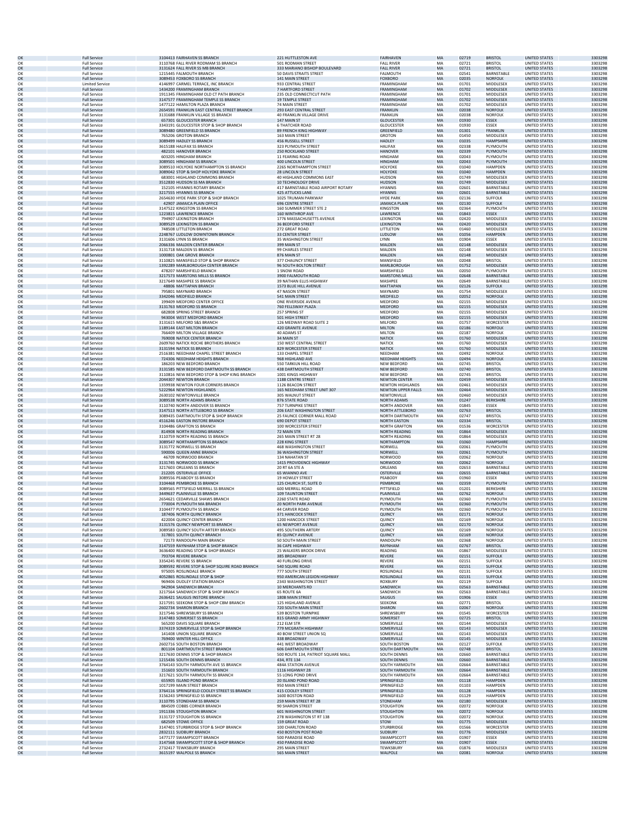| OK       | <b>Full Service</b>                        | 3104413 FAIRHAVEN SS BRANCH                                                  | 221 HUTTLESTON AVE                                       | <b>FAIRHAVEN</b>                        | MA        | 02719          | <b>BRISTOL</b>            | <b>UNITED STATES</b>                         | 3303298            |
|----------|--------------------------------------------|------------------------------------------------------------------------------|----------------------------------------------------------|-----------------------------------------|-----------|----------------|---------------------------|----------------------------------------------|--------------------|
| OK       | <b>Full Service</b>                        | 3110768 FALL RIVER RODMAM SS BRANCH                                          | 501 RODMAN STREET                                        | <b>FALL RIVER</b>                       | MA        | 02721          | <b>BRISTOL</b>            | UNITED STATES                                | 3303298            |
| OK       | <b>Full Service</b>                        | 3131624 FALL RIVER SS MB BRANCH                                              | 333 MARIANO BISHOP BOULEVARD                             | <b>FALL RIVER</b>                       | <b>MA</b> | 02721          | <b>BRISTOL</b>            | <b>UNITED STATES</b>                         | 3303298            |
| OK       | <b>Full Service</b>                        | 1215445 FALMOUTH BRANCH                                                      | 50 DAVIS STRAITS STREET                                  | FALMOUTH                                | MA        | 02541          | BARNSTABLE                | <b>UNITED STATES</b>                         | 3303298            |
|          | <b>Full Service</b>                        | 3089453 FOXBORO SS BRANCH                                                    | 141 MAIN STREET                                          | <b>FOXBORO</b>                          | MA        | 02035          | <b>NORFOLK</b>            | <b>UNITED STATES</b>                         | 3303298            |
| OK<br>OK | <b>Limited Service</b>                     | 4146997 CARMEL TERRACE, INC BRANCH                                           | 933 CENTRAL STREET                                       | FRAMINGHAM                              | MA        | 01701          | MIDDLESEX                 | <b>UNITED STATES</b>                         | 3303298            |
| OK<br>OK | <b>Full Service</b>                        | 1434200 FRAMINGHAM BRANCH                                                    | 7 HARTFORD STREET                                        | FRAMINGHAM                              | MA<br>MA  | 01702          | MIDDLESEX                 | <b>UNITED STATES</b>                         | 3303298            |
| OK       | <b>Full Service</b><br><b>Full Service</b> | 1911345 FRAMINGHAM OLD CT PATH BRANCH<br>3147577 FRAMINGHAM TEMPLE SS BRANCH | 235 OLD CONNECTICUT PATH<br><b>19 TEMPLE STREET</b>      | <b>FRAMINGHAN</b><br>FRAMINGHAM         | MA        | 01701<br>01702 | MIDDLESEX<br>MIDDLESEX    | UNITED STATES<br><b>UNITED STATES</b>        | 3303298<br>3303298 |
| OK       | <b>Full Service</b>                        | 1477122 HAMILTON PLAZA BRANCH                                                | 74 MAIN STREET                                           | <b>FRAMINGHAM</b>                       | MA        | 01702          | MIDDLESEX                 | UNITED STATES                                | 3303298            |
| OK       | <b>Full Service</b>                        | 2654591 FRANKLIN EAST CENTRAL STREET BRANCH                                  | 293 EAST CENTRAL STREET                                  | <b>FRANKLIN</b>                         | <b>MA</b> | 02038          | <b>NORFOLK</b>            | UNITED STATES                                | 3303298            |
| OK       | <b>Full Service</b>                        | 3131688 FRANKLIN VILLAGE SS BRANCH                                           | 40 FRANKLIN VILLAGE DRIVE                                | FRANKLIN                                | MA        | 02038          | NORFOLK                   | <b>UNITED STATES</b>                         | 3303298            |
| OK       | <b>Full Service</b>                        | 657301 GLOUCESTER BRANCH                                                     | 147 MAIN ST                                              | <b>GLOUCESTER</b>                       | MA        | 01930          | <b>ESSEX</b>              | <b>UNITED STATES</b>                         | 3303298            |
| OK       | <b>Full Service</b>                        | 3343191 GLOUCESTER STOP & SHOP BRANCH                                        | <b>6 THATCHER ROAD</b>                                   | <b>GLOUCESTER</b>                       | MA        | 01930          | ESSEX                     | UNITED STATES                                | 3303298            |
| OK       | <b>Full Service</b>                        | 3089480 GREENFIELD SS BRANCH                                                 | 89 FRENCH KING HIGHWAY                                   | GREENFIELD                              | MA        | 01301          | <b>FRANKLIN</b>           | <b>UNITED STATES</b>                         | 3303298            |
| OK       | <b>Full Service</b>                        | 765206 GROTON BRANCH                                                         | 163 MAIN STREET                                          | <b>GROTON</b>                           | MA        | 01450          | MIDDLESEX                 | <b>UNITED STATES</b>                         | 3303298            |
| OK       | <b>Full Service</b>                        | 3089499 HADLEY SS BRANCH                                                     | 456 RUSSELL STREET                                       | <b>HADLEY</b>                           | MA        | 01035          | <b>HAMPSHIRE</b>          | <b>UNITED STATES</b>                         | 3303298            |
| OK       | <b>Full Service</b>                        | 3615188 HALIFAX SS BRANCH                                                    | 323 PLYMOUTH STREET                                      | <b>HALIFAX</b>                          | MA<br>MA  | 02338<br>02339 | PLYMOUTH                  | <b>UNITED STATES</b><br><b>UNITED STATES</b> | 3303298<br>3303298 |
| OK<br>OK | <b>Full Service</b><br><b>Full Service</b> | 482101 HANOVER BRANCH<br>603205 HINGHAM BRANCH                               | <b>250 ROCKLAND STREET</b><br>11 FEARING ROAD            | <b>HANOVER</b><br>HINGHAM               | MA        | 02043          | PLYMOUTH<br>PLYMOUTH      | <b>UNITED STATES</b>                         | 3303298            |
| OK<br>OK | <b>Full Service</b><br><b>Full Service</b> | 3089501 HINGHAM SS BRANCH<br>3089510 HOLYOKE NORTHAMPTON SS BRANCH           | 400 LINCOLN STREET<br>2265 NORTHAMPTON STREET            | <b>HINGHAM</b><br>HOLYOKE               | MA<br>MA  | 02043<br>01040 | PLYMOUTH                  | <b>UNITED STATES</b><br>UNITED STATES        | 3303298            |
| OK       | <b>Full Service</b>                        | 3089042 STOP & SHOP HOLYOKE BRANCH                                           | 28 LINCOLN STREET                                        | HOLYOKE                                 | MA        | 01040          | HAMPDEN<br><b>HAMPDEN</b> | <b>UNITED STATES</b>                         | 3303298<br>3303298 |
| OK       | <b>Full Service</b>                        | 683001 HIGHLAND COMMONS BRANCH                                               | 40 HIGHLAND COMMONS EAST                                 | <b>HUDSON</b>                           | MA        | 01749          | MIDDLESEX                 | UNITED STATES                                | 3303298            |
| OK       | <b>Full Service</b>                        | 3512830 HUDSON SS MA BRANCH                                                  | 10 TECHNOLOGY DRIVE                                      | <b>HUDSON</b>                           | MA        | 01749          | <b>MIDDLESEX</b>          | <b>UNITED STATES</b>                         | 3303298            |
| OK       | <b>Full Service</b>                        | 152105 HYANNIS ROTARY BRANCH                                                 | 417 BARNSTABLE ROAD AIRPORT ROTARY                       | <b>HYANNIS</b>                          | MA        | 02601          | BARNSTABLE                | <b>UNITED STATES</b>                         | 3303298            |
| OK       | <b>Full Service</b>                        | 3217555 HYANNIS SS BRANCH                                                    | 425 ATTUCKS LANE                                         | <b>HYANNIS</b>                          | MA        | 02601          | <b>BARNSTABLE</b>         | <b>UNITED STATES</b>                         | 3303298            |
| OK       | <b>Full Service</b>                        | 2654630 HYDE PARK STOP & SHOP BRANCH                                         | 1025 TRUMAN PARKWAY                                      | <b>HYDE PARK</b>                        | MA        | 02136          | <b>SUFFOLK</b>            | UNITED STATES                                | 3303298            |
| OK       | <b>Full Service</b>                        | 42907 JAMAICA PLAIN OFFICE                                                   | <b>696 CENTRE STREET</b>                                 | <b>JAMAICA PLAIN</b>                    | MA        | 02130          | <b>SUFFOLK</b>            | <b>UNITED STATES</b>                         | 3303298            |
| OK       | <b>Full Service</b>                        | 3147522 KINGSTON SS BRANCH                                                   | 160 SUMMER STREET STE 2                                  | <b>KINGSTON</b>                         | MA        | 02364          |                           | <b>UNITED STATES</b>                         | 3303298            |
| OK       | <b>Full Service</b>                        | 1223815 LAWRENCE BRANCH                                                      | 160 WINTHROP AVE                                         | LAWRENCE                                | MA        | 01843          | PLYMOUTH<br>ESSEX         | <b>UNITED STATES</b>                         | 3303298            |
| OK       | <b>Full Service</b>                        | 794907 LEXINGTON BRANCH                                                      | 1776 MASSACHUSETTS AVENUE                                | LEXINGTON                               | MA        | 02420          | MIDDLESEX                 | <b>UNITED STATES</b>                         | 3303298            |
| OK       | <b>Full Service</b>                        | 3089529 LEXINGTON SS BRANCH                                                  | <b>36 BEDFORD STREET</b>                                 | LEXINGTON                               | MA        | 02420          | MIDDLESEX                 | <b>UNITED STATES</b>                         | 3303298            |
| OK       | <b>Full Service</b>                        | 748508 LITTLETON BRANCH                                                      | 272 GREAT ROAD                                           | LITTLETON                               | MA        | 01460          | MIDDLESEX                 | UNITED STATES                                | 3303298            |
| OK       | <b>Full Service</b>                        | 2248767 LUDLOW DOWNTOWN BRANCH                                               | <b>33 CENTER STREET</b>                                  | LUDLOW                                  | MA        | 01056          | <b>HAMPDEN</b>            | <b>UNITED STATES</b>                         | 3303298            |
| OK       | <b>Full Service</b>                        | 3131606 LYNN SS BRANCH                                                       | 35 WASHINGTON STREET                                     | LYNN                                    | MA        | 01904          | <b>ESSEX</b>              | UNITED STATES                                | 3303298            |
| OK       | <b>Full Service</b>                        | 2066336 MALDEN CENTER BRANCH                                                 | 399 MAIN ST                                              | MALDEN                                  | MA        | 02148          | MIDDLESEX                 | <b>UNITED STATES</b>                         | 3303298            |
| OK       | <b>Full Service</b>                        | 3131718 MALDEN SS BRANCH                                                     | 99 CHARLES STREET                                        | MALDEN                                  | MA        | 02148          | MIDDLESEX                 | UNITED STATES                                | 3303298            |
| OK       | <b>Full Service</b>                        | 1000801 OAK GROVE BRANCH                                                     | 876 MAIN ST                                              | MALDEN                                  | MA        | 02148          | <b>MIDDLESEX</b>          | <b>UNITED STATES</b>                         | 3303298            |
| OK       | <b>Full Service</b>                        | 3110825 MANSFIELD STOP & SHOP BRANCH                                         | 377 CHAUNCY STREET                                       | MANSFIELD                               | MA        | 02048          | <b>BRISTOL</b>            | <b>UNITED STATES</b>                         | 3303298            |
| OK       | <b>Full Service</b>                        | 1392289 MARLBOROUGH CENTER BRANCH                                            | 96 SOUTH BOLTON STREET                                   | <b>MARI ROROUGH</b>                     | MA        | 01752          | <b>MIDDLESEX</b>          | <b>UNITED STATES</b>                         | 3303298            |
| OK       | <b>Full Service</b>                        | 478207 MARSHFIELD BRANCH                                                     | 1 SNOW ROAD                                              | MARSHFIELD                              | MA        | 02050          | PLYMOUTH                  | <b>UNITED STATES</b>                         | 3303298            |
| OK       | <b>Full Service</b>                        | 3217573 MARSTONS MILLS SS BRANCH                                             | 3900 FALMOUTH ROAD                                       | <b>MARSTONS MILLS</b>                   | MA        | 02648          | <b>BARNSTABLE</b>         | <b>UNITED STATES</b>                         | 3303298            |
| OK       | <b>Full Service</b>                        | 3217649 MASHPEE SS BRANCH                                                    | 39 NATHAN ELLIS HIGHWAY                                  | MASHPEE                                 | MA        | 02649          | BARNSTABLE                | <b>UNITED STATES</b>                         | 3303298            |
| OK       | <b>Full Service</b>                        | 48806 MATTAPAN BRANCH                                                        | 1573 BLUE HILL AVENUE                                    | MATTAPAN                                | MA        | 02126          | <b>SUFFOLK</b>            | <b>UNITED STATES</b>                         | 3303298            |
| OK       | <b>Full Service</b>                        | 795801 MAYNARD BRANCH                                                        | 47 NASON STREET                                          | MAYNARD                                 | MA        | 01754          | MIDDLESEX                 | <b>UNITED STATES</b>                         | 3303298            |
| OK       | <b>Full Service</b>                        | 3342046 MEDFIELD BRANCH                                                      | 541 MAIN STREET                                          | MEDFIELD                                | MA        | 02052          | <b>NORFOLK</b>            | <b>UNITED STATES</b>                         | 3303298            |
| OK       | <b>Full Service</b>                        | 199409 MEDFORD CENTER OFFICE                                                 | ONE RIVERSIDE AVENUE                                     | MEDFORD                                 | MA        | 02155          | MIDDLESEX                 | UNITED STATES<br><b>UNITED STATES</b>        | 3303298            |
| OK       | <b>Full Service</b>                        | 3131763 MEDFORD SS BRANCH                                                    | 760 FELLSWAY PLAZA                                       | MEDFORD                                 | MA        | 02155          | <b>MIDDLESEX</b>          | UNITED STATES                                | 3303298            |
| OK       | <b>Full Service</b>                        | 682808 SPRING STREET BRANCH                                                  | 257 SPRING ST                                            | MEDFORD                                 | MA        | 02155          | MIDDLESEX                 |                                              | 3303298            |
| OK       | <b>Full Service</b>                        | 943004 WEST MEDFORD BRANCH                                                   | 501 HIGH STREET                                          | MEDFORD                                 | MA        | 02155          | MIDDLESEX                 | <b>UNITED STATES</b>                         | 3303298            |
| OK       | <b>Full Service</b>                        | 3131615 MILFORD S&S BRANCH                                                   | 126 MEDWAY ROAD SUITE 2                                  | MILFORD                                 | MA        | 01757          | <b>WORCESTER</b>          | <b>UNITED STATES</b>                         | 3303298            |
| OK       | <b>Full Service</b>                        | 1189144 EAST MILTON BRANCH                                                   | 420 GRANITE AVENUE                                       | <b>MILTON</b>                           | <b>MA</b> | 02186          | <b>NORFOLK</b>            | <b>UNITED STATES</b>                         | 3303298            |
| OK       | <b>Full Service</b>                        | 766409 MILTON VILLAGE BRANCH                                                 | 40 ADAMS ST                                              | MILTON                                  | MA        | 02187          | NORFOLK                   | <b>UNITED STATES</b>                         | 3303298            |
| OK       | <b>Full Service</b>                        | 769008 NATICK CENTER BRANCH                                                  | 34 MAIN ST                                               | <b>NATICK</b>                           | MA        | 01760          | <b>MIDDLESEX</b>          | <b>UNITED STATES</b>                         | 3303298            |
| OK       | <b>Full Service</b>                        | 2609760 NATICK ROCHE BROTHERS BRANCH                                         | 150 WEST CENTRAL STREET                                  | NATICK                                  | MA        | 01760          | MIDDLESEX                 | <b>UNITED STATES</b>                         | 3303298            |
| OK       | <b>Full Service</b>                        | 3131594 NATICK SS BRANCH                                                     | 829 WORCESTER STREET                                     | <b>NATICK</b>                           | MA        | 01760          | MIDDLESEX                 | <b>UNITED STATES</b>                         | 3303298            |
| OK       | <b>Full Service</b>                        | 2516381 NEEDHAM CHAPEL STREET BRANCH                                         | 133 CHAPEL STREET                                        | NEEDHAM                                 | MA        | 02492          | <b>NORFOLK</b>            | UNITED STATES                                | 3303298            |
| OK       | <b>Full Service</b>                        | 724306 NEEDHAM HEIGHTS BRANCH                                                | 968 HIGHLAND AVE                                         | NEEDHAM HEIGHTS                         | MA        | 02494          | <b>NORFOLK</b>            | <b>UNITED STATES</b>                         | 3303298            |
| OK       | <b>Full Service</b>                        | 186203 NEW BEDFORD BRANCH                                                    | 550 TARKILN HILL ROAD                                    | <b>NEW BEDFORD</b>                      | MA        | 02745          | <b>BRISTOL</b>            | UNITED STATES                                | 3303298            |
| OK       | <b>Full Service</b>                        | 3131585 NEW BEDFORD DARTMOUTH SS BRANCH                                      | 438 DARTMOUTH STREET                                     | NEW BEDFORD                             | MA        | 02740          | <b>BRISTOL</b>            | UNITED STATES                                | 3303298            |
| OK       | <b>Full Service</b>                        | 3110816 NEW BEDFORD STOP & SHOP KING BRANCH                                  | 1001 KINGS HIGHWAY                                       | <b>NEW BEDFORD</b>                      | MA        | 02745          | <b>BRISTOL</b>            | <b>UNITED STATES</b>                         | 3303298            |
| OK       | <b>Full Service</b>                        | 2044307 NEWTON BRANCH                                                        | 1188 CENTRE STREET                                       | <b>NEWTON CENTER</b>                    | MA        | 02459          | <b>MIDDLESEX</b>          | <b>UNITED STATES</b>                         | 3303298            |
| OK       | <b>Full Service</b>                        | 1359938 NEWTON FOUR CORNERS BRANCH                                           | 1126 BEACON STREET                                       | <b>NEWTON HIGHLANDS</b>                 | MA        | 02461          | MIDDLESEX                 | UNITED STATES                                | 3303298            |
| OK       | <b>Full Service</b>                        | 5222964 NEWTON HIGHLANDS                                                     | 165 NEEDHAM STREET UNIT 307                              | <b>NEWTON UPPER FALLS</b>               | MA        | 02464          | <b>MIDDLESEX</b>          | <b>UNITED STATES</b>                         | 3303298            |
| OK       | <b>Full Service</b>                        | 2630102 NEWTONVILLE BRANCH                                                   | 305 WALNUT STREET                                        | NEWTONVILLE                             | MA        | 02460          | MIDDLESEX                 | <b>UNITED STATES</b>                         | 3303298            |
| OK<br>OK | <b>Full Service</b>                        | 3089538 NORTH ADAMS BRANCH                                                   | 876 STATE ROAD                                           | NORTH ADAMS                             | MA<br>MA  | 01247          | <b>BERKSHIRE</b><br>ESSEX | <b>UNITED STATES</b>                         | 3303298            |
| OK       | <b>Full Service</b><br><b>Full Service</b> | 3110740 NORTH ANDOVER SS BRANCH<br>3147513 NORTH ATTLEBORO SS BRANCH         | 757 TURNPIKE STREET<br><b>206 EAST WASHINGTON STREET</b> | NORTH ANDOVER<br><b>NORTH ATTLEBORO</b> | <b>MA</b> | 01845<br>02763 | <b>BRISTOL</b>            | <b>UNITED STATES</b><br><b>UNITED STATES</b> | 3303298<br>3303298 |
| OK       | <b>Full Service</b>                        | 3089435 DARTMOUTH STOP & SHOP BRANCH                                         | 25 FAUNCE CORNER MALL ROAD                               | NORTH DARTMOUTH                         | MA        | 02747          | <b>BRISTOL</b>            | <b>UNITED STATES</b>                         | 3303298            |
| OK       | <b>Full Service</b>                        | 4516246 EASTON INSTORE BRANCH                                                | <b>690 DEPOT STREET</b>                                  | <b>NORTH EASTON</b>                     | MA        | 02334          | <b>BRISTOL</b>            | <b>UNITED STATES</b>                         | 3303298            |
| OK       | <b>Full Service</b>                        | 3104486 GRAFTON SS BRANCH                                                    | 100 WORCESTER STREET                                     | <b>NORTH GRAFTON</b>                    | MA        | 01536          | WORCESTER                 | UNITED STATES                                | 3303298            |
| OK       | <b>Full Service</b>                        | 814908 NORTH READING BRANCH                                                  | 72 MAIN STR                                              | NORTH READING                           | MA        | 01864          | MIDDLESEX                 | <b>UNITED STATES</b>                         | 3303298            |
| OK       | <b>Full Service</b>                        | 3110759 NORTH READING SS BRANCH                                              | 265 MAIN STREET RT 28                                    | <b>NORTH READING</b>                    | MA        | 01864          | MIDDLESEX                 | UNITED STATES                                | 3303298            |
| OK       | <b>Full Service</b>                        | 3089547 NORTHAMPTON SS BRANCH                                                | 228 KING STREET                                          | NORTHAMPTON                             | <b>MA</b> | 01060          | <b>HAMPSHIRE</b>          | UNITED STATES                                | 3303298            |
| OK       | <b>Full Service</b>                        | 3131772 NORWELL SS BRANCH                                                    | 468 WASHINGTON STREET                                    | NORWELL                                 | MA        | 02061          | PLYMOUTH                  | <b>UNITED STATES</b>                         | 3303298            |
| OK       | <b>Full Service</b>                        | 590006 QUEEN ANNE BRANCH                                                     | <b>36 WASHINGTON STREET</b>                              | NORWELL                                 | MA        | 02061          | PLYMOUTH                  | UNITED STATES                                | 3303298            |
| OK       | <b>Full Service</b>                        | 46709 NORWOOD BRANCH                                                         | 134 NAHATAN ST                                           | NORWOOD                                 | MA        | 02062          | <b>NORFOLK</b>            | UNITED STATES                                | 3303298            |
| OK       | <b>Full Service</b>                        | 3131745 NORWOOD SS BRANCH                                                    | 1415 PROVIDENCE HIGHWAY                                  | <b>NORWOOD</b>                          | MA        | 02062          | <b>NORFOLK</b>            | <b>UNITED STATES</b>                         | 3303298            |
| OK       | <b>Full Service</b>                        | 3217603 ORLEANS SS BRANCH                                                    | 20 RT 6A STE A                                           | ORLEANS                                 | MA        | 02653          | BARNSTABLE                | <b>UNITED STATES</b>                         | 3303298            |
| OK       | <b>Full Service</b>                        | 212205 OSTERVILLE OFFICE                                                     | 65 WIANNO AVE                                            | <b>OSTERVILLE</b>                       | MA        | 02655          | BARNSTABLE                | <b>UNITED STATES</b>                         | 3303298            |
| OK       | <b>Full Service</b>                        | 3089556 PEABODY SS BRANCH                                                    | 19 HOWLEY STREET                                         | PEABODY                                 | MA        | 01960          | ESSEX                     | <b>UNITED STATES</b>                         | 3303298            |
| OK       | <b>Full Service</b>                        | 3104468 PEMBROKE SS BRANCH                                                   | 125 CHURCH ST, SUITE D                                   | PEMBROKE                                | MA        | 02359          | PLYMOUTH                  | <b>UNITED STATES</b>                         | 3303298            |
| OK       | <b>Full Service</b>                        | 3089565 PITTSFIELD MERRILL SS BRANCH                                         | 600 MERRILL ROAD                                         | PITTSFIELD                              | MA        | 01201          | <b>BERKSHIRE</b>          | UNITED STATES                                | 3303298            |
| OK       | <b>Full Service</b>                        | 3449637 PLAINVILLE SS BRANCH                                                 | <b>109 TAUNTON STREET</b>                                | PLAINVILLE                              | MA        | 02762          | <b>NORFOLK</b>            | <b>UNITED STATES</b>                         | 3303298            |
| OK       | <b>Full Service</b>                        | 2654621 CEDARVILLE SHAWS BRANCH                                              | 2260 STATE ROAD                                          | PLYMOUTH                                | MA        | 02360          | PLYMOUTH                  | UNITED STATES                                | 3303298            |
| OK       | <b>Full Service</b>                        | 770004 PLYMOUTH MA BRANCH                                                    | 20 NORTH PARK AVENUE                                     | PLYMOUTH                                | MA        | 02360          | PLYMOUTH                  | <b>UNITED STATES</b>                         | 3303298            |
| OK       | <b>Full Service</b>                        | 3104477 PLYMOUTH SS BRANCH                                                   | 44 CARVER ROAD                                           | PLYMOUTH                                | MA        | 02360          | PLYMOUTH                  | <b>UNITED STATES</b>                         | 3303298            |
| OK       | <b>Full Service</b>                        | 187406 NORTH QUINCY BRANCH                                                   | 371 HANCOCK STREET                                       | QUINCY                                  | <b>MA</b> | 02171          | <b>NORFOLK</b>            | <b>UNITED STATES</b>                         | 3303298            |
| OK       | <b>Full Service</b>                        | 422004 QUINCY CENTER BRANCH                                                  | 1200 HANCOCK STREET                                      | QUINCY                                  | MA        | 02169          | NORFOLK                   | <b>UNITED STATES</b>                         | 3303298            |
| OK       | <b>Full Service</b>                        | 3131576 QUINCY NEWPORT SS BRANCH                                             | <b>65 NEWPORT AVENUE</b>                                 | QUINCY                                  | MA        | 02170          | <b>NORFOLK</b>            | <b>UNITED STATES</b>                         | 3303298            |
| OK       | <b>Full Service</b>                        | 3089583 QUINCY SOUTH ARTERY BRANCH                                           | 495 SOUTHERN ARTERY                                      | QUINCY                                  | MA        | 02169          | NORFOLK                   | <b>UNITED STATES</b>                         | 3303298            |
| OK       | <b>Full Service</b>                        | 317801 SOUTH QUINCY BRANCH                                                   | 85 QUINCY AVENUE                                         | QUINCY                                  | MA        | 02169          | <b>NORFOLK</b>            | <b>UNITED STATES</b>                         | 3303298            |
| OK       | <b>Full Service</b>                        | 72173 RANDOLPH MAIN BRANCH                                                   | 50 SOUTH MAIN STREET                                     | <b>RANDOLPH</b>                         | MA        | 02368          | <b>NORFOLK</b>            | <b>UNITED STATES</b>                         | 3303298            |
| OK       | <b>Full Service</b>                        | 3147559 RAYNHAM STOP & SHOP BRANCH                                           | 36 CAPE HIGHWAY                                          | RAYNHAM                                 | MA        | 02767          | <b>BRISTOL</b>            | <b>UNITED STATES</b>                         | 3303298            |
| OK       | <b>Full Service</b>                        | 3636400 READING STOP & SHOP BRANCH                                           | 25 WALKERS BROOK DRIVE                                   | READING                                 | MA        | 01867          | MIDDLESEX                 | <b>UNITED STATES</b>                         | 3303298            |
| OK       | <b>Full Service</b>                        | 793704 REVERE BRANCH                                                         | 385 BROADWAY                                             | <b>REVERE</b>                           | <b>MA</b> | 02151          | <b>SUFFOLK</b>            | <b>UNITED STATES</b>                         | 3303298            |
| OK       | <b>Full Service</b>                        | 3354245 REVERE SS BRANCH                                                     | 40 FURLONG DRIVE                                         | <b>REVERE</b>                           | MA        | 02151          | <b>SUFFOLK</b>            | <b>UNITED STATES</b>                         | 3303298            |
| OK       | <b>Full Service</b>                        | 3089592 REVERE STOP & SHOP SQUIRE ROAD BRANCH                                | 540 SQUIRE ROAD                                          | <b>REVERE</b>                           | MA        | 02151          | <b>SUFFOLK</b>            | <b>UNITED STATES</b>                         | 3303298            |
| OK       | <b>Full Service</b>                        | 975005 ROSLINDALE BRANCH                                                     | 777 SOUTH STREET                                         | ROSLINDALE                              | MA        | 02131          | <b>SUFFOLK</b>            | UNITED STATES                                | 3303298            |
| OK       | <b>Full Service</b>                        | 4052865 ROSLINDALE STOP & SHOP                                               | 950 AMERICAN LEGION HIGHWAY                              | ROSLINDALE                              | MA        | 02131          | <b>SUFFOLK</b>            | <b>UNITED STATES</b>                         | 3303298            |
| OK       | <b>Full Service</b>                        | 969406 DUDLEY STATION BRANCH                                                 | 2343 WASHINGTON STREET                                   | ROXBURY                                 | MA        | 02119          | <b>SUFFOLK</b>            | <b>UNITED STATES</b>                         | 3303298            |
| OK       | <b>Full Service</b>                        | 942904 SANDWICH BRANCH                                                       | 10 MERCHANTS RD                                          | SANDWICH                                | <b>MA</b> | 02563          | <b>BARNSTABLE</b>         | <b>UNITED STATES</b>                         | 3303298            |
| OK       | <b>Full Service</b>                        | 3217564 SANDWICH STOP & SHOP BRANCH                                          | 65 ROUTE 6A                                              | SANDWICH                                | MA        | 02563          | BARNSTABLE                | <b>UNITED STATES</b>                         | 3303298            |
| OK       | <b>Full Service</b>                        | 2636421 SAUGUS INSTORE BRANCH                                                | <b>180B MAIN STREET</b>                                  | <b>SAUGUS</b>                           | MA        | 01906          | <b>ESSEX</b>              | <b>UNITED STATES</b>                         | 3303298            |
| OK       | <b>Full Service</b>                        | 3217591 SEEKONK STOP & SHOP CBM BRANCH                                       | 125 HIGHLAND AVENUE                                      | SEEKONK                                 | MA        | 02771          | <b>BRISTOL</b>            | <b>UNITED STATES</b>                         | 3303298            |
| OK       | <b>Full Service</b>                        | 2602734 SHARON BRANCH                                                        | 720 SOUTH MAIN STREET                                    | SHARON                                  | MA        | 02067          | <b>NORFOLK</b>            | <b>UNITED STATES</b>                         | 3303298            |
| OK       | <b>Full Service</b>                        | 3217546 SHREWSBURY SS BRANCH                                                 | 539 BOSTON TURNPIKE                                      | SHREWSBURY                              | MA        | 01545          | WORCESTER                 | UNITED STATES                                | 3303298            |
| OK       | <b>Full Service</b>                        | 3147483 SOMERSET SS BRANCH                                                   | 815 GRAND ARMY HIGHWAY                                   | SOMERSET                                | MA        | 02725          | <b>BRISTOL</b>            | <b>UNITED STATES</b>                         | 3303298            |
| OK       | <b>Full Service</b>                        | 565200 DAVIS SQUARE BRANCH                                                   | 212 ELM STR                                              | SOMERVILLE                              | MA        | 02144          | MIDDLESEX                 | UNITED STATES                                | 3303298            |
| OK       | <b>Full Service</b>                        | 3374319 SOMERVILLE STOP & SHOP BRANCH                                        | 779 MCGRATH HIGHWAY                                      | <b>SOMERVILLE</b>                       | <b>MA</b> | 02143          | MIDDLESEX                 | <b>UNITED STATES</b>                         | 3303298            |
| OK       | <b>Full Service</b>                        | 141408 UNION SQUARE BRANCH                                                   | 40 BOW STREET UNION SQ                                   | SOMERVILLE                              | MA        | 02143          | MIDDLESEX                 | <b>UNITED STATES</b>                         | 3303298            |
| OK       | <b>Full Service</b>                        | 769400 WINTER HILL OFFICE                                                    | 338 BROADWAY                                             | SOMERVILLE                              | MA        | 02145          | <b>MIDDLESEX</b>          | <b>UNITED STATES</b>                         | 3303298            |
| OK       | <b>Full Service</b>                        | 2602716 SOUTH BOSTON BRANCH                                                  | 441 WEST BROADWAY                                        | <b>SOUTH BOSTON</b>                     | MA        | 02127          | <b>SUFFOLK</b>            | UNITED STATES                                | 3303298            |
| OK       | <b>Full Service</b>                        | 801104 DARTMOUTH STREET BRANCH                                               | 606 DARTMOUTH STREET                                     | SOUTH DARTMOUTH                         | MA        | 02748          | <b>BRISTOL</b>            | <b>UNITED STATES</b>                         | 3303298            |
| OK       | <b>Full Service</b>                        | 3217630 DENNIS STOP & SHOP BRANCH                                            | 500 ROUTE 134, PATRIOT SQUARE MALL                       | SOUTH DENNIS                            | MA        | 02660          | BARNSTABLE                | <b>UNITED STATES</b>                         | 3303298            |
| OK       | <b>Full Service</b>                        | 1215436 SOUTH DENNIS BRANCH                                                  | 434, RTE 134                                             | SOUTH DENNIS                            | MA        | 02660          | BARNSTABLE                | <b>UNITED STATES</b>                         | 3303298            |
| OK       | <b>Full Service</b>                        | 3764143 SOUTH YARMOUTH AVE SS BRANCH                                         | 484A STATION AVENUE                                      | SOUTH YARMOUTH                          | MA        | 02664          | BARNSTABLE                | <b>UNITED STATES</b>                         | 3303298            |
|          | <b>Full Service</b>                        | 151603 SOUTH YARMOUTH BRANCH                                                 | <b>1116 HIGHWAY 28</b>                                   | <b>SOUTH YARMOUTH</b>                   | <b>MA</b> | 02664          | <b>BARNSTABLE</b>         | <b>UNITED STATES</b>                         | 3303298            |
| OK<br>OK | <b>Full Service</b>                        | 3217621 SOUTH YARMOUTH SS BRANCH                                             | 55 LONG POND DRIVE                                       | SOUTH YARMOUTH                          | MA        | 02664          | BARNSTABLE                | <b>UNITED STATES</b>                         | 3303298            |
| OK       | <b>Full Service</b>                        | 655905 ISLAND POND BRANCH                                                    | 20 ISLAND POND ROAD                                      | SPRINGFIELD                             | MA        | 01118          | <b>HAMPDEN</b>            | <b>UNITED STATES</b>                         | 3303298            |
| OK       | <b>Full Service</b>                        | 1017199 MAIN STREET BRANCH                                                   | 950 MAIN STREET                                          | SPRINGFIELD                             | MA        | 01103          | <b>HAMPDEN</b>            | UNITED STATES                                | 3303298            |
| OK       | <b>Full Service</b>                        | 3764116 SPRINGFIELD COOLEY STREET SS BRANCH                                  | 415 COOLEY STREET                                        | SPRINGFIELD                             | MA        | 01128          | <b>HAMPDEN</b>            | <b>UNITED STATES</b>                         | 3303298            |
| OK       | <b>Full Service</b>                        | 3156243 SPRINGFIELD SS BRANCH                                                | 1600 BOSTON ROAD                                         | SPRINGFIELD                             | MA        | 01129          | HAMPDEN                   | UNITED STATES                                | 3303298            |
| OK       | <b>Full Service</b>                        | 3110795 STONEHAM SS BRANCH                                                   | 259 MAIN STREET RT 28                                    | STONEHAM                                | <b>MA</b> | 02180          | <b>MIDDLESEX</b>          | <b>UNITED STATES</b>                         | 3303298            |
| OK       | <b>Full Service</b>                        | 884509 COBBS CORNER BRANCH                                                   | <b>90 SHARON STREET</b>                                  | STOUGHTON                               | MA        | 02072          | NORFOLK                   | <b>UNITED STATES</b>                         | 3303298            |
| OK       | <b>Full Service</b>                        | 1911336 STOUGHTON BRANCH                                                     | <b>601 WASHINGTON STREET</b>                             | <b>STOUGHTON</b>                        | MA        | 02072          | <b>NORFOLK</b>            | <b>UNITED STATES</b>                         | 3303298            |
| OK       | <b>Full Service</b>                        | 3131727 STOUGHTON SS BRANCH                                                  | 278 WASHINGTON ST RT 138                                 | <b>STOUGHTON</b>                        | MA        | 02072          | <b>NORFOLK</b>            | UNITED STATES                                | 3303298            |
| OK       | <b>Full Service</b>                        | 682509 STOWE OFFICE                                                          | 159 GREAT ROAD                                           | STOW                                    | MA        | 01775          | MIDDLESEX                 | <b>UNITED STATES</b>                         | 3303298            |
| OK       | <b>Full Service</b>                        | 3147401 STURBRIDGE STOP & SHOP BRANCH                                        | 100 CHARLTON ROAD                                        | <b>STURBRIDGE</b>                       | MA        | 01566          | WORCESTER                 | UNITED STATES                                | 3303298            |
| OK       | <b>Full Service</b>                        | 2832111 SUDBURY BRANCH                                                       | 450 BOSTON POST ROAD                                     | <b>SUDBURY</b>                          | MA        | 01776          | MIDDLESEX                 | <b>UNITED STATES</b>                         | 3303298            |
| OK       | <b>Full Service</b>                        | 1477177 SWAMPSCOTT BRANCH                                                    | 500 PARADISE ROAD                                        | SWAMPSCOTT                              | MA        | 01907          | <b>ESSEX</b>              | <b>UNITED STATES</b>                         | 3303298            |
| OK       | <b>Full Service</b>                        | 3147568 SWAMPSCOTT STOP & SHOP BRANCH                                        | <b>450 PARADISE ROAD</b>                                 | SWAMPSCOTT                              | MA        | 01907          | ESSEX                     | <b>UNITED STATES</b>                         | 3303298            |
| OK       | <b>Full Service</b>                        | 2732417 TEWKSBURY BRANCH                                                     | 295 MAIN STREET                                          | TEWKSBURY                               | MA        | 01876          | MIDDLESEX                 | UNITED STATES                                | 3303298            |
| OK       | <b>Full Service</b>                        | 3615197 WALPOLE SS BRANCH                                                    | 565 MAIN STREET                                          | <b>WALPOLE</b>                          | <b>MA</b> | 02081          | <b>NORFOLK</b>            | <b>UNITED STATES</b>                         | 3303298            |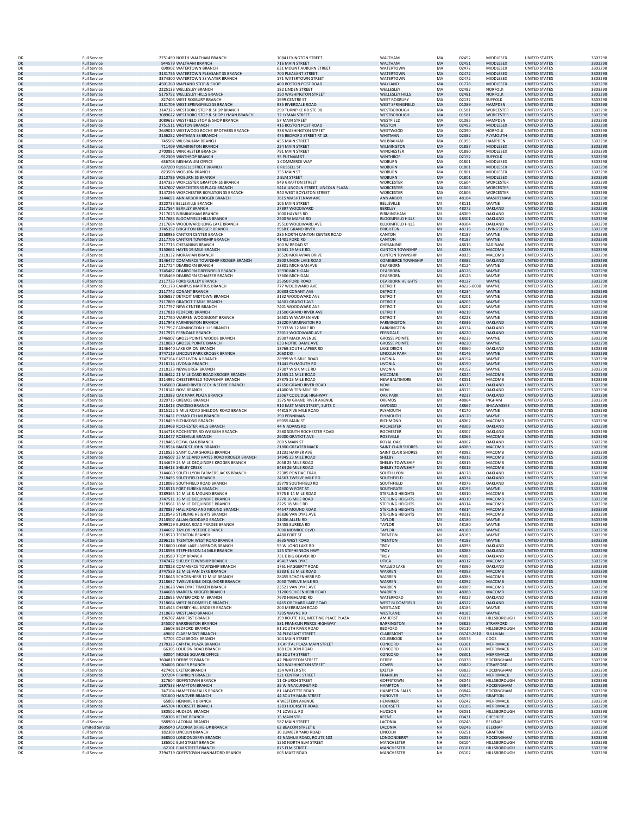|          | <b>Full Service</b>                          | 2751490 NORTH WALTHAM BRANCH                                                      | 1084 LEXINGTON STREET                                             | WALTHAM                                            | MA                            | 02452               | MIDDLESEX                              | <b>UNITED STATES</b>                         | 3303298            |
|----------|----------------------------------------------|-----------------------------------------------------------------------------------|-------------------------------------------------------------------|----------------------------------------------------|-------------------------------|---------------------|----------------------------------------|----------------------------------------------|--------------------|
| OK<br>OK | <b>Full Service</b><br><b>Full Service</b>   | 944579 WALTHAM BRANCH<br>698902 WATERTOWN BRANCH                                  | 716 MAIN STREET<br>631 MOUNT AUBURN STREET                        | WALTHAM<br>WATERTOWN                               | MA<br>MA                      | 02451<br>02472      | MIDDLESEX<br>MIDDLESEX                 | <b>UNITED STATES</b><br><b>UNITED STATES</b> | 3303298<br>3303298 |
| OK       | <b>Full Service</b>                          | 3131736 WATERTOWN PLEASANT SS BRANCH                                              | 700 PLEASANT STREET                                               | <b>WATERTOWN</b>                                   | MA                            | 02472               | MIDDLESEX                              | <b>UNITED STATES</b>                         | 3303298            |
| OK<br>OK | <b>Full Service</b><br><b>Full Service</b>   | 3374300 WATERTOWN SS WATER BRANCH<br>4501260 WAYLAND STOP & SHOP                  | 171 WATERTOWN STREET<br>400 BOSTON POST ROAD                      | WATERTOWN<br>WAYLAND                               | MA<br>MA                      | 02472<br>01778      | MIDDLESEX<br><b>MIDDLESEX</b>          | <b>UNITED STATES</b><br><b>UNITED STATES</b> | 3303298<br>3303298 |
| OK       | <b>Full Service</b>                          | 2225133 WELLESLEY BRANCH                                                          | 182 LINDEN STREET                                                 | WELLESLEY                                          | MA                            | 02482               | <b>NORFOLK</b>                         | <b>UNITED STATES</b>                         | 3303298            |
| OK       | <b>Full Service</b>                          | 5175752 WELLESLEY HILLS BRANCH                                                    | 390 WASHINGTON STREET                                             | <b>WELLESLEY HILLS</b>                             | MA                            | 02481               | <b>NORFOLK</b>                         | <b>UNITED STATES</b>                         | 3303298            |
| OK<br>OK | <b>Full Service</b><br><b>Full Service</b>   | 827403 WEST ROXBURY BRANCH<br>3131709 WEST SPRINGFIELD SS BRANCH                  | 1999 CENTRE ST<br>935 RIVERDALE ROAD                              | <b>WEST ROXBURY</b><br><b>WEST SPRINGFIELD</b>     | MA<br>MA                      | 02132<br>01089      | <b>SUFFOLK</b><br><b>HAMPDEN</b>       | UNITED STATES<br><b>UNITED STATES</b>        | 3303298<br>3303298 |
| OK       | <b>Full Service</b>                          | 3147326 WESTBORO STOP & SHOP BRANCH                                               | 290 TURNPIKE RD STE 9B                                            | WESTBOROUGH                                        | MA                            | 01581               | <b>WORCESTER</b>                       | <b>UNITED STATES</b>                         | 3303298            |
| OK<br>OK | <b>Full Service</b><br><b>Full Service</b>   | 3089622 WESTBORO STOP & SHOP LYMAN BRANCH<br>3089613 WESTFIELD STOP & SHOP BRANCH | <b>32 I YMAN STREET</b><br>57 MAIN STREET                         | WESTBOROUGH<br>WESTFIELD                           | MA<br>MA                      | 01581<br>01085      | <b>WORCESTER</b><br><b>HAMPDEN</b>     | <b>UNITED STATES</b><br><b>UNITED STATES</b> | 3303298<br>3303298 |
| OK       | <b>Full Service</b>                          | 2751511 WESTON BRANCH                                                             | 415 BOSTON POST ROAD                                              | WESTON                                             | MA                            | 02493               | MIDDLESEX                              | <b>UNITED STATES</b>                         | 3303298            |
| OK<br>OK | <b>Full Service</b><br><b>Full Service</b>   | 2649010 WESTWOOD ROCHE BROTHERS BRANCH<br>3156252 WHITMAN SS BRANCH               | 338 WASHINGTON STREET<br>475 BEDFORD STREET RT 18                 | WESTWOOD<br>WHITMAN                                | MA<br>MA                      | 02090<br>02382      | <b>NORFOLK</b><br>PLYMOUTH             | <b>UNITED STATES</b><br><b>UNITED STATES</b> | 3303298<br>3303298 |
| OK       | <b>Full Service</b>                          | 745507 WILBRAHAM BRANCH                                                           | <b>455 MAIN STREET</b>                                            | WILBRAHAM                                          | MA                            | 01095               | <b>HAMPDEN</b>                         | <b>UNITED STATES</b>                         | 3303298            |
| OK<br>OK | <b>Full Service</b><br><b>Full Service</b>   | 711409 WILMINGTON BRANCH<br>2700881 WINCHESTER BRANCH                             | 224 MAIN STREET<br>791 MAIN STREET                                | WILMINGTON<br>WINCHESTEF                           | MA<br>MA                      | 01887<br>01890      | <b>MIDDLESEX</b><br>MIDDLESEX          | UNITED STATES<br><b>UNITED STATES</b>        | 3303298<br>3303298 |
| OK       | <b>Full Service</b>                          | 912309 WINTHROP BRANCH                                                            | 35 PUTNAM ST                                                      | <b>WINTHROP</b>                                    | MA                            | 02152               | <b>SUFFOLK</b>                         | <b>UNITED STATES</b>                         | 3303298            |
| OK       | <b>Full Service</b>                          | 636708 MISHAWUM OFFICE                                                            | 1 COMMERCE WAY                                                    | <b>WOBURN</b><br><b>WOBURN</b>                     | MA                            | 01801<br>01801      | MIDDLESEX<br><b>MIDDLESEX</b>          | <b>UNITED STATES</b><br><b>UNITED STATES</b> | 3303298            |
| OK<br>OK | <b>Full Service</b><br><b>Full Service</b>   | 637200 RUSSELL STREET BRANCH<br>823508 WOBURN BRANCH                              | <b>6 RUSSELL ST</b><br>355 MAIN ST                                | <b>WOBURN</b>                                      | MA<br>MA                      | 01801               | MIDDLESEX                              | <b>UNITED STATES</b>                         | 3303298<br>3303298 |
| OK       | <b>Full Service</b>                          | 3110786 WOBURN SS BRANCH                                                          | 2 ELM STREET                                                      | <b>WOBURN</b>                                      | MA                            | 01801               | MIDDLESEX                              | <b>UNITED STATES</b>                         | 3303298            |
| OK<br>OK | <b>Full Service</b><br><b>Full Service</b>   | 3147335 WORCESTER GRAFTON SS BRANCH<br>3147607 WORCESTER SS PLAZA BRANCH          | 949 GRAFTON STREET<br>541A LINCOLN STREET, LINCOLN PLAZA          | WORCESTER<br><b>WORCESTER</b>                      | MA<br>MA                      | 01604<br>01605      | <b>WORCESTER</b><br><b>WORCESTER</b>   | <b>UNITED STATES</b><br><b>UNITED STATES</b> | 3303298<br>3303298 |
| OK       | <b>Full Service</b>                          | 3147296 WORCHESTER BOYLSTON SS BRANCH                                             | 940 WEST BOYLSTON STREET                                          | WORCESTER                                          | MA                            | 01606               | WORCESTER                              | <b>UNITED STATES</b>                         | 3303298            |
| OK<br>OK | <b>Full Service</b><br><b>Full Service</b>   | 3144651 ANN ARBOR KROGER BRANCH<br>3220733 BELLEVILLE BRANCH                      | 3615 WASHTENAW AVE<br>105 MAIN STREET                             | <b>ANN ARBOR</b><br>BELLEVILLE                     | MI<br>MI                      | 48104<br>48111      | WASHTENAW<br>WAYNE                     | <b>UNITED STATES</b><br>UNITED STATES        | 3303298<br>3303298 |
| OK       | <b>Full Service</b>                          | 2117564 BERKLEY BRANCH                                                            | 27897 WOODWARD                                                    | <b>BERKLEY</b>                                     | MI                            | 48072               | OAKLAND                                | <b>UNITED STATES</b>                         | 3303298            |
| OK       | <b>Full Service</b>                          | 2117676 BIRMINGHAM BRANCH                                                         | 1000 HAYNES RD                                                    | <b>BIRMINGHAM</b>                                  | MI                            | 48009               | OAKLAND                                | <b>UNITED STATES</b>                         | 3303298            |
| OK<br>OK | <b>Full Service</b><br><b>Full Service</b>   | 2117685 BLOOMFIELD HILLS BRANCH<br>2117694 WOODWARD LONG LAKE BRANCH              | 2500 W MAPLE RD<br>39510 WOODWARD AVE                             | <b>BLOOMFIELD HILLS</b><br><b>BLOOMFIELD HILLS</b> | M <sub>l</sub><br>MI          | 48301<br>48304      | OAKLAND<br>OAKLAND                     | <b>UNITED STATES</b><br><b>UNITED STATES</b> | 3303298<br>3303298 |
| OK       | <b>Full Service</b>                          | 3745357 BRIGHTON KROGER BRANCH                                                    | 9968 E GRAND RIVER                                                | <b>BRIGHTON</b>                                    | MI                            | 48116               | LIVINGSTON                             | <b>UNITED STATES</b>                         | 3303298            |
| OK<br>OK | <b>Full Service</b><br><b>Full Service</b>   | 3268986 CANTON CENTER BRANCH<br>2117706 CANTON TOWNSHIP BRANCH                    | 285 NORTH CANTON CENTER ROAD<br>41401 FORD RD                     | CANTON<br>CANTON                                   | MI<br>M <sub>l</sub>          | 48187<br>48187      | WAYNE<br>WAYNE                         | <b>UNITED STATES</b><br><b>UNITED STATES</b> | 3303298<br>3303298 |
| OK       | <b>Full Service</b>                          | 2117715 CHESANING BRANCH                                                          | 100 W BROAD ST                                                    | CHESANING                                          | MI                            | 48616               | SAGINAW                                | <b>UNITED STATES</b>                         | 3303298            |
| OK<br>OK | <b>Full Service</b><br><b>Full Service</b>   | 3150661 HAYES 19 MILE BRANCH<br>2118132 MORAVIAN BRANCH                           | 15341 19 MILE RD<br>36520 MORAVIAN DRIVE                          | <b>CLINTON TOWNSHIP</b><br><b>CLINTON TOWNSHIP</b> | M <sub>l</sub><br>MI          | 48038<br>48035      | MACOMB<br>MACOMB                       | <b>UNITED STATES</b><br><b>UNITED STATES</b> | 3303298<br>3303298 |
| OK       | <b>Full Service</b>                          | 3146477 COMMERCE TOWNSHIP KROGER BRANCH                                           | 2900 UNION LAKE ROAD                                              | <b>COMMERCE TOWNSHIP</b>                           | M <sub>l</sub>                | 48382               | OAKLAND                                | <b>UNITED STATES</b>                         | 3303298            |
| OK       | <b>Full Service</b>                          | 2117724 DEARBORN BRANCH                                                           | 23801 MICHIGAN AVE                                                | DEARBORN                                           | MI                            | 48124               | WAYNE                                  | <b>UNITED STATES</b>                         | 3303298            |
| OK<br>OK | <b>Full Service</b><br><b>Full Service</b>   | 3745487 DEARBORN GREENFIELD BRANCH<br>3745469 DEARBORN SCHAEFER BRANCH            | 15930 MICHIGAN<br>13606 MICHIGAN                                  | <b>DEARBORN</b><br>DEARBORN                        | MI<br>MI                      | 48126<br>48126      | WAYNE<br>WAYNE                         | <b>UNITED STATES</b><br>UNITED STATES        | 3303298<br>3303298 |
| OK       | <b>Full Service</b>                          | 2117733 FORD GULLEY BRANCH                                                        | 25350 FORD ROAD                                                   | <b>DEARBORN HEIGHTS</b>                            | MI                            | 48127               | WAYNE                                  | <b>UNITED STATES</b>                         | 3303298            |
| OK<br>OK | <b>Full Service</b><br><b>Full Service</b>   | 901170 CAMPUS MARTIUS BRANCH<br>2117742 CONANT BRANCH                             | 777 WOODWARD AVE<br>20333 CONANT AVE                              | DETROIT<br><b>DETROIT</b>                          | MI<br>M <sub>l</sub>          | 48226-0000<br>48234 | WAYNE<br>WAYNE                         | UNITED STATES<br><b>UNITED STATES</b>        | 3303298<br>3303298 |
| OK       | <b>Full Service</b>                          | 5306837 DETROIT MIDTOWN BRANCH                                                    | 3132 WOODWARD AVE                                                 | DETROIT                                            | MI                            | 48201               | WAYNE                                  | <b>UNITED STATES</b>                         | 3303298            |
| OK       | <b>Full Service</b>                          | 2117809 GRATIOT 7 MILE BRANCH                                                     | 14501 GRATIOT AVE                                                 | <b>DETROIT</b>                                     | MI                            | 48205               | WAYNE                                  | <b>UNITED STATES</b>                         | 3303298            |
| OK<br>OK | <b>Full Service</b><br><b>Full Service</b>   | 2117797 NEW CENTER BRANCH<br>2117818 REDFORD BRANCH                               | 7401 WOODWARD AVE<br>21500 GRAND RIVER AVE                        | DETROIT<br><b>DETROIT</b>                          | MI<br>$\mathsf{M} \mathsf{I}$ | 48202<br>48219      | WAYNE<br>WAYNE                         | <b>UNITED STATES</b><br><b>UNITED STATES</b> | 3303298<br>3303298 |
| OK       | <b>Full Service</b>                          | 2117760 WARREN WOODMONT BRANCH                                                    | 16501 W WARREN AVE                                                | DETROIT                                            | MI                            | 48228               | WAYNE                                  | <b>UNITED STATES</b>                         | 3303298            |
| OK<br>OK | <b>Full Service</b><br><b>Full Service</b>   | 2117948 FARMINGTON BRANCH<br>2117957 FARMINGTON HILLS BRANCH                      | 23220 FARMINGTON RD<br>33333 W 12 MILE RD                         | <b>FARMINGTON</b><br><b>FARMINGTON</b>             | MI<br>MI                      | 48336<br>48334      | OAKLAND<br>OAKLAND                     | <b>UNITED STATES</b><br><b>UNITED STATES</b> | 3303298<br>3303298 |
| OK       | <b>Full Service</b>                          | 2117975 FERNDALE BRANCH                                                           | 23011 WOODWARD AVE                                                | <b>FERNDALE</b>                                    | MI                            | 48220               | OAKLAND                                | <b>UNITED STATES</b>                         | 3303298            |
| OK       | <b>Full Service</b>                          | 3746907 GROSS POINTE WOODS BRANCH<br>2118020 GROSSE POINTE BRANCH                 | 19307 MACK AVENUE                                                 | <b>GROSSE POINTE</b><br><b>GROSSE POINTE</b>       | MI                            | 48236               | WAYNE                                  | <b>UNITED STATES</b><br><b>UNITED STATES</b> | 3303298            |
| OK<br>OK | <b>Full Service</b><br><b>Full Service</b>   | 3146440 LAKE ORION BRANCH                                                         | <b>633 NOTRE DAME AVE</b><br>1376B SOUTH LAPEER RD                | <b>LAKE ORION</b>                                  | MI<br>MI                      | 48230<br>48360      | WAYNE<br>OAKLAND                       | <b>UNITED STATES</b>                         | 3303298<br>3303298 |
| OK       | <b>Full Service</b>                          | 3747119 LINCOLN PARK KROGER BRANCH                                                | 2060 DIX                                                          | <b>LINCOLN PARK</b>                                | M <sub>l</sub>                | 48146               | WAYNE                                  | <b>UNITED STATES</b>                         | 3303298            |
| OK<br>OK | <b>Full Service</b><br><b>Full Service</b>   | 3747164 EAST LIVONIA BRANCH<br>2118114 LIVONIA BRANCH                             | 28999 W 5 MILE ROAD<br>31441 PLYMOUTH RD                          | LIVONIA<br>LIVONIA                                 | MI<br>M <sub>l</sub>          | 48154<br>48150      | WAYNE<br>WAYNE                         | UNITED STATES<br><b>UNITED STATES</b>        | 3303298<br>3303298 |
| OK       | <b>Full Service</b>                          | 2118123 NEWBURGH BRANCH                                                           | 37307 W SIX MILE RD                                               | LIVONIA                                            | MI                            | 48152               | WAYNE                                  | <b>UNITED STATES</b>                         | 3303298            |
| OK       | <b>Full Service</b>                          | 3146422 21 MILE CARD ROAD KROGER BRANCH                                           | 21555 21 MILE ROAD                                                | MACOMB                                             | MI                            | 48044               | <b>MACOMB</b>                          | <b>UNITED STATES</b>                         | 3303298            |
| OK<br>OK | <b>Full Service</b><br><b>Full Service</b>   | 3214992 CHESTERFIELD TOWNSHIP BRANCH<br>3145069 GRAND RIVER BECK INSTORE BRANCH   | 27375 23 MILE ROAD<br>47650 GRAND RIVER ROAD                      | <b>NEW BALTIMORE</b><br><b>NOVI</b>                | MI<br>M <sub>l</sub>          | 48051<br>48375      | MACOMB<br>OAKLAND                      | <b>UNITED STATES</b><br><b>UNITED STATES</b> | 3303298<br>3303298 |
| OK       | <b>Full Service</b>                          | 2118141 NOVI BRANCH                                                               | 41400 W TEN MILE RD                                               | <b>NOVI</b>                                        | MI                            | 48375               | OAKLAND                                | UNITED STATES                                | 3303298            |
| OK<br>OK | <b>Full Service</b><br><b>Full Service</b>   | 2118383 OAK PARK PLAZA BRANCH<br>3220715 OKEMOS BRANCH                            | 23067 COOLIDGE HIGHWAY<br>1575 W GRAND RIVER AVENUE               | <b>OAK PARK</b><br>OKEMOS                          | MI<br>MI                      | 48237<br>48864      | OAKLAND<br><b>INGHAM</b>               | <b>UNITED STATES</b><br><b>UNITED STATES</b> | 3303298<br>3303298 |
| OK       | <b>Full Service</b>                          | 2118413 OWOSSO BRANCH                                                             | 910 EAST MAIN STREET, SUITE C                                     | <b>OWOSSO</b>                                      | MI                            | 48867               | SHIAWASSEE                             | <b>UNITED STATES</b>                         | 3303298            |
| OK<br>OK | <b>Full Service</b><br><b>Full Service</b>   | 3215122 5 MILE ROAD SHELDON ROAD BRANCH<br>2118431 PLYMOUTH MI BRANCH             | 44815 FIVE MILE ROAD<br>790 PENNIMAN                              | PLYMOUTH<br>PLYMOUTH                               | MI<br>MI                      | 48170<br>48170      | WAYNE<br><b>WAYNE</b>                  | <b>UNITED STATES</b><br><b>UNITED STATES</b> | 3303298<br>3303298 |
| OK       | <b>Full Service</b>                          | 2118459 RICHMOND BRANCH                                                           | 69055 MAIN ST                                                     | RICHMOND                                           | MI                            | 48062               | MACOMB                                 | UNITED STATES                                | 3303298            |
| OK       | <b>Full Service</b>                          | 2118468 ROCHESTER HILLS BRANCH                                                    | 44 N ADAMS RD                                                     | <b>ROCHESTER</b>                                   | $\mathsf{M} \mathsf{I}$       | 48309               | OAKLAND                                | <b>UNITED STATES</b>                         | 3303298            |
| OK<br>OK | <b>Full Service</b><br><b>Full Service</b>   | 3144718 ROCHESTER RD WABASH BRANCH<br>2118477 ROSEVILLE BRANCH                    | 2580 SOUTH ROCHESTER ROAD<br>26000 GRATIOT AVE                    | <b>ROCHESTER</b><br>ROSEVILLE                      | MI<br>M <sub>l</sub>          | 48307<br>48066      | OAKLAND<br>MACOMB                      | UNITED STATES<br><b>UNITED STATES</b>        | 3303298<br>3303298 |
| OK       | <b>Full Service</b>                          | 2118486 ROYAL OAK BRANCH                                                          | 200 S MAIN ST                                                     | ROYAL OAK                                          | MI                            | 48067               | OAKLAND                                | <b>UNITED STATES</b>                         | 3303298            |
| OK<br>OK | <b>Full Service</b><br><b>Full Service</b>   | 2118534 MACK ST JOHN BRANCH<br>2118525 SAINT CLAIR SHORES BRANCH                  | 21800 GREATER MACK<br>31231 HARPER AVE                            | SAINT CLAIR SHORES<br>SAINT CLAIR SHORES           | MI<br>MI                      | 48080<br>48082      | MACOMB<br>MACOMB                       | <b>UNITED STATES</b><br><b>UNITED STATES</b> | 3303298<br>3303298 |
| OK       | <b>Full Service</b>                          | 3146507 23 MILE AND HAYES ROAD KROGER BRANCH                                      | 14945 23 MILE ROAD                                                | <b>SHELBY</b>                                      | MI                            | 48315               | MACOMB                                 | <b>UNITED STATES</b>                         | 3303298            |
| OK<br>OK | <b>Full Service</b><br><b>Full Service</b>   | 3144679 25 MILE DEQUINDRE KROGER BRANCH<br>3146413 SHELBY CREEK                   | <b>2058 25 MILE ROAD</b><br>8484 26 MILE ROAD                     | SHELBY TOWNSHIP<br><b>SHELBY TOWNSHIP</b>          | MI<br>MI                      | 48316<br>48316      | MACOMB<br>MACOMB                       | <b>UNITED STATES</b><br><b>UNITED STATES</b> | 3303298<br>3303298 |
| OK       | <b>Full Service</b>                          | 3144660 SOUTH LYON FARMERS JACKS BRANCH                                           | 22385 PONTIAC TRAIL                                               | SOUTH LYON                                         | MI                            | 48178               | OAKLAND                                | <b>UNITED STATES</b>                         | 3303298            |
| OK       | <b>Full Service</b>                          | 2118495 SOUTHFIELD BRANCH                                                         | 24563 TWELVE MILE RD                                              | SOUTHFIELD                                         | MI                            | 48034               | OAKLAND                                | <b>UNITED STATES</b>                         | 3303298            |
| OK<br>OK | <b>Full Service</b><br><b>Full Service</b>   | 2118093 SOUTHFIELD ROAD BRANCH<br>2118516 FORT EUREKA BRANCH                      | 29779 SOUTHFIELD RD<br>14600 W FORT ST                            | SOUTHFIELD<br>SOUTHGATE                            | MI<br>MI                      | 48076<br>48195      | OAKLAND<br><b>WAYNE</b>                | <b>UNITED STATES</b><br><b>UNITED STATES</b> | 3303298<br>3303298 |
| OK       | <b>Full Service</b>                          | 3289365 14 MILE & MOUND BRANCH                                                    | 5775 E 14 MILE ROAD                                               | <b>STERLING HEIGHTS</b>                            | MI                            | 48310               | MACOMB                                 | <b>UNITED STATES</b>                         | 3303298            |
| OK<br>OK | <b>Full Service</b><br><b>Full Service</b>   | 3747511 16 MILE DEQUINDRE BRANCH<br>2118561 18 MILE DEQUINDRE BRANCH              | 2270 16 MILE ROAD<br>2225 18 MILE RD                              | <b>STERLING HEIGHTS</b><br><b>STERLING HEIGHTS</b> | MI<br>MI                      | 48310<br>48314      | MACOMB<br>MACOMB                       | <b>UNITED STATES</b><br>UNITED STATES        | 3303298<br>3303298 |
| OK       | <b>Full Service</b>                          | 3278837 HALL ROAD AND MOUND BRANCH                                                | 44547 MOUND ROAD                                                  | <b>STERLING HEIGHTS</b>                            | MI                            | 48314               | MACOMB                                 | <b>UNITED STATES</b>                         | 3303298            |
| OK       | <b>Full Service</b><br><b>Full Service</b>   | 2118543 STERLING HEIGHTS BRANCH<br>2118507 ALLAN-GODDARD BRANCH                   | 36836 VAN DYKE AVE<br><b>11006 ALLEN RD</b>                       | <b>STERLING HEIGHTS</b><br><b>TAYLOR</b>           | MI<br>MI                      | 48312<br>48180      | MACOMB<br><b>WAYNE</b>                 | <b>UNITED STATES</b><br><b>UNITED STATES</b> | 3303298<br>3303298 |
| OK       | <b>Full Service</b>                          | 2099129 EUREKA ROAD PARDEE BRANCH                                                 | 23455 EUREKA RD                                                   | TAYLOR                                             | MI                            | 48180               | WAYNE                                  | <b>UNITED STATES</b>                         | 3303298            |
| OK<br>OK | <b>Full Service</b>                          | 3144697 TAYLOR INSTORE BRANCH                                                     | 7000 MONROE BLVD                                                  | <b>TAYLOR</b>                                      | MI<br>MI                      | 48180               | WAYNE                                  | <b>UNITED STATES</b>                         | 3303298            |
| OK       | <b>Full Service</b><br><b>Full Service</b>   | 2118570 TRENTON BRANCH<br>2296115 TRENTON WEST ROAD BRANCH                        | 4480 FORT ST<br>3635 WEST ROAD                                    | <b>TRENTON</b><br><b>TRENTON</b>                   | MI                            | 48183<br>48183      | WAYNE<br>WAYNE                         | <b>UNITED STATES</b><br><b>UNITED STATES</b> | 3303298<br>3303298 |
| OK       | <b>Full Service</b>                          | 2118600 LONG LAKE LIVERNOIS BRANCH                                                | 55 W LONG LAKE RD                                                 | <b>TROY</b>                                        | MI                            | 48098               | OAKLAND                                | UNITED STATES                                | 3303298            |
| OK<br>OK | <b>Full Service</b><br><b>Full Service</b>   | 2118598 STEPHENSON 14 MILE BRANCH<br>2118589 TROY BRANCH                          | 125 STEPHENSON HWY<br>751 E BIG BEAVER RD                         | <b>TROY</b><br>TROY                                | MI<br>MI                      | 48083<br>48083      | OAKLAND<br>OAKLAND                     | <b>UNITED STATES</b><br><b>UNITED STATES</b> | 3303298<br>3303298 |
| OK       | <b>Full Service</b>                          | 3747472 SHELBY TOWNSHIP BRANCH                                                    | 49417 VAN DYKE                                                    | <b>UTICA</b>                                       | MI                            | 48317               | MACOMB                                 | <b>UNITED STATES</b>                         | 3303298            |
| OK<br>OK | <b>Full Service</b><br><b>Full Service</b>   | 3278828 COMMERCE TOWNSHIP BRANCH<br>3747539 12 MILE VAN DYKE BRANCH               | 1761 HAGGERTY ROAD<br>8383 E 12 MILE ROAD                         | WALLED LAKE<br><b>WARREN</b>                       | MI<br>$\mathsf{M} \mathsf{I}$ | 48390<br>48093      | OAKLAND<br><b>MACOMB</b>               | <b>UNITED STATES</b><br><b>UNITED STATES</b> | 3303298<br>3303298 |
| OK       | <b>Full Service</b>                          | 2118646 SCHOENHERR 12 MILE BRANCH                                                 | 28455 SCHOENHERR RD                                               | WARREN                                             | MI                            | 48088               | MACOMB                                 | UNITED STATES                                | 3303298            |
| OK<br>OK | <b>Full Service</b><br><b>Full Service</b>   | 2118637 TWELVE MILE DEQUINDRE BRANCH<br>2118628 VAN DYKE TIMKEN BRANCH            | 2050 TWELVE MILE RD<br>23521 VAN DYKE AVE                         | WARREN<br>WARREN                                   | M <sub>l</sub><br>MI          | 48092<br>48089      | MACOMB<br>MACOMB                       | <b>UNITED STATES</b><br><b>UNITED STATES</b> | 3303298<br>3303298 |
| OK       | <b>Full Service</b>                          | 3144688 WARREN KROGER BRANCH                                                      | 31200 SCHOENHERR ROAD                                             | <b>WARREN</b>                                      | MI                            | 48088               | MACOMB                                 | <b>UNITED STATES</b>                         | 3303298            |
| OK       | <b>Full Service</b>                          | 2118655 WATERFORD MI BRANCH                                                       | 7670 HIGHLAND RD                                                  | WATERFORD                                          | MI                            | 48327               | OAKLAND                                | <b>UNITED STATES</b>                         | 3303298            |
| OK<br>OK | <b>Full Service</b><br><b>Full Service</b>   | 2118664 WEST BLOOMFIELD BRANCH<br>3214545 CHERRY HILL KROGER BRANCH               | 6465 ORCHARD LAKE ROAD<br>200 MERRIMAN ROAD                       | <b>WEST BLOOMFIELD</b><br>WESTLAND                 | MI<br>MI                      | 48322<br>48186      | OAKLAND<br>WAYNE                       | <b>UNITED STATES</b><br><b>UNITED STATES</b> | 3303298<br>3303298 |
| OK       | <b>Full Service</b>                          | 2118673 WESTLAND BRANCH                                                           | 7205 WAYNE RD                                                     | WESTLAND                                           | $\mathsf{M} \mathsf{I}$       | 48185               | WAYNE                                  | <b>UNITED STATES</b>                         | 3303298            |
| OK<br>OK | <b>Full Service</b><br><b>Full Service</b>   | 196707 AMHERST BRANCH<br>245007 BARRINGTON BRANCH                                 | 199 ROUTE 101. MEETING PLACE PLAZA<br>581 FRANKLIN PIERCE HIGHWAY | AMHERST<br><b>BARRINGTON</b>                       | NH<br>NH                      | 03031<br>03825      | HILLSBOROUGH<br>STRAFFORD              | <b>UNITED STATES</b><br><b>UNITED STATES</b> | 3303298<br>3303298 |
| OK       | <b>Full Service</b>                          | 26608 BEDFORD BRANCH                                                              | 91 SOUTH RIVER ROAD                                               | BEDFORD                                            | NH                            | 03110               | HILLSBOROUGH                           | <b>UNITED STATES</b>                         | 3303298            |
| OK<br>OK | <b>Full Service</b><br><b>Full Service</b>   | 49607 CLAREMONT BRANCH<br>57705 COLEBROOK BRANCH                                  | <b>74 PLEASANT STREET</b><br>104 MAIN STREET                      | <b>CLAREMONT</b><br>COLEBROOK                      | NH<br>NH                      | 03743-2610<br>03576 | SULLIVAN<br>coos                       | <b>UNITED STATES</b><br><b>UNITED STATES</b> | 3303298<br>3303298 |
| OK       | <b>Full Service</b>                          | 2178323 CAPITAL PLAZA BRANCH                                                      | 1 CAPITAL PLAZA MAIN STREET                                       | CONCORD                                            | $\mathsf{NH}{}$               | 03301               | <b>MERRIMACK</b>                       | <b>UNITED STATES</b>                         | 3303298            |
| OK       | <b>Full Service</b>                          | 66305 LOUDON ROAD BRANCH                                                          | 188 LOUDON ROAD                                                   | CONCORD                                            | NH                            | 03301               | MERRIMACK                              | <b>UNITED STATES</b>                         | 3303298            |
| OK<br>OK | <b>Full Service</b><br><b>Full Service</b>   | 60004 MCKEE SQUARE OFFICE<br>3604810 DERRY SS BRANCH                              | 88 SOUTH STREET<br><b>42 PINKERTON STREET</b>                     | CONCORD<br>DERRY                                   | NH<br>NH                      | 03301<br>03038      | MERRIMACK<br><b>ROCKINGHAM</b>         | <b>UNITED STATES</b><br>UNITED STATES        | 3303298<br>3303298 |
| OK       | <b>Full Service</b>                          | 304605 DOVER BRANCH                                                               | 140 WASHINGTON STREET                                             | <b>DOVER</b>                                       | NH                            | 03820               | <b>STRAFFORD</b>                       | <b>UNITED STATES</b>                         | 3303298            |
| OK<br>OK | <b>Full Service</b><br><b>Full Service</b>   | 427401 EXETER BRANCH<br>307204 FRANKLIN BRANCH                                    | 154 WATER STR<br>921 CENTRAL STREET                               | <b>EXETER</b><br>FRANKLIN                          | NH<br>NH                      | 03833<br>03235      | ROCKINGHAM<br><b>MERRIMACK</b>         | <b>UNITED STATES</b><br><b>UNITED STATES</b> | 3303298<br>3303298 |
| OK       | <b>Full Service</b>                          | 327604 GOFFSTOWN BRANCH                                                           | <b>11 CHURCH STREET</b>                                           | GOFFSTOWN                                          | NH                            | 03045               | <b>HILLSBOROUGH</b>                    | UNITED STATES                                | 3303298            |
| OK<br>OK | <b>Full Service</b><br><b>Full Service</b>   | 1897533 HAMPTON BRANCH<br>247104 HAMPTON FALLS BRANCH                             | 35 WINNACUNNET RD<br>81 LAFAYETTE ROAD                            | <b>HAMPTON</b><br><b>HAMPTON FALLS</b>             | NH<br>NH                      | 03842<br>03844      | <b>ROCKINGHAM</b><br><b>ROCKINGHAM</b> | <b>UNITED STATES</b><br>UNITED STATES        | 3303298<br>3303298 |
| OK       | <b>Full Service</b>                          | 501600 HANOVER BRANCH                                                             | 44 SOUTH MAIN STREET                                              | <b>HANOVER</b>                                     | NH                            | 03755               | GRAFTON                                | <b>UNITED STATES</b>                         | 3303298            |
| OK       | <b>Full Service</b>                          | 65803 HENNIKER BRANCH                                                             | 4 WESTERN AVENUE                                                  | HENNIKER                                           | NH                            | 03242               | MERRIMACK                              | <b>UNITED STATES</b>                         | 3303298            |
| OK<br>OK | <b>Full Service</b><br><b>Full Service</b>   | 445704 HOOKSETT BRANCH<br>580502 HUDSON BRANCH                                    | 1283 HOOKSETT ROAD<br>71 LOWELL RD                                | <b>HOOKSETT</b><br><b>HUDSON</b>                   | $\mathsf{NH}{}$<br>NH         | 03106<br>03051      | <b>MERRIMACK</b><br>HILLSBOROUGH       | <b>UNITED STATES</b><br><b>UNITED STATES</b> | 3303298<br>3303298 |
| OK       | <b>Full Service</b>                          | 558305 KEENE BRANCH                                                               | 15 MAIN STR                                                       | KEENE                                              | NH                            | 03431               | <b>CHESHIRE</b>                        | <b>UNITED STATES</b>                         | 3303298            |
| OK<br>OK | <b>Full Service</b><br><b>Limited Servio</b> | 588900 LACONIA BRANCH<br>3605040 LACONIA DRIVE-UP BRANCH                          | 587 MAIN STREET<br><b>62 BEACON STREET E</b>                      | LACONIA<br>LACONIA                                 | NH<br>NH                      | 03246<br>03246      | <b>BELKNAP</b><br><b>BELKNAP</b>       | UNITED STATES<br><b>UNITED STATES</b>        | 3303298<br>3303298 |
| OK       | <b>Full Service</b>                          | 182308 LINCOLN BRANCH                                                             | 10 LUMBER YARD ROAD                                               | LINCOLN                                            | NH                            | 03251               | GRAFTON                                | <b>UNITED STATES</b>                         | 3303298            |
| OK       | <b>Full Service</b>                          | 568500 LONDONDERRY BRANCH                                                         | 42 NASHUA ROAD, ROUTE 102                                         | LONDONDERR'                                        | <b>NH</b>                     | 03053               | <b>ROCKINGHAM</b>                      | <b>UNITED STATES</b>                         | 3303298            |
| OK<br>OK | <b>Full Service</b><br><b>Full Service</b>   | 186502 ELM STREET BRANCH<br>62101 ELM STREET BRANCH                               | 1550 NORTH ELM STREET<br>875 ELM STREET                           | MANCHESTER<br><b>MANCHESTER</b>                    | NH<br>NH                      | 03104<br>03101      | HILLSBOROUGH<br><b>HILLSBOROUGH</b>    | <b>UNITED STATES</b><br><b>UNITED STATES</b> | 3303298<br>3303298 |
| OK       | <b>Full Service</b>                          | 2294719 GOFFSTOWN HANNAFORD BRANCH                                                | 605 MAST ROAD                                                     | MANCHESTER                                         | NH                            | 03102               | HILLSBOROUGH                           | <b>UNITED STATES</b>                         | 3303298            |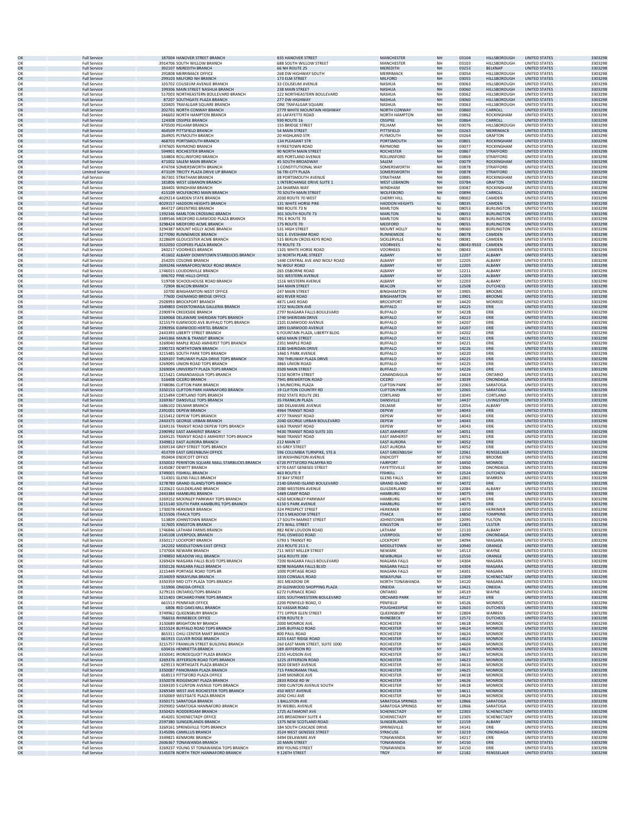| OK<br>OK<br>OK | <b>Full Service</b>                        | 187004 HANOVER STREET BRANCH                                                     | 835 HANOVER STREET                                        | <b>MANCHESTER</b>                           | <b>NH</b>              | 03104               | <b>HILLSBOROUGH</b>                    | <b>UNITED STATES</b>                         | 3303298            |
|----------------|--------------------------------------------|----------------------------------------------------------------------------------|-----------------------------------------------------------|---------------------------------------------|------------------------|---------------------|----------------------------------------|----------------------------------------------|--------------------|
|                | <b>Full Service</b><br><b>Full Service</b> | 3914706 SOUTH WILLOW BRANCH<br>392107 MEREDITH BRANCH                            | <b>688 SOUTH WILLOW STREET</b><br>66 NH ROUTE 25          | MANCHESTER<br>MEREDITH                      | <b>NH</b><br><b>NH</b> | 03103<br>03253      | <b>HILLSBOROUGH</b><br><b>BELKNAP</b>  | UNITED STATES<br><b>UNITED STATES</b>        | 3303298<br>3303298 |
|                | <b>Full Service</b>                        | 291808 MERRIMACK OFFICE                                                          | 268 DW HIGHWAY SOUTH                                      | MERRIMACK                                   | NH                     | 03054               | HILLSBOROUGH                           | <b>UNITED STATES</b>                         | 3303298            |
| OK<br>OK       | <b>Full Service</b><br><b>Full Service</b> | 299103 MILFORD NH BRANCH<br>335702 COLISEUM AVENUE BRANCH                        | 173 ELM STREET<br>33 COLISEUM AVENUE                      | MILFORD<br>NASHUA                           | <b>NH</b><br>NH        | 03055<br>03063      | HILLSBOROUGH<br>HILLSBOROUGH           | <b>UNITED STATES</b><br><b>UNITED STATES</b> | 3303298<br>3303298 |
| OK             | <b>Full Service</b>                        | 199306 MAIN STREET NASHUA BRANCH                                                 | 238 MAIN STREET                                           | <b>NASHUA</b>                               | <b>NH</b>              | 03060               | <b>HILLSBOROUGH</b>                    | <b>UNITED STATES</b>                         | 3303298            |
| OK<br>OK       | <b>Full Service</b><br><b>Full Service</b> | 517003 NORTHEASTERN BOULEVARD BRANCH<br>87207 SOUTHGATE PLAZA BRANCH             | 122 NORTHEASTERN BOULEVARD<br>277 DW HIGHWAY              | NASHUA<br>NASHUA                            | NH<br>NH               | 03062<br>03060      | HILLSBOROUGH<br><b>HILLSBOROUGH</b>    | <b>UNITED STATES</b><br><b>UNITED STATES</b> | 3303298<br>3303298 |
| OK             | <b>Full Service</b>                        | 520405 TRAFALGAR SQUARE BRANCH                                                   | ONE TRAFALGAR SQUARE                                      | <b>NASHUA</b>                               | NH                     | 03063               | HILLSBOROUGH                           | UNITED STATES                                | 3303298            |
| OK<br>OK       | <b>Full Service</b><br><b>Full Service</b> | 202701 NORTH CONWAY BRANCH<br>246602 NORTH HAMPTON BRANCH                        | 2779 WHITE MOUNTAIN HIGHWAY<br>65 LAFAYETTE ROAD          | NORTH CONWAY<br><b>NORTH HAMPTON</b>        | NH<br>NH               | 03860<br>03862      | CARROLL<br><b>ROCKINGHAM</b>           | <b>UNITED STATES</b><br><b>UNITED STATES</b> | 3303298<br>3303298 |
| OK             | <b>Full Service</b>                        | 124308 OSSIPEE BRANCH                                                            | 930 ROUTE 16                                              | <b>OSSIPEE</b>                              | <b>NH</b>              | 03864               | CARROLL                                | <b>UNITED STATES</b>                         | 3303298            |
| OK<br>OK       | <b>Full Service</b><br><b>Full Service</b> | 470500 PELHAM BRANCH<br>464509 PITTSFIELD BRANCH                                 | <b>155 BRIDGE STREET</b><br>54 MAIN STREET                | PELHAM<br>PITTSFIELD                        | NH<br><b>NH</b>        | 03076<br>03263      | HILLSBOROUGH<br>MERRIMACK              | <b>UNITED STATES</b><br><b>UNITED STATES</b> | 3303298<br>3303298 |
| OK             | <b>Full Service</b>                        | 264905 PLYMOUTH BRANCH                                                           | 20 HIGHLAND STR                                           | PLYMOUTH                                    | NH                     | 03264               | <b>GRAFTON</b>                         | <b>UNITED STATES</b>                         | 3303298            |
| OK<br>OK       | <b>Full Service</b><br><b>Full Service</b> | 468703 PORTSMOUTH BRANCH<br>3747605 RAYMOND BRANCH                               | 134 PLEASANT STR<br>9 FREETOWN ROAD                       | PORTSMOUTH<br>RAYMOND                       | NH<br>NH               | 03801<br>03077      | <b>ROCKINGHAM</b><br><b>ROCKINGHAM</b> | <b>UNITED STATES</b><br><b>UNITED STATES</b> | 3303298<br>3303298 |
| OK             | <b>Full Service</b>                        | 594901 ROCHESTER BRANCH                                                          | 90 NORTH MAIN STREET                                      | <b>ROCHESTER</b>                            | <b>NH</b>              | 03867               | <b>STRAFFORD</b>                       | <b>UNITED STATES</b>                         | 3303298            |
| OK             | <b>Full Service</b>                        | 534804 ROLLINSFORD BRANCH<br>471002 SALEM MAIN BRANCH                            | 405 PORTLAND AVENUE<br><b>45 SOUTH BROADWAY</b>           | ROLLINSFORD                                 | NH<br>NH               | 03869<br>03079      | STRAFFORD<br><b>ROCKINGHAN</b>         | <b>UNITED STATES</b><br><b>UNITED STATES</b> | 3303298            |
| OK<br>OK       | <b>Full Service</b><br><b>Full Service</b> | 474704 SOMERSWORTH BRANCH                                                        | 1 CONSTITUTIONAL WAY                                      | SALEM<br>SOMERSWORTH                        | NH                     | 03878               | STRAFFORD                              | <b>UNITED STATES</b>                         | 3303298<br>3303298 |
| OK             | <b>Limited Service</b>                     | 473109 TRICITY PLAZA DRIVE UP BRANCH                                             | 56 TRI-CITY PLAZA                                         | SOMERSWORTH                                 | NH                     | 03878               | STRAFFORD                              | <b>UNITED STATES</b>                         | 3303298            |
| OK<br>OK       | <b>Full Service</b><br><b>Full Service</b> | 367301 STRATHAM BRANCH<br>181806 WEST LEBANON BRANCH                             | 38 PORTSMOUTH AVENUE<br>1 INTERCHANGE DRIVE SUITE :       | <b>STRATHAM</b><br><b>WEST LEBANON</b>      | NH<br>NH               | 03885<br>03784      | ROCKINGHAM<br><b>GRAFTON</b>           | UNITED STATES<br><b>UNITED STATES</b>        | 3303298<br>3303298 |
| OK             | <b>Full Service</b>                        | 184405 WINDHAM BRANCH                                                            | 2A SHARMA WAY                                             | WINDHAM                                     | NH                     | 03087               | <b>ROCKINGHAM</b>                      | <b>UNITED STATES</b>                         | 3303298            |
| OK<br>OK       | <b>Full Service</b><br><b>Full Service</b> | 415109 WOLFEBORO MAIN BRANCH<br>4029214 GARDEN STATE BRANCH                      | 70 SOUTH MAIN STREET<br>2030 ROUTE 70 WEST                | WOLFEBORO<br><b>CHERRY HILL</b>             | NH<br>NJ               | 03894<br>08002      | CARROLL<br>CAMDEN                      | <b>UNITED STATES</b><br><b>UNITED STATES</b> | 3303298<br>3303298 |
| OK             | <b>Full Service</b>                        | 4029157 HADDON HEIGHTS BRANCH                                                    | <b>131 WHITE HORSE PIKE</b>                               | <b>HADDON HEIGHTS</b>                       | <b>NJ</b><br>NI        | 08035               | CAMDEN                                 | <b>UNITED STATES</b>                         | 3303298            |
| OK<br>OK       | <b>Full Service</b><br><b>Full Service</b> | 844727 GREENTREE BRANCH<br>1392346 MARLTON CROSSING BRANCH                       | 980 ROUTE 73 N<br>301 SOUTH ROUTE 73                      | MARLTON<br><b>MARLTON</b>                   | $\mathsf{NJ}$          | 08053<br>08053      | <b>BURLINGTON</b><br><b>BURLINGTON</b> | UNITED STATES<br><b>UNITED STATES</b>        | 3303298<br>3303298 |
| OK             | <b>Full Service</b>                        | 3389546 MEDFORD ELMWOOD PLAZA BRANCH                                             | 791 E ROUTE 70                                            | MARLTON                                     | NJ                     | 08053               | <b>BURLINGTON</b>                      | <b>UNITED STATES</b>                         | 3303298            |
| OK<br>OK       | <b>Full Service</b><br><b>Full Service</b> | 3298424 MEDFORD ACME BRANCH<br>3294387 MOUNT HOLLY ACME BRANCH                   | <b>175 ROUTE 70</b><br>531 HIGH STREET                    | MEDFORD<br>MOUNT HOLLY                      | NJ<br>NJ               | 08055<br>08060      | <b>BURLINGTON</b><br><b>BURLINGTON</b> | <b>UNITED STATES</b><br><b>UNITED STATES</b> | 3303298<br>3303298 |
| OK             | <b>Full Service</b>                        | 3277090 RUNNEMEDE BRANCH                                                         | 501 E. EVESHAM ROAD                                       | <b>RUNNEMEDE</b>                            | <b>NJ</b>              | 08078               | CAMDEN                                 | <b>UNITED STATES</b>                         | 3303298            |
| O۴<br>OK       | <b>Full Service</b><br><b>Full Service</b> | 3228609 GLOUCESTER ACME BRANCH<br>3552050 COOPERS PLAZA BRANCH                   | 515 BERLIN CROSS KEYS ROAD<br><b>79 ROUTE 73</b>          | SICKLERVILLE<br><b>VOORHEES</b>             | NJ<br>$\mathsf{NJ}$    | 08081<br>08043-9533 | CAMDEN<br>CAMDEN                       | <b>UNITED STATES</b><br><b>UNITED STATES</b> | 3303298<br>3303298 |
| OK             | <b>Full Service</b>                        | 240217 VOORHEES BRANCH                                                           | 1101 WHITE HORSE ROAD                                     | VOORHEES                                    | NJ                     | 08043               | CAMDEN                                 | UNITED STATES                                | 3303298            |
| OK<br>OK       | <b>Full Service</b><br><b>Full Service</b> | 451602 ALBANY DOWNTOWN STARBUCKS BRANCH<br>254205 COLONIE BRANCH                 | 10 NORTH PEARL STREET<br>1440 CENTRAL AVE AND WOLF ROAD   | ALBANY<br>ALBANY                            | <b>NY</b><br>NY        | 12207<br>12205      | ALBANY<br><b>ALBANY</b>                | <b>UNITED STATES</b><br><b>UNITED STATES</b> | 3303298<br>3303298 |
| OK             | <b>Full Service</b>                        | 2693246 HANNAFORD/WOLF ROAD BRANCH                                               | 96 WOLF ROAD                                              | ALBANY                                      | <b>NY</b>              | 12205               | ALBANY                                 | <b>UNITED STATES</b>                         | 3303298            |
| OK<br>OK       | <b>Full Service</b><br><b>Full Service</b> | 1746015 LOUDONVILLE BRANCH<br>696702 PINE HILLS OFFICE                           | 265 OSBORNE ROAD<br>501 WESTERN AVENUE                    | ALBANY<br>ALBANY                            | NY<br><b>NY</b>        | 12211<br>12203      | ALBANY<br>ALBANY                       | <b>UNITED STATES</b><br><b>UNITED STATES</b> | 3303298<br>3303298 |
| OK             | <b>Full Service</b>                        | 519708 SCHOOLHOUSE ROAD BRANCH                                                   | 1516 WESTERN AVENUE                                       | ALBANY                                      | NY                     | 12203               | ALBANY                                 | <b>UNITED STATES</b>                         | 3303298            |
| OK<br>OK       | <b>Full Service</b><br><b>Full Service</b> | 72904 BEACON BRANCH<br>10700 BINGHAMTON-WEST OFFICE                              | <b>344 MAIN STREET</b><br>247 MAIN STREET                 | <b>BEACON</b><br><b>BINGHAMTON</b>          | <b>NY</b><br>NY        | 12508<br>13905      | <b>DUTCHESS</b><br><b>BROOME</b>       | <b>UNITED STATES</b><br><b>UNITED STATES</b> | 3303298<br>3303298 |
| OK             | <b>Full Service</b>                        | 77600 CHENANGO BRIDGE OFFICE                                                     | 603 RIVER ROAD                                            | <b>BINGHAMTON</b>                           | <b>NY</b>              | 13901               | <b>BROOME</b>                          | <b>UNITED STATES</b>                         | 3303298            |
| OK<br>OK       | <b>Full Service</b><br><b>Full Service</b> | 2928993 BROCKPORT BRANCH<br>3349803 CHEEKTOWAGA GALLERIA BRANCH                  | 4871 LAKE ROAD<br>1722 WALDEN AVE                         | <b>BROCKPORT</b><br><b>BUFFALO</b>          | NY<br><b>NY</b>        | 14420<br>14225      | MONROE<br>ERIE                         | <b>UNITED STATES</b><br><b>UNITED STATES</b> | 3303298<br>3303298 |
| OK             | <b>Full Service</b>                        | 2390974 CREEKSIDE BRANCH                                                         | 2797 NIAGARA FALLS BOULEVARD                              | <b>BUFFALO</b>                              | NY                     | 14228               | ERIE                                   | <b>UNITED STATES</b>                         | 3303298            |
| OK<br>OK       | <b>Full Service</b><br><b>Full Service</b> | 3269068 DELAWARE SHERIDAN TOPS BRANCH<br>3215579 ELMWOOD AVE BUFFALO TOPS BRANCH | 1740 SHERIDAN DRIVE<br>2101 ELMWOOD AVENUE                | <b>BUFFALO</b><br><b>BUFFALC</b>            | <b>NY</b><br>NY        | 14223<br>14207      | ERIE<br>ERIE                           | <b>UNITED STATES</b><br>UNITED STATES        | 3303298<br>3303298 |
| OK             | <b>Full Service</b>                        | 2390956 ELMWOOD HERTEL BRANCH                                                    | 1893 ELMWOOD AVENUE                                       | <b>BUFFALO</b>                              | <b>NY</b>              | 14207               | ERIE                                   | <b>UNITED STATES</b>                         | 3303298            |
| OK<br>OK       | <b>Full Service</b><br><b>Full Service</b> | 2443393 LIBERTY STREET BRANCH<br>2443366 MAIN & TRANSIT BRANCH                   | 6 FOUNTAIN PLAZA, LIBERTY BLDG<br><b>6850 MAIN STREET</b> | <b>BUFFALO</b><br><b>BUFFALO</b>            | NY<br><b>NY</b>        | 14202<br>14221      | ERIE<br>ERIE                           | <b>UNITED STATES</b><br><b>UNITED STATES</b> | 3303298<br>3303298 |
| OK             | <b>Full Service</b>                        | 3269040 MAPLE ROAD AMHERST TOPS BRANCH                                           | 2351 MAPLE ROAD                                           | <b>BUFFALO</b>                              | NY                     | 14221               | ERIE                                   | <b>UNITED STATES</b>                         | 3303298            |
| OK             | <b>Full Service</b>                        | 2390723 NORTHTOWN BRANCH                                                         | 3180 SHERIDAN DRIVE                                       | <b>BUFFALO</b>                              | <b>NY</b>              | 14226               | ERIE                                   | <b>UNITED STATES</b>                         | 3303298            |
| OK<br>OK       | <b>Full Service</b><br><b>Full Service</b> | 3215485 SOUTH PARK TOPS BRANCH<br>3269107 THRUWAY PLAZA DRIVE TOPS BRANCH        | 1460 S PARK AVENUE<br>700 THRUWAY PLAZA DRIVE             | <b>BUFFALO</b><br><b>BUFFALO</b>            | NY<br><b>NY</b>        | 14220<br>14225      | ERIE<br>ERIE                           | <b>UNITED STATES</b><br><b>UNITED STATES</b> | 3303298<br>3303298 |
| OK             | <b>Full Service</b>                        | 3269095 UNION ROAD TOPS BRANCH                                                   | 3865 UNION ROAD                                           | <b>BUFFALO</b>                              | NY                     | 14225               | ERIE                                   | <b>UNITED STATES</b>                         | 3303298            |
| OK<br>OK       | <b>Full Service</b><br><b>Full Service</b> | 3269004 UNIVERSITY PLAZA TOPS BRANCH<br>3215421 CANANDAIGUA TOPS BRANCH          | 3500 MAIN STREET<br>5150 NORTH STREET                     | <b>BUFFALO</b><br>CANANDAIGUA               | <b>NY</b><br>NY        | 14226<br>14424      | ERIE<br>ONTARIO                        | <b>UNITED STATES</b><br><b>UNITED STATES</b> | 3303298<br>3303298 |
| OK             | <b>Full Service</b>                        | 516408 CICERO BRANCH                                                             | 7941 BREWERTON ROAD                                       | <b>CICERO</b>                               | <b>NY</b>              | 13039               | ONONDAGA                               | <b>UNITED STATES</b>                         | 3303298            |
| OK<br>OK       | <b>Full Service</b><br><b>Full Service</b> | 3748086 CLIFTON PARK BRANCH<br>3350153 CLIFTON PARK HANNAFORD BRANCH             | 1 MUNICIPAL PLAZA<br><b>19 CLIFTON COUNTRY RD</b>         | <b>CLIFTON PARK</b><br><b>CLIFTON PARK</b>  | NY<br><b>NY</b>        | 12065<br>12065      | SARATOGA<br>SARATOGA                   | <b>UNITED STATES</b><br><b>UNITED STATES</b> | 3303298<br>3303298 |
| OK             | <b>Full Service</b>                        | 3215494 CORTLAND TOPS BRANCH                                                     | 3932 STATE ROUTE 281                                      | CORTLAND                                    | NY                     | 13045               | CORTLAND                               | UNITED STATES                                | 3303298            |
| OK<br>OK       | <b>Full Service</b><br><b>Full Service</b> | 3269367 DANSVILLE TOPS BRANCH<br>1686102 DELMAR BRANCH                           | 35 FRANKLIN PLAZA<br>180 DELAWARE AVENUE                  | DANSVILLE<br><b>DELMAR</b>                  | NY<br>NY               | 14437<br>12054      | LIVINGSTON<br>ALBANY                   | <b>UNITED STATES</b><br><b>UNITED STATES</b> | 3303298<br>3303298 |
| OK             | <b>Full Service</b>                        | 2391001 DEPEW BRANCH                                                             | 4964 TRANSIT ROAD                                         | <b>DEPEW</b>                                | <b>NY</b>              | 14043               | ERIE                                   | <b>UNITED STATES</b>                         | 3303298            |
| OK<br>OK       | <b>Full Service</b><br><b>Full Service</b> | 3215412 DEPEW TOPS BRANCH<br>2443375 GEORGE URBAN BRANCH                         | 4777 TRANSIT ROAD<br>2040 GEORGE URBAN BOULEVARD          | DEPEW<br><b>DEPEW</b>                       | NY<br><b>NY</b>        | 14043<br>14043      | ERIE<br>ERIE                           | <b>UNITED STATES</b><br><b>UNITED STATES</b> | 3303298<br>3303298 |
| OK             | <b>Full Service</b>                        | 3269116 TRANSIT ROAD DEPEW TOPS BRANCH                                           | 6363 TRANSIT ROAD                                         | DEPEW                                       | NY                     | 14043               | ERIE                                   | <b>UNITED STATES</b>                         | 3303298            |
| OK<br>OK       | <b>Full Service</b><br><b>Full Service</b> | 2390992 EAST AMHERST BRANCH<br>3269125 TRANSIT ROAD E AMHERST TOPS BRANCH        | 9430 TRANSIT ROAD SUITE 101<br>9660 TRANSIT ROAD          | <b>EAST AMHERST</b><br><b>EAST AMHERST</b>  | <b>NY</b><br>NY        | 14051<br>14051      | ERIE<br>FRIF                           | <b>UNITED STATES</b><br><b>UNITED STATES</b> | 3303298<br>3303298 |
| OK             | <b>Full Service</b>                        | 3349812 EAST AURORA BRANCH                                                       | 212 MAIN ST                                               | <b>EAST AURORA</b>                          | <b>NY</b>              | 14052               | ERIE                                   | <b>UNITED STATES</b>                         | 3303298            |
| OK<br>OK       | <b>Full Service</b>                        | 3269134 GREY STREET TOPS BRANCH<br>453709 EAST GREENBUSH OFFICE                  | <b>65 GREY STREET</b><br>596 COLUMBIA TURNPIKE, STE.6     | <b>EAST AURORA</b><br><b>EAST GREENBUSH</b> | NY<br><b>NY</b>        | 14052<br>12061      | ERIE<br>RENSSELAER                     | <b>UNITED STATES</b><br><b>UNITED STATES</b> | 3303298<br>3303298 |
| OK             |                                            |                                                                                  | 18 WASHINGTON AVENUE                                      |                                             |                        | 13760               | BROOME                                 | <b>UNITED STATES</b>                         | 3303298            |
|                | <b>Full Service</b><br><b>Full Service</b> | 950404 ENDICOTT OFFICE                                                           |                                                           | <b>ENDICOTT</b>                             | NY                     |                     |                                        | <b>UNITED STATES</b>                         | 3303298<br>3303298 |
| OK             | <b>Full Service</b>                        | 3350032 PERINTON SQUARE MALL STARBUCKS BRANCH                                    | 6720 PITTSFORD PALMYRA RD                                 | <b>FAIRPORT</b>                             | <b>NY</b>              | 14450               | <b>MONROE</b>                          |                                              |                    |
| OK<br>OK       | <b>Full Service</b><br><b>Full Service</b> | 3145087 DEWITT BRANCH<br>3749001 FISHKILL BRANCH                                 | 6770 EAST GENESEE STREET<br>463 ROUTE 9                   | <b>FAYETTEVILLE</b><br><b>FISHKILL</b>      | NY<br>NY               | 13066<br>12524      | ONONDAGA<br><b>DUTCHESS</b>            | UNITED STATES<br><b>UNITED STATES</b>        | 3303298            |
| OK             | <b>Full Service</b>                        | 514301 GLENS FALLS BRANCH                                                        | 37 BAY STREET                                             | <b>GLENS FALLS</b>                          | NY                     | 12801               | WARREN                                 | <b>UNITED STATES</b>                         | 3303298            |
| OK<br>OK       | <b>Full Service</b><br><b>Full Service</b> | 3278789 GRAND ISLAND/TOPS BRANCH<br>3220621 GUILDERLAND BRANCH                   | 2140 GRAND ISLAND BOULEVARD<br>2080 WESTERN AVENUE        | <b>GRAND ISLAND</b><br>GUILDERLAND          | <b>NY</b><br>NY        | 14072<br>12084      | ERIE<br>ALBANY                         | <b>UNITED STATES</b><br><b>UNITED STATES</b> | 3303298<br>3303298 |
| OK             | <b>Full Service</b>                        | 2443384 HAMBURG BRANCH                                                           | 5469 CAMP ROAD                                            | <b>HAMBURG</b>                              | <b>NY</b>              | 14075               | ERIE                                   | <b>UNITED STATES</b>                         | 3303298            |
| O۴<br>OK       | <b>Full Service</b><br><b>Full Service</b> | 3269152 MCKINLEY PARKWAY TOPS BRANCH<br>3215140 SOUTH PARK HAMBURG TOPS BRANCH   | 4250 MCKINLEY PARKWAY<br><b>6150 S PARK AVENUE</b>        | HAMBURG<br><b>HAMBURG</b>                   | NY<br><b>NY</b>        | 14075<br>14075      | ERIE<br>ERIE                           | <b>UNITED STATES</b><br><b>UNITED STATES</b> | 3303298<br>3303298 |
| OK             | <b>Full Service</b>                        | 1730078 HERKIMER BRANCH                                                          | 324 PROSPECT STREET                                       | <b>HERKIMER</b>                             | NY                     | 13350               | <b>HFRKIMFR</b>                        | UNITED STATES                                | 3303298            |
| O٢<br>OK       | <b>Full Service</b><br><b>Full Service</b> | 3215506 ITHACA TOPS<br>513809 IOHNSTOWN BRANCH                                   | 710 S MEADOW STREET<br>17 SOUTH MARKET STREET             | <b>ITHACA</b><br><b>JOHNSTOWN</b>           | <b>NY</b><br>NY        | 14850<br>12095      | <b>TOMPKINS</b><br><b>FULTON</b>       | <b>UNITED STATES</b><br><b>UNITED STATES</b> | 3303298<br>3303298 |
| OK             | <b>Full Service</b>                        | 317605 KINGSTON BRANCH                                                           | 273 WALL STREET                                           | KINGSTON                                    | <b>NY</b>              | 12401               | <b>ULSTER</b>                          | <b>UNITED STATES</b>                         | 3303298            |
| OK<br>OK       | <b>Full Service</b><br><b>Full Service</b> | 1746846 LATHAM FARMS BRANCH<br>3145108 LIVERPOOL BRANCH                          | 882 NEW LOUDON ROAD<br>7541 OSWEGO ROAD                   | LATHAM<br>LIVERPOOL                         | NY<br><b>NY</b>        | 12110<br>13090      | ALBANY<br>ONONDAGA                     | <b>UNITED STATES</b><br><b>UNITED STATES</b> | 3303298<br>3303298 |
| OK             | <b>Full Service</b>                        | 3350117 LOCKPORT BRANCH                                                          | 5793 S TRANSIT RD                                         | LOCKPORT                                    | NY                     | 14094               | NIAGARA                                | UNITED STATES                                | 3303298            |
| OK<br>OK       | <b>Full Service</b><br><b>Full Service</b> | 242202 MIDDLETOWN EAST OFFICE<br>1737004 NEWARK BRANCH                           | 253 ROUTE 211 E.<br>711 WEST MILLER STREET                | MIDDLETOWN<br><b>NEWARK</b>                 | <b>NY</b><br>NY        | 10940<br>14513      | ORANGE<br>WAYNE                        | <b>UNITED STATES</b><br><b>UNITED STATES</b> | 3303298<br>3303298 |
| OK             | <b>Full Service</b>                        | 3749850 MEADOW HILL BRANCH                                                       | 1416 ROUTE 300                                            | NEWBURGH                                    | <b>NY</b>              | 12550               | ORANGE                                 | <b>UNITED STATES</b>                         | 3303298            |
| OK<br>OK       | <b>Full Service</b><br><b>Full Service</b> | 3269424 NIAGARA FALLS BLVD TOPS BRANCH<br>3350126 NIAGARA FALLS BRANCH           | 7200 NIAGARA FALLS BOULEVARD<br>8298 NIAGARA FALLS BLVD   | NIAGARA FALLS<br><b>NIAGARA FALLS</b>       | NY<br><b>NY</b>        | 14304<br>14304      | NIAGARA<br><b>NIAGARA</b>              | <b>UNITED STATES</b><br><b>UNITED STATES</b> | 3303298<br>3303298 |
| OK             | <b>Full Service</b>                        | 3215449 PORTAGE ROAD TOPS BR                                                     | 1000 PORTAGE ROAD                                         | NIAGARA FALLS                               | NY                     | 14301               | NIAGARA                                | <b>UNITED STATES</b>                         | 3303298            |
| OK<br>OK       | <b>Full Service</b><br><b>Full Service</b> | 2534059 NISKAYUNA BRANCH<br>3350359 MID CITY PLAZA TOPS BRANCH                   | 3333 CONSAUL ROAD<br>301 MEADOW DR                        | NISKAYUNA<br>NORTH TONAWANDA                | <b>NY</b><br>NY        | 12309<br>14120      | SCHENECTADY<br>NIAGARA                 | <b>UNITED STATES</b><br>UNITED STATES        | 3303298<br>3303298 |
| OK             | <b>Full Service</b>                        | 515906 ONEIDA OFFICE                                                             | 29 GLENWOOD SHOPPING PLAZA                                | ONEIDA                                      | <b>NY</b>              | 13421               | ONEIDA                                 | <b>UNITED STATES</b>                         | 3303298            |
| OK<br>OK       | <b>Full Service</b><br><b>Full Service</b> | 3279133 ONTARIO/TOPS BRANCH<br>3215403 ORCHARD PARK TOPS BRANCH                  | 6272 FURNACE ROAD<br>3201 SOUTHWESTERN BOULEVARD          | ONTARIO<br><b>ORCHARD PARK</b>              | NY<br><b>NY</b>        | 14519<br>14127      | WAYNE<br>ERIE                          | <b>UNITED STATES</b><br><b>UNITED STATES</b> | 3303298<br>3303298 |
| OK             | <b>Full Service</b>                        | 661513 PENNFAIR OFFICE                                                           | 2200 PENFIELD ROAD, O                                     | PENFIELD                                    | NY                     | 14526               | MONROE                                 | <b>UNITED STATES</b>                         | 3303298            |
| OK<br>OK       | <b>Full Service</b><br><b>Full Service</b> | 6806 RED OAKS MILL BRANCH<br>3749962 QUEENSBURY BRANCH                           | 32 VASSAR ROAD<br>771 UPPER GLEN STREET                   | <b>POUGHKEEPSIE</b><br>QUEENSBURY           | <b>NY</b><br>NY        | 12603<br>12804      | <b>DUTCHESS</b><br>WARREN              | <b>UNITED STATES</b><br><b>UNITED STATES</b> | 3303298<br>3303298 |
| OK             | <b>Full Service</b>                        | 766016 RHINEBECK OFFICE                                                          | 6708 ROUTE 9                                              | RHINEBECK                                   | NY                     | 12572               | <b>DUTCHESS</b>                        | <b>UNITED STATES</b>                         | 3303298            |
| OK<br>OK       | <b>Full Service</b><br><b>Full Service</b> | 3150689 BRIGHTON NY BRANCH<br>3215524 BUFFALO ROAD TOPS BRANCH                   | 2000 MONROE AVE<br>2345 BUFFALO ROAD                      | <b>ROCHESTER</b><br><b>ROCHESTER</b>        | NY<br><b>NY</b>        | 14618<br>14624      | <b>MONROE</b><br><b>MONROE</b>         | <b>UNITED STATES</b><br><b>UNITED STATES</b> | 3303298<br>3303298 |
| OK             | <b>Full Service</b>                        | 865311 CHILI CENTER MART BRANCH                                                  | 800 PAUL ROAD                                             | <b>ROCHESTER</b>                            | NY                     | 14624               | MONROE                                 | <b>UNITED STATES</b>                         | 3303298            |
| OK<br>OK       | <b>Full Service</b><br><b>Full Service</b> | 661915 CULVER RIDGE BRANCH<br>3215757 FRANKLIN STREET BUILDING BRANCH            | 2255 EAST RIDGE ROAD<br>260 EAST MAIN STREET, SUITE 1000  | <b>ROCHESTER</b><br><b>ROCHESTER</b>        | <b>NY</b><br>NY        | 14622<br>14604      | <b>MONROE</b><br>MONROE                | <b>UNITED STATES</b><br><b>UNITED STATES</b> | 3303298<br>3303298 |
| OK             | <b>Full Service</b>                        | 630416 HENRIETTA BRANCH                                                          | 589 JEFFERSON RD                                          | <b>ROCHESTER</b>                            | <b>NY</b>              | 14623               | <b>MONROE</b>                          | <b>UNITED STATES</b>                         | 3303298            |
| OK<br>OK       | <b>Full Service</b><br><b>Full Service</b> | 3350041 IRONDEQUOIT PLAZA BRANCH<br>3269376 JEFFERSON ROAD TOPS BRANCH           | 2255 HUDSON AVE<br>1225 JEFFERSON ROAD                    | <b>ROCHESTER</b><br><b>ROCHESTER</b>        | NY<br><b>NY</b>        | 14617<br>14623      | <b>MONROE</b><br><b>MONROE</b>         | UNITED STATES<br><b>UNITED STATES</b>        | 3303298<br>3303298 |
| OK             | <b>Full Service</b>                        | 629513 NORTHGATE PLAZA BRANCH                                                    | 3820 DEWEY AVENUE                                         | <b>ROCHESTER</b>                            | NY                     | 14616               | <b>MONROE</b>                          | <b>UNITED STATES</b>                         | 3303298            |
| OK<br>OK       | <b>Full Service</b><br><b>Full Service</b> | 3350087 PANORAMA PLAZA BRANCH<br>658513 PITTSFORD PLAZA OFFICE                   | 715 PANORAMA TRAIL<br>3349 MONROE AVE                     | <b>ROCHESTER</b><br><b>ROCHESTER</b>        | <b>NY</b><br>NY        | 14625<br>14618      | <b>MONROE</b><br>MONROE                | <b>UNITED STATES</b><br><b>UNITED STATES</b> | 3303298<br>3303298 |
| OK             | <b>Full Service</b>                        | 3350078 RIDGEMONT PLAZA BRANCH                                                   | 2833 RIDGE RD W                                           | <b>ROCHESTER</b>                            | <b>NY</b>              | 14626               | <b>MONROE</b>                          | <b>UNITED STATES</b>                         | 3303298            |
| OK<br>OK       | <b>Full Service</b><br><b>Full Service</b> | 3269330 S CLINTON AVENUE TOPS BRANCH<br>3269349 WEST AVE ROCHESTER TOPS BRANCH   | 1900 CLINTON AVENUE SOUTH<br>450 WEST AVENUE              | <b>ROCHESTER</b><br><b>ROCHESTER</b>        | NY<br><b>NY</b>        | 14618<br>14611      | MONROE<br><b>MONROE</b>                | <b>UNITED STATES</b><br><b>UNITED STATES</b> | 3303298<br>3303298 |
| OK             | <b>Full Service</b>                        | 3350069 WESTGATE PLAZA BRANCH                                                    | 2042 CHILI AVE                                            | <b>ROCHESTER</b>                            | NY                     | 14624               | <b>MONROE</b>                          | UNITED STATES                                | 3303298            |
| OK<br>OK       | <b>Full Service</b><br><b>Full Service</b> | 3350171 SARATOGA BRANCH<br>2929002 SARATOGA HANNAFORD BRANCH                     | 1 BALLSTON AVE<br>95 WEIBEL AVENUE                        | SARATOGA SPRINGS<br><b>SARATOGA SPRINGS</b> | <b>NY</b><br>NY        | 12866<br>12866      | SARATOGA<br>SARATOGA                   | <b>UNITED STATES</b><br><b>UNITED STATES</b> | 3303298<br>3303298 |
| OK             | <b>Full Service</b>                        | 3350425 RODDERDAM BRANCH                                                         | 1725 ALTAMONT AVE                                         | SCHENECTADY                                 | <b>NY</b>              | 12303               | <b>SCHENECTADY</b>                     | <b>UNITED STATES</b>                         | 3303298            |
| OK<br>OK       | <b>Full Service</b><br><b>Full Service</b> | 454201 SCHENECTADY OFFICE<br>2597380 SLINGERLANDS BRANCH                         | 245 BROADWAY SUITE 4<br>1375 NEW SCOTLAND ROAD            | SCHENECTADY<br>SLINGERLANDS                 | NY<br><b>NY</b>        | 12305<br>12159      | SCHENECTADY<br><b>ALBANY</b>           | <b>UNITED STATES</b><br><b>UNITED STATES</b> | 3303298<br>3303298 |
| OK             | <b>Full Service</b>                        | 3269161 SPRINGVILLE TOPS BRANCH                                                  | 184 SOUTH CASCADE DRIVE                                   | SPRINGVILLE                                 | NY                     | 14141               | <b>FRIF</b>                            | UNITED STATES                                | 3303298            |
| OK<br>OK       | <b>Full Service</b><br><b>Full Service</b> | 3145096 CAMILLUS BRANCH<br>3349821 KENMORE BRANCH                                | 3524 WEST GENESEE STREET<br>3494 DELAWARE AVE             | SYRACUSE<br>TONAWANDA                       | NY<br>NY               | 13219<br>14217      | ONONDAGA<br>ERIE                       | UNITED STATES<br><b>UNITED STATES</b>        | 3303298<br>3303298 |
| OK<br>OK       | <b>Full Service</b><br><b>Full Service</b> | 2606367 TONAWANDA BRANCH<br>3269237 YOUNG ST TONAWANDA TOPS BRANCH               | 20 MAIN STREET<br>890 YOUNG STREET                        | TONAWANDA<br>TONAWANDA                      | <b>NY</b><br>NY        | 14150<br>14150      | ERIE<br>ERIE                           | <b>UNITED STATES</b><br><b>UNITED STATES</b> | 3303298<br>3303298 |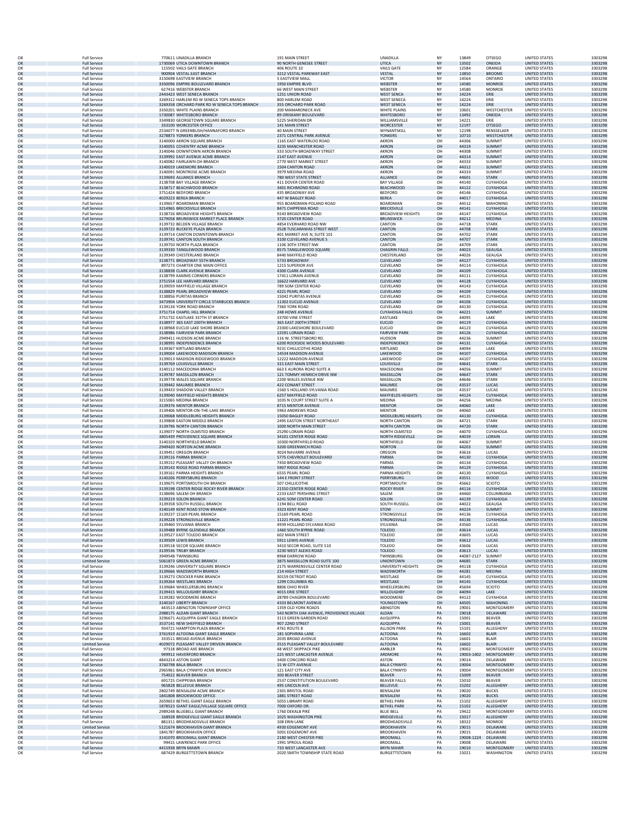|          | <b>Full Service</b>                           | 770611 UNADILLA BRANCH                                               | 191 MAIN STREET                                     | UNADILLA                                   | NY        | 13849          | OTSEGO                    | UNITED STATES                                | 3303298            |
|----------|-----------------------------------------------|----------------------------------------------------------------------|-----------------------------------------------------|--------------------------------------------|-----------|----------------|---------------------------|----------------------------------------------|--------------------|
| OK       | <b>Full Service</b>                           | 1730069 UTICA DOWNTOWN BRANCH                                        | 90 NORTH GENESEE STREET                             | <b>UTICA</b>                               | <b>NY</b> | 13502          | <b>ONEIDA</b>             | <b>UNITED STATES</b>                         | 3303298            |
| OK       | <b>Full Service</b>                           | 115502 VAILS GATE BRANCH                                             | <b>406 ROUTE 32</b>                                 | <b>VAILS GATE</b>                          | NY        | 12584          | ORANGE                    | <b>UNITED STATES</b>                         | 3303298            |
| OK       | <b>Full Service</b>                           | 900904 VESTAL EAST BRANCH                                            | 3212 VESTAL PARKWAY EAST                            | <b>VESTAL</b>                              | <b>NY</b> | 13850          | <b>BROOME</b>             | <b>UNITED STATES</b>                         | 3303298            |
| OK       | <b>Full Service</b>                           | 3150698 EASTVIEW BRANCH                                              | 5 EASTVIEW MALL                                     | <b>VICTOF</b>                              | NY        | 14564          | ONTARIO                   | UNITED STATES                                | 3303298            |
| OK       | <b>Full Service</b>                           | 3350096 EMPIRE BOULEVARD BRANCH                                      | 1950 EMPIRE BLVD                                    | WEBSTER                                    | <b>NY</b> | 14580          | <b>MONROE</b>             | <b>UNITED STATES</b>                         | 3303298            |
| OK       | <b>Full Service</b>                           | 627416 WEBSTER BRANCH                                                | 66 WEST MAIN STREET                                 | WEBSTER                                    | NY        | 14580          | MONROE                    | UNITED STATES                                | 3303298            |
| OK       | <b>Full Service</b>                           | 2443423 WEST SENECA BRANCH                                           | 1251 UNION ROAD                                     | <b>WEST SENCA</b>                          | <b>NY</b> | 14224          | ERIE                      | <b>UNITED STATES</b>                         | 3303298            |
| OK       | <b>Full Service</b>                           | 3269312 HARLEM RD W SENECA TOPS BRANCH                               | 800 HARLEM ROAD                                     | <b>WEST SENECA</b>                         | NY        | 14224          | ERIE                      | <b>UNITED STATES</b>                         | 3303298            |
| OK       | <b>Full Service</b>                           | 3269358 ORCHARD PARK RD W SENECA TOPS BRANCH                         | 355 ORCHARD PARK ROAD                               | <b>WEST SENECA</b>                         | <b>NY</b> | 14224          | ERIE                      | <b>UNITED STATES</b>                         | 3303298            |
| OK       | <b>Full Service</b>                           | 3350201 WHITE PLAINS BRANCH                                          | 200 MAMARONECK AVE                                  | WHITE PLAINS                               | NY        | 10601          | WESTCHESTER               | <b>UNITED STATES</b>                         | 3303298            |
| OK       | <b>Full Service</b>                           | 1730087 WHITESBORO BRANCH                                            | 89 ORISKANY BOULEVARD                               | WHITESBORO                                 | <b>NY</b> | 13492          | ONEIDA                    | <b>UNITED STATES</b>                         | 3303298            |
| OK       | <b>Full Service</b>                           | 3349830 GEORGETOWN SQUARE BRANCH                                     | 5225 SHERIDAN DR                                    | WILLIAMSVILLE                              | NY        | 14221          | ERIE                      | <b>UNITED STATES</b>                         | 3303298            |
| OK       | <b>Full Service</b>                           | 333100 WORCESTER OFFICE                                              | 141 MAIN STREET                                     | WORCESTER                                  | <b>NY</b> | 12197          | <b>OTSEGO</b>             | <b>UNITED STATES</b>                         | 3303298            |
| OK       | <b>Full Service</b>                           | 2534077 N GREENBUSH/HANNAFORD BRANCH                                 | <b>40 MAIN STREET</b>                               | WYNANTSKILL                                | NY        | 12198          | RENSSELAER                | UNITED STATES                                | 3303298            |
| OK       | <b>Full Service</b>                           | 3278873 YONKERS BRANCH                                               | 2371 CENTRAL PARK AVENUE                            | YONKERS                                    | <b>NY</b> | 10710          | <b>WESTCHESTER</b>        | <b>UNITED STATES</b>                         | 3303298            |
| OK       | <b>Full Service</b>                           | 3140000 AKRON SQUARE BRANCH                                          | 1165 EAST WATERLOO ROAD                             | AKRON                                      | OH        | 44306          | SUMMIT                    | <b>UNITED STATES</b>                         | 3303298            |
| OK       | <b>Full Service</b>                           | 3140055 COVENTRY ACME BRANCH                                         | 3235 MANCHESTER ROAD                                | <b>AKRON</b>                               | OH        | 44319          | <b>SUMMIT</b>             | <b>UNITED STATES</b>                         | 3303298            |
| OK       | <b>Full Service</b>                           | 3140046 DOWNTOWN AKRON BRANCH                                        | 333 SOUTH BROADWAY STREET                           | AKRON                                      | OH        | 44308          | <b>SUMMIT</b>             | <b>UNITED STATES</b>                         | 3303298            |
| OK       | <b>Full Service</b>                           | 3139992 EAST AVENUE ACME BRANCH                                      | 2147 EAST AVENUE                                    | <b>AKRON</b>                               | OH        | 44314          | <b>SUMMIT</b>             | <b>UNITED STATES</b>                         | 3303298            |
| OK       | <b>Full Service</b>                           | 3140082 FAIRLAWN OH BRANCH                                           | 2770 WEST MARKET STREET                             | AKRON                                      | OH        | 44333          | <b>SUMMIT</b>             | UNITED STATES                                | 3303298            |
| OK       | <b>Full Service</b>                           | 3140019 LAKEMORE BRANCH                                              | 1504 CANTON ROAD                                    | AKRON                                      | OH        | 44312          | <b>SUMMIT</b>             | <b>UNITED STATES</b>                         | 3303298            |
| OK       | <b>Full Service</b>                           | 3140091 MONTROSE ACME BRANCH                                         | 3979 MEDINA ROAD                                    | AKRON                                      | OH        | 44333          | SUMMIT                    | <b>UNITED STATES</b>                         | 3303298            |
| OK       | <b>Full Service</b>                           | 3139693 ALLIANCE BRANCH                                              | 780 WEST STATE STREET                               | <b>ALLIANCE</b>                            | OH        | 44601          | <b>STARK</b>              | <b>UNITED STATES</b>                         | 3303298            |
| OK       | <b>Full Service</b>                           | 3138708 BAY VILLAGE BRANCH                                           | 411 DOVER CENTER ROAD                               | <b>BAY VILLAGE</b>                         | OH        | 44140          | CUYAHOGA                  | <b>UNITED STATES</b>                         | 3303298            |
| OK       | <b>Full Service</b>                           | 3138717 BEACHWOOD BRANCH                                             | 3401 RICHMOND ROAD                                  | <b>BEACHWOOD</b>                           | OH        | 44122          | <b>CUYAHOGA</b>           | <b>UNITED STATES</b>                         | 3303298            |
| OK       | <b>Full Service</b>                           | 3751424 BEDFORD BRANCH                                               | 435 BROADWAY AVE                                    | <b>BEDFORD</b>                             | OH        | 44146          | CUYAHOGA                  | UNITED STATES                                | 3303298            |
| OK       | <b>Full Service</b>                           | 4029223 BEREA BRANCH                                                 | 447 W BAGLEY ROAD                                   | <b>BEREA</b>                               | OH        | 44017          | <b>CUYAHOGA</b>           | <b>UNITED STATES</b>                         | 3303298            |
| OK       | <b>Full Service</b>                           | 3139657 BOARDMAN BRANCH                                              | 955 BOARDMAN-POLAND ROAD                            | <b>BOARDMAN</b>                            | OH        | 44512          | MAHONING                  | UNITED STATES                                | 3303298            |
| OK       | <b>Full Service</b>                           | 3214965 BRECKSVILLE BRANCH                                           | 8471 CHIPPEWA ROAD                                  | <b>BRECKSVILLE</b>                         | OH        | 44141          | <b>CUYAHOGA</b>           | <b>UNITED STATES</b>                         | 3303298            |
| OK       | <b>Full Service</b>                           | 3138726 BROADVIEW HEIGHTS BRANCH                                     | 9243 BROADVIEW ROAD                                 | <b>BROADVIEW HEIGHTS</b>                   | OH        | 44147          | CUYAHOGA                  | <b>UNITED STATES</b>                         | 3303298            |
| OK       | <b>Full Service</b>                           | 3279058 BRUNSWICK MARKET PLACE BRANCH                                | 3720 CENTER ROAD                                    | <b>BRUNSWICK</b>                           | OH        | 44212          | <b>MEDINA</b>             | <b>UNITED STATES</b>                         | 3303298            |
| OK       | <b>Full Service</b>                           | 3139732 BELDEN VILLAGE BRANCH                                        | 4854 EVERHARD ROAD NW                               | CANTON                                     | OH        | 44718          | <b>STARK</b>              | <b>UNITED STATES</b>                         | 3303298            |
| OK       | <b>Full Service</b>                           | 3139723 BUCKEYE PLAZA BRANCH                                         | 3528 TUSCARAWAS STREET WEST                         | CANTON                                     | OH        | 44708          | <b>STARK</b>              | <b>UNITED STATES</b>                         | 3303298            |
| OK       | <b>Full Service</b>                           | 3139714 CANTON DOWNTOWN BRANCH                                       | 401 MARKET AVE N, SUITE 101                         | CANTON                                     | OH        | 44702          | <b>STARK</b>              | UNITED STATES                                | 3303298            |
| OK       | <b>Full Service</b>                           | 3139741 CANTON SOUTH BRANCH                                          | 3100 CLEVELAND AVENUE S                             | CANTON                                     | OH        | 44707          | <b>STARK</b>              | <b>UNITED STATES</b>                         | 3303298            |
| OK       | <b>Full Service</b>                           | 3139750 NORTH PLAZA BRANCH                                           | 1106 30TH STREET NW                                 | CANTON                                     | OH        | 44709          | <b>STARK</b>              | <b>UNITED STATES</b>                         | 3303298            |
| OK       | <b>Full Service</b>                           | 3139330 TANGLEWOOD BRANCH                                            | 8575 TANGLEWOOD SQUARI                              | <b>CHAGRIN FALLS</b>                       | OH        | 44023          | <b>GEAUGA</b>             | <b>UNITED STATES</b>                         | 3303298            |
| OK       | <b>Full Service</b>                           | 3139349 CHESTERLAND BRANCH                                           | 8440 MAYFIELD ROAD                                  | CHESTERLAND                                | OH        | 44026          | GEAUGA                    | <b>UNITED STATES</b>                         | 3303298            |
| OK       | <b>Full Service</b>                           | 3138771 BROADWAY 55TH BRANCH                                         | 5733 BROADWAY                                       | CLEVELAND                                  | OH        | 44127          | <b>CUYAHOGA</b>           | <b>UNITED STATES</b>                         | 3303298            |
| OK       | <b>Full Service</b>                           | 897273 CHARTER ONE MAIN OFFICE                                       | 1215 SUPERIOR AVE                                   | CLEVELAND                                  | OH        | 44114          | CUYAHOGA                  | UNITED STATES                                | 3303298            |
| OK       | <b>Full Service</b>                           | 3138838 CLARK AVENUE BRANCH                                          | 4300 CLARK AVENUE                                   | CLEVELAND                                  | OH        | 44109          | <b>CUYAHOGA</b>           | <b>UNITED STATES</b>                         | 3303298            |
| OK       | <b>Full Service</b>                           | 3138799 KAMMS CORNERS BRANCH                                         | 17411 LORAIN AVENUE                                 | CLEVELAND                                  | OH        | 44111          | CUYAHOGA                  | UNITED STATES                                | 3303298            |
| OK       | <b>Full Service</b>                           | 3751554 LEE HARVARD BRANCH                                           | 16622 HARVARD AVE                                   | CLEVELAND                                  | OH        | 44128          | <b>CUYAHOGA</b>           | <b>UNITED STATES</b>                         | 3303298            |
| OK       | <b>Full Service</b>                           | 3139059 MAYFIELD VILLAGE BRANCH                                      | 789 SOM CENTER ROAD                                 | CLEVELAND                                  | OH        | 44143          | CUYAHOGA                  | <b>UNITED STATES</b>                         | 3303298            |
| OK       | <b>Full Service</b>                           | 3138829 PEARL BROADVIEW BRANCH                                       | 4221 PEARL ROAD                                     | CLEVELAND                                  | OH        | 44109          | <b>CUYAHOGA</b>           | <b>UNITED STATES</b>                         | 3303298            |
| OK       | <b>Full Service</b>                           | 3138856 PURITAS BRANCH                                               | 15042 PURITAS AVENUE                                | CLEVELAND                                  | OH        | 44135          | CUYAHOGA                  | <b>UNITED STATES</b>                         | 3303298            |
| OK       | <b>Full Service</b>                           | 3473904 UNIVERSITY CIRCLE STARBUCKS BRANCH                           | 11302 EUCLID AVENUE                                 | CLEVELAND                                  | OH        | 44106          | <b>CUYAHOGA</b>           | <b>UNITED STATES</b>                         | 3303298            |
| OK       | <b>Full Service</b>                           | 3139134 YORK ROAD BRANCH                                             | 7360 YORK ROAD                                      | CLEVELAND                                  | OH        | 44130          | CUYAHOGA                  | UNITED STATES                                | 3303298            |
| OK       | <b>Full Service</b>                           | 3751714 CHAPEL HILL BRANCH                                           | 248 HOWE AVENUE                                     | <b>CUYAHOGA FALLS</b>                      | OH        | 44221          | <b>SUMMIT</b>             | <b>UNITED STATES</b>                         | 3303298            |
| OK       | <b>Full Service</b>                           | 3751732 EASTLAKE 337TH ST BRANCH                                     | 33700 VINE STREET                                   | EASTLAKE                                   | OH        | 44095          | LAKE                      | UNITED STATES                                | 3303298            |
| OK       | <b>Full Service</b>                           | 3138977 365 EAST 200TH BRANCH                                        | 365 EAST 200TH STREET                               | <b>EUCLID</b>                              | OH        | 44119          | <b>CUYAHOGA</b>           | <b>UNITED STATES</b>                         | 3303298            |
| OK       | <b>Full Service</b>                           | 3138968 EUCLID LAKE SHORE BRANCH                                     | 23300 LAKESHORE BOULEVARD                           | <b>EUCLID</b>                              | OH        | 44123          | CUYAHOGA                  | <b>UNITED STATES</b>                         | 3303298            |
| OK       | <b>Full Service</b>                           | 3138986 FAIRVIEW PARK BRANCH                                         | 22591 LORAIN ROAD                                   | <b>FAIRVIEW PARK</b>                       | OH        | 44126          | <b>CUYAHOGA</b>           | <b>UNITED STATES</b>                         | 3303298            |
| OK       | <b>Full Service</b>                           | 2949411 HUDSON ACME BRANCH                                           | 116 W. STREETSBORO RD                               | <b>HUDSON</b>                              | OH        | 44236          | <b>SUMMIT</b>             | UNITED STATES                                | 3303298            |
| OK       | <b>Full Service</b>                           | 3138995 INDEPENDENCE BRANCH                                          | 6200 ROCKSIDE WOODS BOULEVARD                       | INDEPENDENCE                               | OH        | 44131          | <b>CUYAHOGA</b>           | <b>UNITED STATES</b>                         | 3303298            |
| OK       | <b>Full Service</b>                           | 3139367 KIRTLAND BRANCH                                              | 9231 CHILLICOTHE ROAD                               | KIRTLAND                                   | OH        | 44094          | LAKE                      | UNITED STATES                                | 3303298            |
| OK       | <b>Full Service</b>                           | 3139004 LAKEWOOD MADISON BRANCH                                      | 14534 MADISON AVENUE                                | LAKEWOOD                                   | OH        | 44107          | <b>CUYAHOGA</b>           | <b>UNITED STATES</b>                         | 3303298            |
| OK       | <b>Full Service</b>                           | 3139013 MADISON RIDGEWOOD BRANCH                                     | 12222 MADISON AVENUE                                | LAKEWOOD                                   | OH        | 44107          | CUYAHOGA                  | <b>UNITED STATES</b>                         | 3303298            |
| OK       | <b>Full Service</b>                           | 3139769 LOUISVILLE BRANCH                                            | 315 EAST MAIN STREET                                | LOUISVILLE                                 | OH        | 44641          | <b>STARK</b>              | <b>UNITED STATES</b>                         | 3303298            |
| OK       | <b>Full Service</b>                           | 3140112 MACEDONIA BRANCH                                             | 663 E AURORA ROAD SUITE A                           | MACEDONIA                                  | OH        | 44056          | SUMMIT                    | <b>UNITED STATES</b>                         | 3303298            |
| OK       | <b>Full Service</b>                           | 3139787 MASSILLON BRANCH                                             | 121 TOMMY HENRICH DRIVE NW                          | MASSILLON                                  | OH        | 44647          | <b>STARK</b>              | <b>UNITED STATES</b>                         | 3303298            |
| OK       | <b>Full Service</b>                           | 3139778 WALES SQUARE BRANCH                                          | 2200 WALES AVENUE NW                                | MASSILLON                                  | OH        | 44646          | <b>STARK</b>              | UNITED STATES                                | 3303298            |
| OK       | <b>Full Service</b>                           | 3139442 MAUMEE BRANCH                                                | 422 CONANT STREET                                   | MAUMEE                                     | OH        | 43537          | LUCAS                     | <b>UNITED STATES</b>                         | 3303298            |
| OK       | <b>Full Service</b>                           | 3139433 SHADOW VALLEY BRANCH                                         | 1560 S HOLLAND-SYLVANIA ROAD                        | MAUMEE                                     | OH        | 43537          | LUCAS                     | UNITED STATES                                | 3303298            |
| OK       | <b>Full Service</b>                           | 3139040 MAYFIELD HEIGHTS BRANCH                                      | 6257 MAYFIELD ROAD                                  | <b>MAYFIELDS HEIGHTS</b>                   | OH        | 44124          | <b>CUYAHOGA</b>           | <b>UNITED STATES</b>                         | 3303298            |
| OK       | <b>Full Service</b>                           | 3215065 MEDINA BRANCH                                                | 1035 N COURT STREET SUITE A                         | MEDINA                                     | OH        | 44256          | MEDINA                    | <b>UNITED STATES</b>                         | 3303298            |
| OK       | <b>Full Service</b>                           | 3139376 MENTOR BRANCH                                                | 8715 MENTOR AVENUE                                  | <b>MENTOR</b>                              | OH        | 44060          | LAKE                      | <b>UNITED STATES</b>                         | 3303298            |
| OK       | <b>Full Service</b>                           | 3139406 MENTOR-ON-THE-LAKE BRANCH                                    | 5963 ANDREWS ROAD                                   | <b>MENTOR</b>                              | OH        | 44060          | LAKE                      | <b>UNITED STATES</b>                         | 3303298            |
| OK       | <b>Full Service</b>                           | 3139068 MIDDLEBURG HEIGHTS BRANCH                                    | 15050 BAGLEY ROAD                                   | MIDDLEBURG HEIGHTS                         | OH        | 44130          | CUYAHOGA                  | <b>UNITED STATES</b>                         | 3303298            |
| OK       | <b>Full Service</b>                           | 3139808 EASTON MIDDLE BRANCH                                         | 2495 EASTON STREET NORTHEAST                        | <b>NORTH CANTON</b>                        | OH        | 44721          | <b>STARK</b>              | UNITED STATES                                | 3303298            |
| OK       | <b>Full Service</b>                           | 3139796 NORTH CANTON BRANCH                                          | 1000 NORTH MAIN STREET                              | <b>NORTH CANTON</b>                        | OH        | 44720          | <b>STARK</b>              | <b>UNITED STATES</b>                         | 3303298            |
| OK       | <b>Full Service</b>                           | 3139077 NORTH OLMSTED BRANCH                                         | 25290 LORAIN ROAD                                   | NORTH OLMSTED                              | OH        | 44070          | CUYAHOGA                  | <b>UNITED STATES</b>                         | 3303298            |
| OK       | <b>Full Service</b>                           | 3805439 PROVIDENCE SQUARE BRANCH                                     | 34101 CENTER RIDGE ROAD                             | <b>NORTH RIDGEVILLE</b>                    | OH        | 44039          | LORAIN                    | <b>UNITED STATES</b>                         | 3303298            |
| OK       | <b>Full Service</b>                           | 3140103 NORTHFIELD BRANCH                                            | 10300 NORTHFIELD ROAD                               | NORTHFIELD                                 | OH        | 44067          | SUMMIT                    | <b>UNITED STATES</b>                         | 3303298            |
| OK       | <b>Full Service</b>                           | 2949420 NORTON ACME BRANCH                                           | 3200 GREENWICH ROAD                                 | <b>NORTON</b>                              | OH        | 44203          | <b>SUMMIT</b>             | <b>UNITED STATES</b>                         | 3303298            |
| OK       | <b>Full Service</b>                           | 3139451 OREGON BRANCH                                                | 3024 NAVARRE AVENUE                                 | OREGON                                     | OH        | 43616          | LUCAS                     | UNITED STATES                                | 3303298            |
| OK       | <b>Full Service</b>                           | 3139116 PARMA BRANCH                                                 | 5775 CHEVROLET BOULEVARD                            | PARMA                                      | OH        | 44130          | <b>CUYAHOGA</b>           | <b>UNITED STATES</b>                         | 3303298            |
| OK       | <b>Full Service</b>                           | 3139152 PLEASANT VALLEY OH BRANCH                                    | 7450 BROADVIEW ROAD                                 | PARMA                                      | OH        | 44134          | CUYAHOGA                  | UNITED STATES                                | 3303298            |
| OK       | <b>Full Service</b>                           | 3139143 RIDGE ROAD PARMA BRANCH                                      | 5907 RIDGE ROAD                                     | PARMA                                      | OH        | 44129          | <b>CUYAHOGA</b>           | <b>UNITED STATES</b>                         | 3303298            |
| OK       | <b>Full Service</b>                           | 3139161 PARMA HEIGHTS BRANCH                                         | 6555 PEARL ROAD                                     | PARMA HEIGHTS                              | OH        | 44130          | CUYAHOGA                  | <b>UNITED STATES</b>                         | 3303298            |
| OK       | <b>Full Service</b>                           | 3140206 PERRYSBURG BRANCH                                            | 144 E FRONT STREET                                  | PERRYSBURG                                 | OH        | 43551          | <b>WOOD</b>               | <b>UNITED STATES</b>                         | 3303298            |
| OK       | <b>Full Service</b>                           | 3139675 PORTSMOUTH OH BRANCH                                         | 507 CHILLICOTHE                                     | PORTSMOUTH                                 | OH        | 45662          | <b>SCIOTO</b>             | <b>UNITED STATES</b>                         | 3303298            |
| OK       | <b>Full Service</b>                           | 3139198 CENTER RIDGE ROCKY RIVER BRANCH                              | 21550 CENTER RIDGE ROAD                             | <b>ROCKY RIVER</b>                         | OH        | 44116          | <b>CUYAHOGA</b>           | <b>UNITED STATES</b>                         | 3303298            |
| OK       | <b>Full Service</b>                           | 3138696 SALEM OH BRANCH                                              | 2233 EAST PERSHING STREET<br>6241 SOM CENTER ROAD   | SALEM                                      | OH        | 44460          | COLUMBIANA                | UNITED STATES                                | 3303298            |
| OK<br>OK | <b>Full Service</b><br><b>Full Service</b>    | 3139219 SOLON BRANCH<br>3139358 SOUTH RUSSELL BRANCH                 | 1194 BELL ROAD                                      | SOLON<br>SOUTH RUSSELL                     | OH<br>OH  | 44139<br>44022 | <b>CUYAHOGA</b><br>GEAUGA | <b>UNITED STATES</b><br><b>UNITED STATES</b> | 3303298<br>3303298 |
| OK       | <b>Full Service</b>                           | 3140149 KENT ROAD STOW BRANCH                                        | 3323 KENT ROAD                                      | <b>STOW</b>                                | OH        | 44224          | <b>SUMMIT</b>             | <b>UNITED STATES</b>                         | 3303298            |
| OK       | <b>Full Service</b>                           | 3139237 15169 PEARL BRANCH                                           | 15169 PEARL ROAD                                    | <b>STRONGSVILLE</b>                        | OH        | 44136          | CUYAHOGA                  | <b>UNITED STATES</b>                         | 3303298            |
| OK       | <b>Full Service</b>                           | 3139228 STRONGSVILLE BRANCH<br>3139460 SYLVANIA BRANCH               | 11221 PEARL ROAD                                    | STRONGSVILLE                               | OH        | 44136          | <b>CUYAHOGA</b>           | <b>UNITED STATES</b>                         | 3303298            |
| OK<br>OK | <b>Full Service</b><br><b>Full Service</b>    | 3139488 BYRNE GLENDALE BRANCH                                        | 4939 HOLLAND SYLVANIA ROAD<br>1460 SOUTH BYRNE ROAD | SYLVANIA<br><b>TOLEDO</b>                  | OH<br>OH  | 43560<br>43614 | LUCAS<br>LUCAS            | UNITED STATES<br><b>UNITED STATES</b>        | 3303298<br>3303298 |
| OK       | <b>Full Service</b>                           | 3139527 EAST TOLEDO BRANCH                                           | 602 MAIN STREET                                     | TOLEDO                                     | OH        | 43605          | LUCAS                     | <b>UNITED STATES</b>                         | 3303298            |
| OK       | <b>Full Service</b>                           | 3139509 LEWIS BRANCH                                                 | 5911 LEWIS AVENUE                                   | <b>TOLEDO</b>                              | OH        | 43612          | LUCAS                     | <b>UNITED STATES</b>                         | 3303298            |
| OK       | <b>Full Service</b>                           | 3139518 SECOR SQUARE BRANCH                                          | 3410 SECOR ROAD, SUITE 510                          | TOLEDO                                     | OH        | 43606          | LUCAS                     | <b>UNITED STATES</b>                         | 3303298            |
| OK       | <b>Full Service</b>                           | 3139536 TRILBY BRANCH                                                | 3230 WEST ALEXIS ROAD                               | <b>TOLEDO</b>                              | OH        | 43613          | <b>LUCAS</b>              | <b>UNITED STATES</b>                         | 3303298            |
| OK       | <b>Full Service</b>                           | 3949548 TWINSBURG                                                    | 8968 DARROW ROAD                                    | TWINSBURG                                  | OH        | 44087-2127     | SUMMIT                    | <b>UNITED STATES</b>                         | 3303298            |
| OK       | <b>Limited Service</b>                        | 5061873 GREEN ACME BRANCH                                            | 3875 MASSILLON ROAD SUITE 100                       | <b>UNIONTOWN</b>                           | OH        | 44685          | <b>STARK</b>              | <b>UNITED STATES</b>                         | 3303298            |
| OK       | <b>Full Service</b>                           | 3139246 UNIVERSITY SQUARE BRANCH                                     | 2175 WARRENSVILLE CENTER ROAD                       | UNIVERSITY HEIGHTS                         | OH        | 44118          | CUYAHOGA                  | <b>UNITED STATES</b>                         | 3303298            |
| OK       | <b>Full Service</b>                           | 3139666 WADSWORTH BRANCH                                             | 214 HIGH STREET                                     | WADSWORTH                                  | OH        | 44281          | MEDINA                    | <b>UNITED STATES</b>                         | 3303298            |
| OK       | <b>Full Service</b>                           | 3139273 CROCKER PARK BRANCH                                          | 30159 DETROIT ROAD                                  | WESTLAKE                                   | OH        | 44145          | CUYAHOGA                  | <b>UNITED STATES</b>                         | 3303298            |
| OK       | <b>Full Service</b>                           | 3139264 WESTLAKE BRANCH                                              | 1299 COLUMBIA RD                                    | WESTLAKE                                   | OH        | 44145          | <b>CUYAHOGA</b>           | <b>UNITED STATES</b>                         | 3303298            |
| OK       | <b>Full Service</b>                           | 3139684 WHEELERSBURG BRANCH                                          | 8806 OHIO RIVER                                     | WHEELERSBURG                               | OH        | 45694          | SCIOTO                    | <b>UNITED STATES</b>                         | 3303298            |
| OK       | <b>Full Service</b>                           | 3139415 WILLOUGHBY BRANCH                                            | 4015 ERIE STREET                                    | <b>WILLOUGHBY</b>                          | OH        | 44094          | LAKE                      | <b>UNITED STATES</b>                         | 3303298            |
| OK       | <b>Full Service</b>                           | 3139282 WOODMERE BRANCH                                              | 28789 CHAGRIN BOULEVARD                             | WOODMERE                                   | OH        | 44122          | CUYAHOGA                  | UNITED STATES                                | 3303298            |
| OK       | <b>Full Service</b>                           | 3140167 LIBERTY BRANCH                                               | 4333 BELMONT AVENUE                                 | YOUNGSTOWN                                 | OH        | 44505          | <b>MAHONING</b>           | <b>UNITED STATES</b>                         | 3303298            |
| OK       | <b>Full Service</b>                           | 443513 ABINGTON TOWNSHIP OFFICE                                      | 1359 OLD YORK ROADS                                 | ABINGTON                                   | PA        | 19001          | <b>MONTGOMERY</b>         | <b>UNITED STATES</b>                         | 3303298            |
| OK<br>OK | <b>Full Service</b>                           | 2988175 ALDAN GIANT BRANCH                                           | 543 NORTH OAK AVENUE, PROVIDENCE VILLAGE            | ALDAN<br>ALIQUIPPA                         | PA        | 19018<br>15001 | DELAWARE                  | <b>UNITED STATES</b>                         | 3303298            |
| OK       | <b>Full Service</b><br><b>Full Service</b>    | 3296671 ALIQUIPPA GIANT EAGLE BRANCH<br>3537141 NEW SHEEFIFLD BRANCH | 3113 GREEN GARDEN ROAD<br>907 22ND STREET           | <b>ALIQUIPPA</b>                           | PA<br>PA  | 15001          | BEAVER<br><b>BEAVER</b>   | <b>UNITED STATES</b><br><b>UNITED STATES</b> | 3303298<br>3303298 |
| OK       | <b>Full Service</b>                           | 934721 HAMPTON PLAZA BRANCH                                          | 4761 ROUTE 8                                        | <b>ALLISON PARK</b>                        | PA        | 15101          | ALLEGHENY                 | <b>UNITED STATES</b>                         | 3303298            |
| OK       | <b>Full Service</b>                           | 3761919 ALTOONA GIANT EAGLE BRANCH                                   | 181 SOPHRIRA LANE                                   | <b>ALTOONA</b>                             | PA        | 16602          | <b>BLAIR</b>              | <b>UNITED STATES</b>                         | 3303298            |
| OK       | <b>Full Service</b>                           | 333511 BROAD AVENUE BRANCH                                           | 2035 BROAD AVENUE                                   | <b>ALTOONA</b>                             | PA        | 16601          | <b>BI AIR</b>             | <b>UNITED STATES</b>                         | 3303298            |
| OK       | <b>Limited Service</b>                        | 4029072 PLEASANT VALLEY DRIVEIN BRANCH                               | 3515 PLEASANT VALLEY BOULEVARD                      | <b>ALTOONA</b>                             | PA        | 16602          | <b>BLAIR</b>              | <b>UNITED STATES</b>                         | 3303298            |
| OK       | <b>Full Service</b>                           | 97318 BROAD AXE BRANCH                                               | 48 WEST SKIPPACK PIKE                               | AMBLER                                     | PA        | 19002          | MONTGOMERY                | <b>UNITED STATES</b>                         | 3303298            |
| OK       | <b>Full Service</b>                           | 949912 HAVERFORD BRANCH                                              | 225 WEST LANCASTER AVENUE                           | ARDMORE                                    | PA        | 19003-1402     | <b>MONTGOMERY</b>         | <b>UNITED STATES</b>                         | 3303298            |
| OK       | <b>Full Service</b>                           | 4843214 ASTON GIANT                                                  | 3400 CONCORD ROAD                                   | ASTON                                      | PA        | 19014          | DELAWARE                  | <b>UNITED STATES</b>                         | 3303298            |
| OK       | <b>Full Service</b>                           | 3760798 BALA BRANCH                                                  | <b>15 W CITY AVENUE</b>                             | <b>BALA CYNWYD</b>                         | PA        | 19004          | <b>MONTGOMERY</b>         | <b>UNITED STATES</b>                         | 3303298            |
| OK       | <b>Full Service</b>                           | 2965961 BALA CYNWYD ACME BRANCH                                      | 121 EAST CITY AVE                                   | <b>BALA CYNWYD</b>                         | PA        | 19004          | <b>MONTGOMERY</b>         | UNITED STATES                                | 3303298            |
| OK       | <b>Full Service</b>                           | 754022 BEAVER BRANCH                                                 | 300 BEAVER STREET                                   | BEAVER                                     | PA        | 15009          | <b>BEAVER</b>             | <b>UNITED STATES</b>                         | 3303298            |
| OK       | <b>Full Service</b>                           | 691725 CHIPPEWA BRANCH                                               | 2537 CONSTITUTION BOULEVARD                         | <b>BEAVER FALLS</b>                        | PA        | 15010          | <b>BEAVER</b>             | <b>UNITED STATES</b>                         | 3303298            |
| OK       | <b>Full Service</b>                           | 965828 BELLEVUE BRANCH                                               | 495 LINCOLN AVE                                     | <b>BELLEVUE</b>                            | PA        | 15202          | ALLEGHEN                  | <b>UNITED STATES</b>                         | 3303298            |
| OK       | <b>Full Service</b>                           | 2802749 BENSALEM ACME BRANCH                                         | 2301 BRISTOL ROAD                                   | BENSALEM                                   | PA        | 19020          | <b>BUCKS</b>              | <b>UNITED STATES</b>                         | 3303298            |
| OK       | <b>Full Service</b>                           | 1841808 BROOKWOOD OFFICE                                             | 1881 STREET ROAD                                    | <b>BENSALEM</b>                            | PA        | 19020          | <b>BUCKS</b>              | <b>UNITED STATES</b>                         | 3303298            |
| OK       | <b>Full Service</b>                           | 2659653 BETHEL GIANT EAGLE BRANCH                                    | 5055 LIBRARY ROAD                                   | <b>BETHEL PARK</b>                         | PA        | 15102          | ALLEGHENY                 | <b>UNITED STATES</b>                         | 3303298            |
| OK       | <b>Full Service</b>                           | 1878523 GIANT EAGLE/VILLAGE SQUARE OFFICE                            | 7000 OXFORD DR.                                     | <b>BETHEL PARK</b>                         | PA        | 15102          | <b>ALLEGHENY</b>          | <b>UNITED STATES</b>                         | 3303298            |
| OK       | <b>Full Service</b>                           | 2989248 BLUEBELL GIANT BRANCH                                        | 1760 DEKALB PIKE                                    | <b>BLUE BELL</b>                           | PA        | 19422          | <b>MONTGOMERY</b>         | <b>UNITED STATES</b>                         | 3303298            |
| OK       | <b>Full Service</b>                           | 168928 BRIDGEVILLE GIANT EAGLE BRANCH                                | 1025 WASHINGTON PIKE                                | <b>BRIDGEVILLE</b>                         | PA        | 15017          | ALLEGHENY                 | <b>UNITED STATES</b>                         | 3303298            |
| OK       | <b>Full Service</b>                           | 881311 BRODHEADSVILLE BRANCH                                         | 108 ERIN LANE                                       | <b>BRODHEADSVILLE</b><br><b>BROOKHAVEN</b> | PA        | 18322          | <b>MONROE</b>             | <b>UNITED STATES</b>                         | 3303298            |
| OK<br>OK | <b>Limited Service</b><br><b>Full Service</b> | 5121674 BROOKHAVEN GIANT BRANCH<br>1841787 BROOKHAVEN OFFICE         | 4930 EDGEMONT AVE<br>5001 EDGEMONT AVE              | <b>BROOKHAVEN</b>                          | PA<br>PA  | 19015<br>19015 | DELAWARE<br>DELAWARE      | <b>UNITED STATES</b><br><b>UNITED STATES</b> | 3303298<br>3303298 |
| OK       | <b>Full Service</b>                           | 3141070 BROOMALL GIANT BRANCH                                        | 2180 WEST CHESTER PIKI                              | <b>BROOMALL</b>                            | PA        | 19008-1224     | DELAWARE                  | <b>UNITED STATES</b>                         | 3303298            |
| OK       | <b>Full Service</b>                           | 99415 LAWRENCE PARK OFFICE                                           | 1991 SPROUL ROAD                                    | <b>BROOMALL</b>                            | PA        | 19008          | DELAWARE                  | <b>UNITED STATES</b>                         | 3303298            |
| OK       | <b>Full Service</b>                           | 4415938 BRYN MAWR                                                    | 733 WEST LANCASTER AVE                              | <b>BRYN MAWR</b>                           | PA        | 19010          | <b>MONTGOMERY</b>         | <b>UNITED STATES</b>                         | 3303298            |
| OK       | <b>Full Service</b>                           | 687429 BURGETTSTOWN BRANCH                                           | 2020 SMITH TOWNSHIP STATE ROAD                      | <b>BURGETTSTOWN</b>                        | PA        | 15021          | WASHINGTON                | UNITED STATES                                | 3303298            |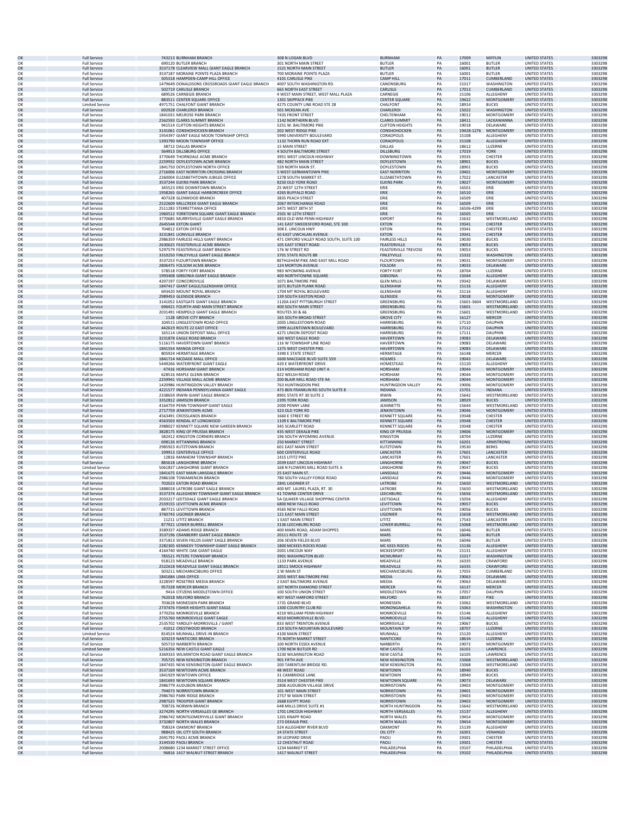|          | <b>Full Service</b><br><b>Full Service</b> | 743213 BURNHAM BRANCH<br>690120 BUTLER BRANCH                  | 308 N LOGAN BLVD<br>301 NORTH MAIN STREET         | <b>BURNHAM</b><br><b>BUTLER</b>     | PA<br>PA | 17009<br>16001 | MIFFLIN<br><b>BUTLER</b>               | <b>UNITED STATES</b><br>UNITED STATES        | 3303298            |
|----------|--------------------------------------------|----------------------------------------------------------------|---------------------------------------------------|-------------------------------------|----------|----------------|----------------------------------------|----------------------------------------------|--------------------|
| OK<br>OK | <b>Full Service</b>                        | 3537178 CLEARVIEW MALL GIANT EAGLE BRANCH                      | 1521 NORTH MAIN STREET                            | <b>BUTLER</b>                       | PA       | 16001          | <b>BUTLER</b>                          | <b>UNITED STATES</b>                         | 3303298<br>3303298 |
| OK       | <b>Full Service</b>                        | 3537187 MORAINE POINTE PLAZA BRANCH                            | 700 MORAINE POINTE PLAZA                          | <b>BUTLER</b>                       | PA       | 16001          | <b>BUTLER</b>                          | UNITED STATES                                | 3303298            |
| OK       | <b>Full Service</b>                        | 505318 HAMPDEN-CAMP HILL OFFICE                                | 4101 CARLISLE PIKE                                | <b>CAMP HILI</b>                    | PA       | 17011          | CUMBERLAND                             | <b>UNITED STATES</b>                         | 3303298            |
| OK       | <b>Full Service</b>                        | 1479649 DONALDSONS CROSSROADS GIANT EAGLE BRANCH               | 4007 SOUTH WASHINGTON RD.                         | CANONSBURG                          | PA       | 15317          | WASHINGTON                             | <b>UNITED STATES</b>                         | 3303298            |
| OK       | <b>Full Service</b>                        | 502719 CARLISLE BRANCH                                         | <b>665 NORTH EAST STREET</b>                      | CARLISLE                            | PA       | 17013          | CUMBERLAND                             | <b>UNITED STATES</b>                         | 3303298            |
| OK       | <b>Full Service</b>                        | 689526 CARNEGIE BRANCH                                         | 4 WEST MAIN STREET, WEST MALL PLAZA               | CARNEGIE                            | PA       | 15106          | ALLEGHENY                              | <b>UNITED STATES</b>                         | 3303298            |
| OK       | <b>Full Service</b>                        | 883511 CENTER SQUARE OFFICE                                    | 1301 SKIPPACK PIKE                                | <b>CENTER SQUARE</b>                | PA       | 19422          | <b>MONTGOMERY</b>                      | <b>UNITED STATES</b>                         | 3303298            |
| OK       | <b>Limited Service</b>                     | 4971751 CHALFONT GIANT BRANCH                                  | 4275 COUNTY LINE ROAD STE 28                      | CHALFONT                            | PA       | 18914          | <b>BUCKS</b>                           | <b>UNITED STATES</b><br><b>UNITED STATES</b> | 3303298            |
| OK       | <b>Full Service</b>                        | 692928 CHARLEROI BRANCH                                        | 501 MCKEAN AVE                                    | CHARLEROI                           | PA       | 15022          | WASHINGTON                             | <b>UNITED STATES</b>                         | 3303298            |
| OK       | <b>Full Service</b>                        | 1841031 MELROSE PARK BRANCH                                    | 7435 FRONT STREET                                 | CHELTENHAM                          | PA       | 19012          | MONTGOMERY                             |                                              | 3303298            |
| OK       | <b>Full Service</b>                        | 2562593 CLARKS SUMMIT BRANCH                                   | 1142 NORTHERN BLVD                                | <b>CLARKS SUMMIT</b>                | PA       | 18411          | LACKAWANNA                             | <b>UNITED STATES</b>                         | 3303298            |
| OK       | <b>Full Service</b>                        | 941514 CLIFTON HEIGHTS BRANCH                                  | 5251 W. BALTIMORE PIKE                            | <b>CLIFTON HEIGHTS</b>              | PA       | 19018          | DELAWARE                               | <b>UNITED STATES</b>                         | 3303298            |
| OK       | <b>Full Service</b>                        | 3141061 CONSHOHOCKEN BRANCH                                    | 202 WEST RIDGE PIKE                               | CONSHOHOCKEN                        | PA       | 19428-1276     | MONTGOMERY                             | <b>UNITED STATES</b>                         | 3303298            |
| OK       | <b>Full Service</b>                        | 1954397 GIANT EAGLE MOON TOWNSHIP OFFICE                       | 5990 UNIVERSITY BOULEVARD                         | CORAOPOLIS                          | PA       | 15108          | ALLEGHENY                              | UNITED STATES                                | 3303298            |
| OK       | <b>Full Service</b>                        | 1393790 MOON TOWNSHIP OFFICE                                   | 1132 THORN RUN ROAD EXT                           | CORAOPOLIS                          | PA       | 15108          | ALLEGHENY                              | <b>UNITED STATES</b>                         | 3303298            |
| OK       | <b>Full Service</b>                        | 38713 DALLAS BRANCH                                            | <b>15 MAIN STREET</b>                             | <b>DALLAS</b>                       | PA       | 18612          | LUZERNE                                | UNITED STATES                                | 3303298            |
| OK       | <b>Full Service</b>                        | 564913 DILLSBURG OFFICE                                        | 4 SOUTH BALTIMORE STREET                          | <b>DILLSBURG</b>                    | PA       | 17019          | <b>YORK</b>                            | <b>UNITED STATES</b>                         | 3303298            |
| OK       | <b>Full Service</b>                        | 3770649 THORNDALE ACME BRANCH                                  | 3951 WEST LINCOLN HIGHWAY                         | DOWNINGTOWN                         | PA       | 19335          | CHESTER                                | <b>UNITED STATES</b>                         | 3303298            |
| OK       | <b>Full Service</b>                        | 2259932 DOYLESTOWN ACME BRANCH                                 | <b>482 NORTH MAIN STREET</b>                      | <b>DOYLESTOWN</b>                   | PA       | 18901          | <b>BUCKS</b>                           | <b>UNITED STATES</b>                         | 3303298            |
| OK       | <b>Full Service</b>                        | 1841750 DOYLESTOWN NORTH OFFICE                                | 559 NORTH MAIN ST                                 | DOYLESTOWN                          | PA       | 18901          | <b>BUCKS</b>                           | <b>UNITED STATES</b>                         | 3303298            |
| OK       | <b>Full Service</b>                        | 2716006 EAST NORRITON CROSSING BRANCH                          | 5 WEST GERMANTOWN PIKE                            | <b>EAST NORRITON</b>                | PA       | 19401          | <b>MONTGOMERY</b>                      | <b>UNITED STATES</b>                         | 3303298            |
| OK       | <b>Full Service</b>                        | 2260004 ELIZABETHTOWN JUBILEE OFFICE                           | 1278 SOUTH MARKET ST                              | ELIZABETHTOWN                       | PA       | 17022          | LANCASTER                              | UNITED STATES                                | 3303298            |
| OK       | <b>Full Service</b>                        | 3537244 ELKINS PARK BRANCH                                     | 8250 OLD YORK ROAD                                | <b>ELKINS PARK</b>                  | PA       | 19027          | <b>MONTGOMERY</b>                      | <b>UNITED STATES</b>                         | 3303298            |
| OK       | <b>Full Service</b>                        | 345523 ERIE DOWNTOWN BRANCH                                    | 25 WEST 12TH STREET                               | ERIE                                | PA       | 16501          | ERIE                                   | UNITED STATES                                | 3303298            |
| OK       | <b>Full Service</b>                        | 1958265 GIANT EAGLE HARBORCREEK OFFICE                         | 4265 BUFFALO ROAD                                 | ERIE                                | PA       | 16510          | ERIE                                   | <b>UNITED STATES</b>                         | 3303298            |
| OK       | <b>Full Service</b>                        | 407328 GLENWOOD BRANCH                                         | 3835 PEACH STREET                                 | ERIE                                | PA       | 16509          | ERIE                                   | UNITED STATES<br><b>UNITED STATES</b>        | 3303298            |
| OK       | <b>Full Service</b>                        | 2522609 MILLCREEK GIANT EAGLE BRANCH                           | 2067 INTERCHANGE ROAD                             | ERIE                                | PA       | 16509          | ERIE                                   | UNITED STATES                                | 3303298            |
| OK       | <b>Full Service</b>                        | 2511283 STERRETTANIA OFFICE                                    | 3471 WEST 38TH ST                                 | FRIF                                | PA       | 16506-4299     | ERIE                                   |                                              | 3303298            |
| OK       | <b>Full Service</b>                        | 1960512 YORKTOWN SQUARE GIANT EAGLE BRANCH                     | 2501 W 12TH STREET                                | ERIE                                | PA       | 16505          | ERIE                                   | <b>UNITED STATES</b>                         | 3303298            |
| OK       | <b>Full Service</b>                        | 3770685 MURRYSVILLE GIANT EAGLE BRANCH                         | 4810 OLD WM PENN HIGHWAY                          | <b>EXPORT</b>                       | PA       | 15632          | WESTMORELAND                           | <b>UNITED STATES</b>                         | 3303298            |
| OK       | <b>Full Service</b>                        | 2645544 EXTON GIANT                                            | 141 EAST SWEDESFORD ROAD, STE 100                 | <b>EXTON</b>                        | PA       | 19341          | CHESTER                                | <b>UNITED STATES</b>                         | 3303298            |
| OK       | <b>Full Service</b>                        | 704812 EXTON OFFICE                                            | 308 E. LINCOLN HWY                                | EXTON                               | PA       | 19341          | CHESTER                                | <b>UNITED STATES</b>                         | 3303298            |
| OK       | <b>Full Service</b>                        | 3231841 LIONVILLE BRANCH                                       | 50 EAST UWCHLAN AVENUE                            | <b>EXTON</b>                        | PA       | 19341          | CHESTER                                | <b>UNITED STATES</b>                         | 3303298            |
| O۴       | <b>Full Service</b>                        | 2986359 FAIRLESS HILLS GIANT BRANCH                            | 471 OXFORD VALLEY ROAD SOUTH, SUITE 100           | <b>FAIRLESS HILLS</b>               | PA       | 19030          | <b>BUCKS</b>                           | <b>UNITED STATES</b>                         | 3303298            |
| OK       | <b>Full Service</b>                        | 2630625 FEASTERVILLE ACME BRANCH                               | 105 EAST STREET ROAD                              | FEASTERVILLE                        | PA       | 19053          | <b>BUCKS</b>                           | <b>UNITED STATES</b>                         | 3303298            |
| OK       | <b>Full Service</b>                        | 5297579 FEASTERVILLE GIANT BRANCH                              | 176 W STREET RD                                   | <b>FEASTERVILLE TREVOSE</b>         | PA       | 19053          | <b>BUCKS</b>                           | UNITED STATES                                | 3303298            |
| OK       | <b>Full Service</b>                        | 3310250 FINLEYVILLE GIANT EAGLE BRANCH                         | 3701 STATE ROUTE 88                               | FINLEYVILLE                         | PA       | 15332          | WASHINGTON                             | <b>UNITED STATES</b>                         | 3303298            |
| OK       | <b>Full Service</b>                        | 3537253 FLOURTOWN BRANCH                                       | BETHLEHEM PIKE AND EAST MILL ROAD                 | <b>FLOURTOWN</b>                    | PA       | 19031          | <b>MONTGOMERY</b>                      | UNITED STATES                                | 3303298            |
| OK       | <b>Full Service</b>                        | 2806475 FOLSOM ACME BRANCH                                     | 124 MORTON AVENUE                                 | <b>FOLSOM</b>                       | PA       | 19033          | DELAWARE                               | <b>UNITED STATES</b>                         | 3303298            |
| OK       | <b>Full Service</b>                        | 578518 FORTY FORT BRANCH                                       | 983 WYOMING AVENUE                                | <b>FORTY FORT</b>                   | PA       | 18704          | LUZERNE                                | <b>UNITED STATES</b>                         | 3303298            |
| OK       | <b>Full Service</b>                        | 1993408 GIBSONIA GIANT EAGLE BRANCH                            | 400 NORTHTOWNE SOUARI                             | <b>GIBSONIA</b>                     | PA       | 15044          | ALLEGHENY                              | <b>UNITED STATES</b>                         | 3303298            |
| ОК       | <b>Full Service</b>                        | 4207197 CONCORDVILLE                                           | 1071 BALTIMORE PIKE                               | <b>GLEN MILLS</b>                   | PA       | 19342          | DELAWARE                               | UNITED STATES                                | 3303298            |
| OK       | <b>Full Service</b>                        | 1847417 GIANT EAGLE/GLENSHAW OFFICE                            | 1671 BUTLER PLANK ROAD                            | <b>GLENSHAW</b>                     | PA       | 15116          | ALLEGHENY                              | <b>UNITED STATES</b>                         | 3303298            |
| OK       | <b>Full Service</b>                        | 693420 MOUNT ROYAL BRANCH                                      | 1704 MT ROYAL BOULEVARD                           | <b>GLENSHAW</b>                     | PA       | 15116          | ALLEGHENY                              | UNITED STATES                                | 3303298            |
| OK       | <b>Full Service</b>                        | 2989453 GLENSIDE BRANCH                                        | 139 SOUTH EASTON ROAD                             | <b>GLENSIDE</b>                     | PA       | 19038          | <b>MONTGOMERY</b>                      | <b>UNITED STATES</b>                         | 3303298            |
| OK       | <b>Full Service</b>                        | 3141052 EASTGATE GIANT EAGLE BRANCH                            | 1120A EAST PITTSBURGH STREET                      | GREENSBURG                          | PA       | 15601-3604     | WESTMORELAND                           | <b>UNITED STATES</b>                         | 3303298            |
| OK       | <b>Full Service</b>                        | 696421 FOURTH AND MAIN STREET BRANCH                           | 400 SOUTH MAIN STREET                             | GREENSBURG                          | PA       | 15601          | WESTMORELAND                           | <b>UNITED STATES</b>                         | 3303298            |
| OK       | <b>Full Service</b>                        | 2031491 HEMPEILD GIANT EAGLE BRANCH                            | <b>ROUTES 30 &amp; 66</b>                         | GREENSBURG                          | PA       | 15601          | WESTMORELAND                           | <b>UNITED STATES</b>                         | 3303298            |
| OK       | <b>Full Service</b>                        | 1128 GROVE CITY BRANCH                                         | <b>165 SOUTH BROAD STREET</b>                     | <b>GROVE CITY</b>                   | PA       | 16127          | <b>MERCER</b>                          | <b>UNITED STATES</b>                         | 3303298            |
| OK       | <b>Full Service</b>                        | 104515 LINGLESTOWN ROAD OFFICE                                 | 2005 LINGLESTOWN ROAD                             | <b>HARRISBURG</b>                   | PA       | 17110          | <b>DAUPHIN</b>                         | <b>UNITED STATES</b>                         | 3303298            |
| OK       | <b>Full Service</b>                        | 442619 ROUTE 22 EAST OFFICE                                    | 5999 ALLENTOWN BOULEVARD                          | HARRISBURG                          | PA       | 17112          | <b>DAUPHIN</b>                         | <b>UNITED STATES</b>                         | 3303298            |
| OK       | <b>Full Service</b>                        | 165114 UNION DEPOSIT MALL OFFICE                               | 4271 UNION DEPOSIT ROAD                           | <b>HARRISBURG</b>                   | PA       | 17111          | <b>DAUPHIN</b>                         | UNITED STATES                                | 3303298            |
| OK       | <b>Full Service</b>                        | 3231878 EAGLE ROAD BRANCH                                      | 160 WEST EAGLE ROAD                               | <b>HAVERTOWN</b>                    | PA       | 19083          | DELAWARE                               | <b>UNITED STATES</b>                         | 3303298            |
| OK       | <b>Full Service</b>                        | 5116175 HAVERTOWN GIANT BRANCH                                 | 116 W TOWNSHIP LINE ROAD                          | <b>HAVERTOWN</b>                    | PA       | 19083          | DELAWARE                               | <b>UNITED STATES</b>                         | 3303298            |
| OK       | <b>Full Service</b>                        | 1841554 MANOA OFFICE                                           | 1375 WEST CHESTER PIKE                            | <b>HAVERTOWN</b>                    | PA       | 19083          | DELAWARE                               | <b>UNITED STATES</b>                         | 3303298            |
| OK       | <b>Full Service</b>                        | 805924 HERMITAGE BRANCH                                        | 3390 E STATE STREET                               | HERMITAGE                           | PA       | 16148          | MERCER                                 | <b>UNITED STATES</b>                         | 3303298            |
| OK       | <b>Full Service</b>                        | 1841714 MCDADE MALL OFFICE                                     | 2600 MACDADE BLVD SUITE 559                       | <b>HOLMES</b>                       | PA       | 19043          | DELAWARE                               | <b>UNITED STATES</b>                         | 3303298            |
| OK       | <b>Full Service</b>                        | 5449266 WATERFRONT GIANT EAGLE                                 | 420 E WATERFRONT DRIVE                            | HOMESTEAD                           | PA       | 15120          | ALLEGHENY                              | UNITED STATES                                | 3303298            |
| OK       | <b>Full Service</b>                        | 47416 HORSHAM GIANT BRANCH                                     | 314 HORSHAM ROAD UNIT A                           | HORSHAM                             | PA       | 19044          | <b>MONTGOMERY</b>                      | <b>UNITED STATES</b>                         | 3303298            |
| OK       | <b>Full Service</b>                        | 628516 MAPLE GLENN BRANCH<br>2259941 VILLAGE MALL ACME BRANCH  | 822 WELSH ROAD                                    | HORSHAM                             | PA       | 19044<br>19044 | <b>MONTGOMERY</b>                      | <b>UNITED STATES</b>                         | 3303298            |
| OK<br>OK | <b>Full Service</b><br><b>Full Service</b> | 1420986 HUNTINGDON VALLEY BRANCH                               | 200 BLAIR MILL ROAD STE 9A<br>763 HUNTINGDON PIKE | <b>HORSHAM</b><br>HUNTINGDON VALLEY | PA<br>PA | 19006          | <b>MONTGOMERY</b><br>MONTGOMERY        | <b>UNITED STATES</b><br><b>UNITED STATES</b> | 3303298<br>3303298 |
| OK       | <b>Full Service</b>                        | 4221577 INDIANA PENNSYLVANIA GIANT EAGLE                       | 475 BEN FRANKLIN RD SOUTH SUITE 8                 | <b>INDIANA</b>                      | PA       | 15701          | <b>INDIANA</b>                         | <b>UNITED STATES</b>                         | 3303298            |
| OK       | <b>Full Service</b>                        | 2338659 IRWIN GIANT EAGLE BRANCH                               | 8901 STATE RT 30 SUITE 2                          | <b>IRWIN</b>                        | PA       | 15642          | WESTMORELAND                           | UNITED STATES                                | 3303298            |
| OK       | <b>Full Service</b>                        | 3352812 JAMISON BRANCH                                         | 2395 YORK ROAD                                    | <b>JAMISON</b>                      | PA       | 18929          | <b>BUCKS</b>                           | <b>UNITED STATES</b>                         | 3303298            |
| OK       | <b>Full Service</b>                        | 4164759 PENN TOWNSHIP GIANT EAGLE                              | 2000 PENNY LANE                                   | JEANNETTE                           | PA       | 15644          | WESTMORELAND                           | UNITED STATES                                | 3303298            |
| OK       | <b>Full Service</b>                        | 2717759 JENKINTOWN ACME                                        | 323 OLD YORK RD                                   | <b>JENKINTOWN</b>                   | PA       | 19046          | <b>MONTGOMERY</b>                      | <b>UNITED STATES</b>                         | 3303298            |
| OK       | <b>Full Service</b>                        | 4563491 CROSSLANDS BRANCH                                      | 1660 E STREET RD                                  | <b>KENNETT SQUARE</b>               | PA       | 19348          | CHESTER                                | <b>UNITED STATES</b>                         | 3303298            |
| OK       | <b>Full Service</b>                        | 4563503 KENDAL AT LONGWOOD                                     | 1109 E BALTIMORE PIKE                             | <b>KENNETT SQUARE</b>               | PA       | 19348          | <b>CHESTER</b>                         | <b>UNITED STATES</b>                         | 3303298            |
| OK       | <b>Full Service</b>                        | 2988027 KENNETT SQUARE NEW GARDEN BRANCH                       | 345 SCARLETT ROAD                                 | <b>KENNETT SQUARE</b>               | PA       | 19348          | CHESTER                                | <b>UNITED STATES</b>                         | 3303298            |
| OK       | <b>Full Service</b>                        | 3828175 KING OF PRUSSIA BRANCH                                 | 435 WEST DEKALB PIKE                              | KING OF PRUSSIA                     | PA       | 19406          | <b>MONTGOMERY</b>                      | <b>UNITED STATES</b>                         | 3303298            |
| OK       | <b>Full Service</b>                        | 582412 KINGSTON CORNERS BRANCH                                 | 196 SOUTH WYOMING AVENUE                          | KINGSTON                            | PA       | 18704          | LUZERNE                                | <b>UNITED STATES</b>                         | 3303298            |
| OK       | <b>Full Service</b>                        | 698126 KITTANNING BRANCH                                       | 250 MARKET STREET                                 | KITTANNING                          | PA       | 16201          | ARMSTRONG                              | <b>UNITED STATES</b>                         | 3303298            |
| OK       | <b>Full Service</b>                        | 2985923 KUTZTOWN BRANCH                                        | 601 EAST MAIN STREET                              | KUTZTOWN                            | PA       | 19530          | <b>BERKS</b>                           | UNITED STATES                                | 3303298            |
| OK       | <b>Full Service</b>                        | 199913 CENTERVILLE OFFICE                                      | <b>600 CENTERVILLE ROAD</b>                       | LANCASTER                           | PA       | 17601          | LANCASTER                              | <b>UNITED STATES</b>                         | 3303298            |
| OK       | <b>Full Service</b>                        | 12816 MANHEIM TOWNSHIP BRANCH                                  | 1415 LITITZ PIKE                                  | LANCASTEF                           | PA       | 17601          | LANCASTER                              | UNITED STATES                                | 3303298            |
| OK       | <b>Full Service</b>                        | 885618 LANGHORNE BRANCH                                        | 2039 FAST LINCOLN HIGHWAY                         | LANGHORNE                           | PA       | 19047          | <b>BUCKS</b>                           | <b>UNITED STATES</b>                         | 3303298            |
| OK<br>OK | <b>Limited Service</b>                     | 5061837 LANGHORNE GIANT BRANCH                                 | 168 N FLOWERS MILL ROAD SUITE A                   | LANGHORNE                           | PA<br>PA | 19047<br>19446 | <b>BUCKS</b>                           | UNITED STATES<br><b>UNITED STATES</b>        | 3303298<br>3303298 |
| OK       | <b>Full Service</b><br><b>Full Service</b> | 1841675 EAST MAIN LANSDALE BRANCH<br>2986108 TOWAMENCIN BRANCH | 25 EAST MAIN ST.<br>780 SOUTH VALLEY FORGE ROAD   | LANSDALE<br>LANSDALE                | PA       | 19446          | <b>MONTGOMERY</b><br><b>MONTGOMERY</b> | <b>UNITED STATES</b>                         | 3303298            |
| OK       | <b>Full Service</b>                        | 702023 EATON ROAD BRANCH                                       | 2841 LIGONIER ST                                  | LATROBE                             | PA       | 15650          | WESTMORELAND                           | <b>UNITED STATES</b>                         | 3303298            |
| OK       | <b>Full Service</b>                        | 1888018 LATROBE GIANT EAGLE BRANCH                             | 400 MT. LAUREL PLAZA, RT. 30                      | LATROBE                             | PA       | 15650          | WESTMORELAND                           | <b>UNITED STATES</b>                         | 3303298            |
| OK       | <b>Full Service</b>                        | 3537374 ALLEGHENY TOWNSHIP GIANT EAGLE BRANCH                  | 41 TOWNE CENTER DRIVE                             | LEECHBURG                           | PA       | 15656          | WESTMORELAND                           | UNITED STATES                                | 3303298            |
| O۴       | <b>Full Service</b>                        | 2033217 LEETSDALE GIANT EAGLE BRANCH                           | 5A QUAKER VILLAGE SHOPPING CENTER                 | LEETSDALE                           | PA       | 15056          | ALLEGHENY                              | <b>UNITED STATES</b>                         | 3303298            |
| OK       | <b>Full Service</b>                        | 2559155 LEVITTOWN ACME BRANCH                                  | 6800 NFW FALLS ROAD                               | <b>I FVITTOWN</b>                   | PA       | 19057          | <b>BUCKS</b>                           | <b>UNITED STATES</b>                         | 3303298            |
| OK       | <b>Full Service</b>                        | 887715 LEVITTOWN BRANCH                                        | 4565 NEW FALLS ROAD                               | LEVITTOWN                           | PA       | 19056          | <b>BUCKS</b>                           | <b>UNITED STATES</b>                         | 3303298            |
| O٢       | <b>Full Service</b>                        | 3760743 LIGONIER BRANCH                                        | 121 EAST MAIN STREET                              | LIGONIER                            | PA       | 15658          | WESTMORELAND                           | UNITED STATES                                | 3303298            |
| OK       | <b>Full Service</b>                        | 11211 LITITZ BRANCH                                            | 1 EAST MAIN STREET                                | LITITZ                              | PA       | 17543          | LANCASTER                              | <b>UNITED STATES</b>                         | 3303298            |
| OK       | <b>Full Service</b>                        | 877921 LOWER BURRELL BRANCH                                    | 3136 LEECHBURG ROAD                               | <b>LOWER BURRELL</b>                | PA       | 15068          | WESTMORELAND                           | UNITED STATES                                | 3303298            |
| OK       | <b>Full Service</b>                        | 3589337 ADAMS RIDGE BRANCH                                     | 400 MARS ROAD, ADAM SHOPPES                       | MARS                                | PA       | 16046          | <b>BUTLER</b>                          | UNITED STATES                                | 3303298            |
| OK       | <b>Full Service</b>                        | 3537196 CRANBERRY GIANT FAGI E BRANCH                          | 20111 ROUTE 19                                    | <b>MARS</b>                         | PA       | 16046          | <b>BUTLER</b>                          | <b>UNITED STATES</b>                         | 3303298            |
| OK       | <b>Full Service</b>                        | 3371813 SEVEN FIELDS GIANT EAGLE BRANCH                        | 206 SEVEN FIELDS BLVD                             | MARS                                | PA       | 16046          | <b>BUTLER</b>                          | <b>UNITED STATES</b>                         | 3303298            |
| OK       | <b>Full Service</b>                        | 2282305 KENNEDY TOWNSHIP GIANT EAGLE BRANCH                    | 1800 MCKEES ROCKS ROAD                            | MC KEES ROCKS                       | PA       | 15136          | ALLEGHENY                              | <b>UNITED STATES</b>                         | 3303298            |
| OK       | <b>Full Service</b>                        | 4164740 WHITE OAK GIANT EAGLE                                  | 2001 LINCOLN WAY                                  | MCKEESPORT                          | PA       | 15131          | ALLEGHENY                              | UNITED STATES                                | 3303298            |
| OK       | <b>Full Service</b>                        | 785521 PETERS TOWNSHIP BRANCH                                  | 3901 WASHINGTON BLVD                              | MCMURRAY                            | PA       | 15317          | WASHINGTON                             | <b>UNITED STATES</b>                         | 3303298            |
| OK       | <b>Full Service</b>                        | 918123 MEADVILLE BRANCH                                        | 1133 PARK AVENUE                                  | MEADVILLE                           | PA       | 16335          | CRAWFORD                               | <b>UNITED STATES</b>                         | 3303298            |
| OK       | <b>Full Service</b>                        | 2522618 MEADVILLE GIANT EAGLE BRANCH                           | 18511 SMOCK HIGHWAY                               | MEADVILLE                           | PA       | 16335          | CRAWFORD                               | <b>UNITED STATES</b>                         | 3303298            |
| OK       | <b>Full Service</b>                        | 503211 MECHANICSBURG OFFICE                                    | 2 W MAIN ST                                       | MECHANICSBURG                       | PA       | 17055          | CUMBERLAND                             | <b>UNITED STATES</b>                         | 3303298            |
| OK       | <b>Full Service</b>                        | 1841684 LIMA OFFICE                                            | 1055 WEST BALTIMORE PIKE                          | <b>MEDIA</b>                        | PA       | 19063          | DELAWARE                               | <b>UNITED STATES</b>                         | 3303298            |
| OK       | <b>Full Service</b>                        | 3228597 ROSETREE MEDIA BRANCH                                  | 2 EAST BALTIMORE AVENUE                           | MEDIA                               | PA       | 19063          | DELAWARE                               | <b>UNITED STATES</b>                         | 3303298            |
| OK       | <b>Full Service</b>                        | 957328 MERCER BRANCH                                           | 107 NORTH DIAMOND STREET                          | <b>MERCER</b>                       | PA       | 16137          | <b>MERCER</b>                          | <b>UNITED STATES</b>                         | 3303298            |
| OK       | <b>Full Service</b>                        | 9414 CITIZENS MIDDLETOWN OFFICE                                | 100 SOUTH UNION STREET                            | MIDDLETOWN                          | PA       | 17057          | DAUPHIN                                | <b>UNITED STATES</b>                         | 3303298            |
| OK       | <b>Full Service</b>                        | 762018 MILFORD BRANCH                                          | 407 WEST HARFORD STREET                           | <b>MILFORD</b>                      | PA       | 18337          | PIKE                                   | <b>UNITED STATES</b>                         | 3303298            |
| OK       | <b>Full Service</b>                        | 703628 MONESSEN PARK BRANCH                                    | 1731 GRAND BLVD                                   | MONESSEN                            | PA       | 15062          | WESTMORELAND                           | <b>UNITED STATES</b>                         | 3303298            |
| OK       | <b>Full Service</b>                        | 2737476 FISHER HEIGHTS GIANT EAGLE                             | 1300 COUNTRY CLUB RD                              | MONONGAHELA                         | PA       | 15063          | <b>WASHINGTON</b>                      | <b>UNITED STATES</b>                         | 3303298            |
| OK       | <b>Full Service</b>                        | 3770256 MONROEVILLE BRANCH                                     | 4210 WILLIAM PENN HIGHWAY                         | MONROEVILLE                         | PA       | 15146          | ALLEGHENY                              | <b>UNITED STATES</b>                         | 3303298            |
| OK       | <b>Full Service</b>                        | 2755760 MONROEVILLE GIANT EAGLE                                | 4010 MONROEVILLE BLVD.                            | MONROEVILLE                         | PA       | 15146          | ALLEGHENY                              | <b>UNITED STATES</b>                         | 3303298            |
| OK       | <b>Full Service</b>                        | 2535702 YARDI FY-MORRISVILLE / GIANT                           | 833 WEST TRENTON AVENUE                           | <b>MORRISVILLE</b>                  | PA       | 19067          | <b>BUCKS</b>                           | <b>UNITED STATES</b>                         | 3303298            |
| OK       | <b>Full Service</b>                        | 41012 CRESTWOOD BRANCH<br>814524 MUNHALL DRIVE-IN BRANCH       | 219 SOUTH MOUNTAIN BOULEVARD                      | <b>MOUNTAIN TOP</b>                 | PA       | 18707          | LUZERNE                                | <b>UNITED STATES</b>                         | 3303298            |
| OK       | <b>Limited Service</b>                     | 103219 NANTICOKE BRANCH                                        | 4100 MAIN STREET                                  | MUNHALL                             | PA       | 15120          | ALLEGHENY                              | <b>UNITED STATES</b>                         | 3303298            |
| OK       | <b>Full Service</b>                        |                                                                | <b>75 NORTH MARKET STREET</b>                     | NANTICOKE                           | PA       | 18634          | LUZERNE                                | <b>UNITED STATES</b>                         | 3303298            |
| OK       | <b>Full Service</b>                        | 505710 NARBERTH BRANCH                                         | 100 NORTH ESSEX AVENUE                            | NARBERTH                            | PA       | 19072          | <b>MONTGOMERY</b>                      | <b>UNITED STATES</b>                         | 3303298            |
| OK       | <b>Limited Service</b>                     | 5216356 NEW CASTLE GIANT EAGLE                                 | 1700 NEW BUTLER RD                                | <b>NEW CASTLE</b>                   | PA       | 16101          | LAWRENCE                               | <b>UNITED STATES</b>                         | 3303298            |
| OK       | <b>Full Service</b>                        | 3369333 WILMINTON ROAD GIANT EAGLE BRANCH                      | 3230 WILMINGTON ROAD                              | <b>NEW CASTLE</b>                   | PA       | 16105          | LAWRENCE                               | UNITED STATES                                | 3303298            |
| OK       | <b>Full Service</b>                        | 705725 NEW KENSINGTON BRANCH                                   | 901 FIFTH AVE                                     | <b>NEW KENSINGTON</b>               | PA       | 15068          | WESTMORELAND                           | <b>UNITED STATES</b>                         | 3303298            |
| OK       | <b>Full Service</b>                        | 1847435 NEW KENSINGTON GIANT EAGLE BRANCH                      | 200 TARENTUM BRIDGE RD                            | <b>NEW KENSINGTON</b>               | PA       | 15068          | WESTMORELAND                           | UNITED STATES                                | 3303298            |
| OK       | <b>Full Service</b>                        | 3537169 NEWTOWN ACME BRANCH                                    | 48 WEST ROAD                                      | <b>NEWTOWN</b>                      | PA       | 18940          | <b>BUCKS</b>                           | <b>UNITED STATES</b>                         | 3303298            |
| OK       | <b>Full Service</b>                        | 1841929 NEWTOWN OFFICE                                         | 31 CAMBRIDGE LANE                                 | NEWTOWN                             | PA       | 18940          | <b>BUCKS</b>                           | <b>UNITED STATES</b>                         | 3303298            |
| OK       | <b>Full Service</b>                        | 1841693 NEWTOWN SQUARE BRANCH                                  | 3514 WEST CHESTER PIKE                            | NEWTOWN SQUARE                      |          | 19073          | DELAWARE                               | <b>UNITED STATES</b>                         | 3303298            |
| OK       | <b>Full Service</b>                        | 2986779 AUDUBON BRANCH                                         | 2806 AUDUBON VILLAGE DRIVE                        | NORRISTOWN                          | PA<br>PA | 19403          | <b>MONTGOMERY</b>                      | <b>UNITED STATES</b>                         | 3303298            |
| OK       | <b>Full Service</b>                        | 794073 NORRISTOWN BRANCH                                       | 101 WEST MAIN STREET                              | NORRISTOWN                          | PA       | 19401          | <b>MONTGOMERY</b>                      | <b>UNITED STATES</b>                         | 3303298            |
| OK       | <b>Full Service</b>                        | 2986760 PARK RIDGE BRANCH                                      | 2757 W MAIN STREET                                | <b>NORRISTOWN</b>                   | PA       | 19403          | MONTGOMERY                             | <b>UNITED STATES</b>                         | 3303298            |
| OK       | <b>Full Service</b>                        | 2987525 TROOPER GIANT BRANCH                                   | 2668 EGYPT ROAD                                   | NORRISTOWN                          | PA       | 19403          | <b>MONTGOMERY</b>                      | <b>UNITED STATES</b>                         | 3303298            |
| OK       | <b>Full Service</b>                        | 708726 NORWIN BRANCH                                           | 648 MILLS DRIVE SUITE #1                          | NORTH HUNTINGDON                    | PA       | 15642          | WESTMORELAND                           | <b>UNITED STATES</b>                         | 3303298            |
| OK       | <b>Full Service</b>                        | 3274295 NORTH VERSAILLES GE BRANCH                             | 1701 LINCOLN HIGHWAY                              | <b>NORTH VERSAILLES</b>             | PA       | 15137          | ALLEGHENY                              | <b>UNITED STATES</b>                         | 3303298            |
| OK       | <b>Full Service</b>                        | 2986742 MONTGOMERYVILLE GIANT BRANCH                           | 1201 KNAPP ROAD                                   | <b>NORTH WALES</b>                  | PA       | 19454          | <b>MONTGOMERY</b>                      | <b>UNITED STATES</b>                         | 3303298            |
| OK       | <b>Full Service</b>                        | 3732807 NORTH WALES BRANCH                                     | 273 DEKALB PIKE                                   | NORTH WALES                         | PA       | 19454          | <b>MONTGOMERY</b>                      | <b>UNITED STATES</b>                         | 3303298            |
| OK       | <b>Full Service</b>                        | 708324 OAKMONT BRANCH                                          | 524 ALLEGHENY RIVER BLVD                          | <b>OAKMONT</b>                      | PA       | 15139          | ALLEGHENY                              | UNITED STATES                                | 3303298            |
| OK       | <b>Full Service</b>                        | 988425 OIL CITY SOUTH BRANCH                                   | 24 STATE STREET                                   | OIL CITY                            | PA       | 16301          | VENANGO                                | <b>UNITED STATES</b>                         | 3303298            |
| OK       | <b>Full Service</b>                        | 2691792 PAOLI ACME BRANCH                                      | 39 LEOPARD DRIVE                                  | PAOLI                               | PA       | 19301          | CHESTER                                | <b>UNITED STATES</b>                         | 3303298            |
| OK       | <b>Full Service</b>                        | 3144530 PAOLI BRANCH                                           | 12 CHESTNUT ROAD                                  | PAOLI                               | PA       | 19301          | CHESTER                                | <b>UNITED STATES</b>                         | 3303298            |
| OK       | <b>Full Service</b>                        | 2008680 1234 MARKET STREET OFFICE                              | 1234 MARKET ST.                                   | PHILADELPHIA                        | PA       | 19107          | PHILADELPHIA                           | <b>UNITED STATES</b>                         | 3303298            |
| OK       | <b>Full Service</b>                        | 96816 1417 WALNUT STREET BRANCH                                | 1417 WALNUT STREET                                | PHILADELPHIA                        | PA       | 19102          | PHILADELPHIA                           | <b>UNITED STATES</b>                         | 3303298            |
|          |                                            |                                                                |                                                   |                                     |          |                |                                        |                                              |                    |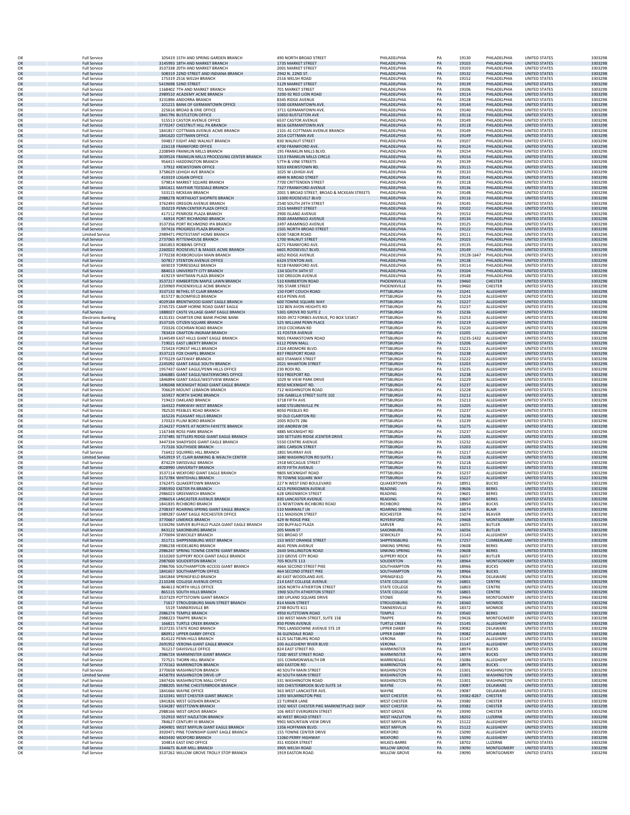|          | <b>Full Service</b>                              | 105419 15TH AND SPRING GARDEN BRANCH                                            | 490 NORTH BROAD STREET                                          | PHILADELPHIA                                 | PA       | 19130                         | PHILADELPHIA                            | <b>UNITED STATES</b>                         | 3303298            |
|----------|--------------------------------------------------|---------------------------------------------------------------------------------|-----------------------------------------------------------------|----------------------------------------------|----------|-------------------------------|-----------------------------------------|----------------------------------------------|--------------------|
| OK       | <b>Full Service</b>                              | 3145993 18TH AND MARKET BRANCH                                                  | 1735 MARKET STREET                                              | PHILADELPHIA                                 | PA       | 19103                         | PHILADELPHIA                            | <b>UNITED STATES</b>                         | 3303298            |
| OK       | <b>Full Service</b>                              | 3537338 20TH AND MARKET BRANCH                                                  | 2001 MARKET STREET                                              | PHILADELPHIA<br>PHII ADFI PHIA               | PA       | 19103                         | PHILADELPHIA                            | <b>UNITED STATES</b>                         | 3303298            |
| OK<br>OK | <b>Full Service</b><br><b>Full Service</b>       | 508319 22ND STREET AND INDIANA BRANCH<br>175319 2516 WELSH BRANCH               | 2942 N. 22ND ST.<br>2516 WELSH ROAD                             | PHILADELPHIA                                 | PA<br>PA | 19132<br>19152                | PHILADELPHIA<br>PHILADELPHIA            | <b>UNITED STATES</b><br>UNITED STATES        | 3303298<br>3303298 |
| OK       | <b>Full Service</b>                              | 5419698 52ND STREET                                                             | 5129 MARKET STREET                                              | PHILADELPHIA                                 | PA       | 19139                         | PHILADELPHIA                            | <b>UNITED STATES</b>                         | 3303298            |
| OK       | <b>Full Service</b>                              | 1168402 7TH AND MARKET BRANCH                                                   | 701 MARKET STREET                                               | PHILADELPHIA                                 | PA       | 19106                         | PHII ADEI PHIA                          | <b>UNITED STATES</b>                         | 3303298            |
| OK<br>OK | <b>Full Service</b><br><b>Full Service</b>       | 2989510 ACADEMY ACME BRANCH<br>3231896 ANDORRA BRANCH                           | 3200-92 RED LION ROAD<br>8345 RIDGE AVENUE                      | PHILADELPHIA<br>PHILADELPHIA                 | PA<br>PA | 19114<br>19128                | PHILADELPHIA<br>PHILADELPHIA            | <b>UNITED STATES</b><br><b>UNITED STATES</b> | 3303298<br>3303298 |
| OK       | <b>Full Service</b>                              | 101215 BANK OF GERMANTOWN OFFICE                                                | 5500 GERMANTOWN AVE.                                            | PHII ADEI PHIA                               | PA       | 19144                         | PHILADELPHIA                            | <b>UNITED STATES</b>                         | 3303298            |
| ОК       | <b>Full Service</b>                              | 225616 BROAD & ERIE OFFICE                                                      | 3711 GERMANTOWN AVE.                                            | PHILADELPHIA                                 | PA       | 19140                         | PHILADELPHIA                            | <b>UNITED STATES</b>                         | 3303298            |
| OK<br>OK | <b>Full Service</b><br><b>Full Service</b>       | 1841796 BUSTLETON OFFICE<br>515513 CASTOR AVENUE OFFICE                         | 10650 BUSTLETON AVE<br>6537 CASTOR AVENUE                       | PHILADELPHIA<br>PHILADELPHIA                 | PA<br>PA | 19116<br>19149                | PHILADELPHIA<br>PHILADELPHIA            | <b>UNITED STATES</b><br>UNITED STATES        | 3303298            |
| OK       | <b>Full Service</b>                              | 3770247 CHESTNUT HILL PA BRANCH                                                 | 8616 GERMANTOWN AVE                                             | PHILADELPHIA                                 | PA       | 19118                         | PHILADELPHIA                            | <b>UNITED STATES</b>                         | 3303298<br>3303298 |
| OK       | <b>Full Service</b>                              | 1841817 COTTMAN AVENUE ACME BRANCH                                              | 2101-41 COTTMAN AVENUE BRANCH                                   | PHILADELPHIA                                 | PA       | 19149                         | PHILADELPHIA                            | UNITED STATES                                | 3303298            |
| OK       | <b>Full Service</b>                              | 1841620 COTTMAN OFFICE                                                          | 2014 COTTMAN AVE                                                | PHILADELPHIA                                 | PA       | 19149                         | PHILADELPHIA                            | <b>UNITED STATES</b>                         | 3303298            |
| OK<br>OK | <b>Full Service</b><br><b>Full Service</b>       | 594817 EIGHT AND WALNUT BRANCH<br>226118 FRANKFORD OFFICE                       | 830 WALNUT STREET<br>4700 FRANKFORD AVE.                        | PHILADELPHIA<br>PHILADELPHIA                 | PA<br>PA | 19107<br>19124                | PHILADELPHIA<br>PHILADELPHIA            | <b>UNITED STATES</b><br><b>UNITED STATES</b> | 3303298<br>3303298 |
| OK       | <b>Full Service</b>                              | 2208949 FRANKLIN MILLS BRANCH                                                   | 195 FRANKLIN MILLS BLVD                                         | PHILADELPHIA                                 | PA       | 19154                         | PHILADELPHIA                            | UNITED STATES                                | 3303298            |
| OK       | <b>Full Service</b>                              | 3039524 FRANKLIN MILLS PROCESSING CENTER BRANCH                                 | 1313 FRANKLIN MILLS CIRCLE                                      | PHILADELPHIA                                 | PA       | 19154                         | PHILADELPHIA                            | <b>UNITED STATES</b>                         | 3303298            |
| OK       | <b>Full Service</b><br><b>Full Service</b>       | 956415 HADDINGTON BRANCH<br>37912 KREWSTOWN OFFICE                              | 57TH & VINE STREETS<br>9353 KREWSTOWN RD                        | PHILADELPHIA<br>PHILADELPHIA                 | PA<br>PA | 19139<br>19115                | PHILADELPHIA<br>PHILADELPHIA            | <b>UNITED STATES</b><br><b>UNITED STATES</b> | 3303298<br>3303298 |
| OK<br>OK | <b>Full Service</b>                              | 3758629 LEHIGH AVE BRANCH                                                       | 1025 W LEHIGH AVE                                               | PHILADELPHIA                                 | PA       | 19133                         | PHILADELPHIA                            | <b>UNITED STATES</b>                         | 3303298            |
| OK       | <b>Full Service</b>                              | 410319 LOGAN OFFICE                                                             | 4949 N BROAD STREET                                             | PHILADELPHIA                                 | PA       | 19141                         | PHILADELPHIA                            | <b>UNITED STATES</b>                         | 3303298            |
| OK       | <b>Full Service</b><br><b>Full Service</b>       | 579814 MARKET SQUARE BRANCH<br>1841611 MAYFAIR TEESDALE BRANCH                  | 7700 CRITTENDEN STREET<br>7327 FRANKFORD AVENUE                 | PHILADELPHIA<br>PHII ADFI PHIA               | PA<br>PA | 19118<br>19136                | PHILADELPHIA<br>PHILADELPHIA            | UNITED STATES<br><b>UNITED STATES</b>        | 3303298<br>3303298 |
| OK<br>OK | <b>Full Service</b>                              | 533115 MCKEAN BRANCH                                                            | 2001 S BROAD STREET, BROAD & MCKEAN STREETS                     | PHILADELPHIA                                 | PA       | 19148                         | PHILADELPHIA                            | UNITED STATES                                | 3303298            |
| OK       | <b>Full Service</b>                              | 2988278 NORTHEAST SHOPRITE BRANCH                                               | 11000 ROOSEVELT BLVD                                            | PHILADELPHIA                                 | PA       | 19116                         | PHILADELPHIA                            | <b>UNITED STATES</b>                         | 3303298            |
| OK       | <b>Full Service</b><br><b>Full Service</b>       | 3762493 OREGON AVENUE BRANCH                                                    | 2540 SOUTH 24TH STREET<br><b>1515 MARKET STREET</b>             | PHILADELPHIA<br>PHILADELPHIA                 | PA<br>PA | 19145<br>19102                | PHII ADEI PHIA                          | UNITED STATES<br><b>UNITED STATES</b>        | 3303298<br>3303298 |
| OK<br>OK | <b>Full Service</b>                              | 350219 PENN CENTER PLAZA OFFICE<br>417112 PENROSE PLAZA BRANCH                  | 2900 ISLAND AVENUE                                              | PHILADELPHIA                                 | PA       | 19153                         | PHILADELPHIA<br>PHILADELPHIA            | <b>UNITED STATES</b>                         | 3303298            |
| OK       | <b>Full Service</b>                              | 46914 PORT RICHMOND BRANCH                                                      | 3500 ARAMINGO AVENUE                                            | PHILADELPHIA                                 | PA       | 19134                         | PHILADELPHIA                            | <b>UNITED STATES</b>                         | 3303298            |
| OK       | <b>Full Service</b>                              | 3537356 PORT RICHMOND IPA BRANCH                                                | 2497 ARAMINGO AVENUE                                            | PHILADELPHIA                                 | PA       | 19125                         | PHILADELPHIA                            | <b>UNITED STATES</b>                         | 3303298            |
| OK<br>ОК | <b>Full Service</b><br><b>Limited Service</b>    | 597416 PROGRESS PLAZA BRANCH<br>2989471 PROTESTANT HOME BRANCH                  | 1501 NORTH BROAD STREET<br><b>6500 TABOR ROAD</b>               | PHILADELPHIA<br>PHILADELPHIA                 | PA<br>PA | 19122<br>19111                | PHILADELPHIA<br>PHILADELPHIA            | <b>UNITED STATES</b><br>UNITED STATES        | 3303298<br>3303298 |
| OK       | <b>Full Service</b>                              | 2737065 RITTENHOUSE BRANCH                                                      | 1700 WALNUT STREET                                              | PHILADELPHIA                                 | PA       | 19103                         | PHILADELPHIA                            | <b>UNITED STATES</b>                         | 3303298            |
| OK       | <b>Full Service</b>                              | 1841853 ROBBINS OFFICE                                                          | 6271 FRANKFORD AVE.                                             | PHILADELPHIA                                 | PA       | 19135                         | PHILADELPHIA                            | <b>UNITED STATES</b>                         | 3303298            |
| OK<br>ОК | <b>Full Service</b><br><b>Full Service</b>       | 2260022 ROOSEVELT & MAGEE ACME BRANCH<br>3770238 ROXBOROUGH MAIN BRANCH         | 6601 ROOSEVELT BLVD<br>6052 RIDGE AVENUE                        | PHILADELPHIA<br>PHILADELPHIA                 | PA<br>PA | 19149                         | PHILADELPHIA<br>19128-1647 PHILADELPHIA | <b>UNITED STATES</b><br><b>UNITED STATES</b> | 3303298<br>3303298 |
| OK       | <b>Full Service</b>                              | 507817 STENTON AVENUE OFFICE                                                    | 6324 STENTON AVE.                                               | PHILADELPHIA                                 | PA       | 19138                         | PHILADELPHIA                            | <b>UNITED STATES</b>                         | 3303298            |
| OK       | <b>Full Service</b>                              | 693019 TORRESDALE BRANCH                                                        | 9218 FRANKFORD AVE                                              | PHILADELPHIA                                 | PA       | 19114                         | PHILADELPHIA                            | UNITED STATES                                | 3303298            |
| OK<br>OK | <b>Full Service</b><br><b>Full Service</b>       | 884013 UNIVERSITY CITY BRANCH<br>419219 WHITMAN PLAZA BRANCH                    | 134 SOUTH 34TH ST<br>330 OREGON AVENUE                          | PHILADELPHIA<br>PHILADELPHIA                 | PA<br>PA | 19104<br>19148                | PHILADELPHIA<br>PHILADELPHIA            | <b>UNITED STATES</b><br>UNITED STATES        | 3303298<br>3303298 |
| OK       | <b>Full Service</b>                              | 3537217 KIMBERTON MAPLE LAWN BRANCH                                             | 510 KIMBERTON ROAD                                              | PHOENIXVILLE                                 | PA       | 19460                         | <b>CHESTER</b>                          | <b>UNITED STATES</b>                         | 3303298            |
| OK       | <b>Full Service</b>                              | 2259969 PHOENIXVILLE ACME BRANCH                                                | 785 STARR STREET                                                | PHOENIXVILLE                                 | PA       | 19460                         | CHESTER                                 | <b>UNITED STATES</b>                         | 3303298            |
| OK<br>OK | <b>Full Service</b><br><b>Full Service</b>       | 3537132 BETHEL ST CLAIR BRANCH<br>815727 BLOOMFIELD BRANCH                      | 150 FORT COUCH ROAD<br>4314 PENN AVE                            | PITTSBURGH<br>PITTSBURGH                     | PA<br>PA | 15241<br>15224                | ALLEGHENY<br>ALLEGHENY                  | <b>UNITED STATES</b><br><b>UNITED STATES</b> | 3303298<br>3303298 |
| OK       | <b>Full Service</b>                              | 4029184 BRENTWOOD GIANT EAGLE BRANCH                                            | 600 TOWNE SQUARE WAY                                            | PITTSBURGH                                   | PA       | 15227                         | ALLEGHENY                               | <b>UNITED STATES</b>                         | 3303298            |
| OK       | <b>Full Service</b>                              | 2745725 CAMP HORNE ROAD GIANT EAGLE                                             | 132 BEN AVON HEIGHTS RD                                         | PITTSBURGH                                   | PA       | 15237                         | ALLEGHENY                               | UNITED STATES                                | 3303298            |
| OK<br>OK | <b>Full Service</b><br><b>Electronic Banking</b> | 1888027 CASTE VILLAGE GIANT EAGLE BRANCH<br>4131331 CHARTER ONE BANK PHONE BANK | 5301 GROVE RD SUITE 2<br>3920-3972 FORBES AVENUE, PO BOX 535857 | PITTSBURGH<br>PITTSBURGH                     | PA<br>PA | 15236<br>15253                | ALLEGHENY<br>ALLEGHENY                  | <b>UNITED STATES</b><br>UNITED STATES        | 3303298<br>3303298 |
| OK       | <b>Full Service</b>                              | 3537105 CITIZEN SQUARE BRANCH                                                   | 525 WILLIAM PENN PLACE                                          | PITTSBURGH                                   | PA       | 15219                         | ALLEGHENY                               | <b>UNITED STATES</b>                         | 3303298            |
| OK       | <b>Full Service</b>                              | 720326 COCHRAN ROAD BRANCH                                                      | 1910 COCHRAN RD                                                 | PITTSBURGH                                   | PA       | 15220                         | <b>ALLEGHENY</b>                        | UNITED STATES                                | 3303298            |
| OK       | <b>Full Service</b>                              | 783424 CRAFTON-INGRAM BRANCH                                                    | <b>31 FOSTER AVENUE</b>                                         | PITTSBURGH<br>PITTSBURGH                     | PA<br>PA | 15205<br>15235-1432 ALLEGHENY | <b>ALLEGHENY</b>                        | <b>UNITED STATES</b>                         | 3303298<br>3303298 |
| OK<br>OK | <b>Full Service</b><br><b>Full Service</b>       | 3144549 EAST HILLS GIANT EAGLE BRANCH<br>719021 EAST LIBERTY BRANCH             | 9001 FRANKSTOWN ROAD<br>6112 PENN MALL                          | PITTSBURGH                                   | PA       | 15206                         | ALLEGHENY                               | UNITED STATES<br><b>UNITED STATES</b>        | 3303298            |
| OK       | <b>Full Service</b>                              | 725424 FOREST HILLS BRANCH                                                      | 2324 ARDMORE BLVD                                               | PITTSBURGH                                   | PA       | 15221                         | ALLEGHENY                               | <b>UNITED STATES</b>                         | 3303298            |
| OK<br>OK | <b>Full Service</b><br><b>Full Service</b>       | 3537123 FOX CHAPEL BRANCH<br>3770229 GATEWAY BRANCH                             | 837 FREEPORT ROAD<br>603 STANWIX STREET                         | PITTSBURGH<br>PITTSBURGH                     | PA<br>PA | 15238<br>15222                | ALLEGHENY<br>ALLEGHENY                  | <b>UNITED STATES</b><br><b>UNITED STATES</b> | 3303298<br>3303298 |
| OK       | <b>Full Service</b>                              | 2245092 GIANT EAGLE SOUTH BRANCH                                                | 2021 WHARTON STREET                                             | PITTSBURGH                                   | PA       | 15203                         | ALLEGHENY                               | <b>UNITED STATES</b>                         | 3303298            |
| ОК       | <b>Full Service</b>                              | 1957437 GIANT EAGLE/PENN HILLS OFFICE                                           | 230 RODI RD                                                     | PITTSBURGH                                   | PA       | 15235                         | ALLEGHENY                               | <b>UNITED STATES</b>                         | 3303298            |
| OK       | <b>Full Service</b>                              | 1846885 GIANT EAGLE/WATERWORKS OFFICE                                           | 910 FREEPORT RD.                                                | PITTSBURGH                                   | PA<br>PA | 15238                         | ALLEGHENY                               | UNITED STATES                                | 3303298            |
| ОК<br>OK | <b>Full Service</b><br><b>Full Service</b>       | 1846894 GIANT EAGLE/WESTVIEW BRANCH<br>1496048 MCKNIGHT ROAD GIANT EAGLE BRANCH | 1029 W VIEW PARK DRIVE<br>8050 MCKNIGHT RD.                     | PITTSBURGH<br>PITTSBURGH                     | PA       | 15229<br>15237                | ALLEGHENY<br>ALLEGHENY                  | UNITED STATES<br><b>UNITED STATES</b>        | 3303298<br>3303298 |
| OK       | <b>Full Service</b>                              | 706629 MOUNT LEBANON BRANCH                                                     | 712 WASHINGTON ROAD                                             | PITTSBURGH                                   | PA       | 15228                         | ALLEGHENY                               | UNITED STATES                                | 3303298            |
| OK       | <b>Full Service</b>                              | 165927 NORTH SHORE BRANCH                                                       | 106 ISABELLA STREET SUITE 102                                   | PITTSBURGH                                   | PA       | 15212                         | ALLEGHENY                               | UNITED STATES                                | 3303298            |
| OK<br>OK | <b>Full Service</b><br><b>Full Service</b>       | 719423 OAKLAND BRANCH<br>164322 PARKWAY-WEST BRANCH                             | 3718 FIFTH AVE<br><b>6400 STEUBENVILLE PK</b>                   | PITTSBURGH<br>PITTSBURGH                     | PA<br>PA | 15213<br>15205                | ALLEGHENY<br>ALLEGHENY                  | <b>UNITED STATES</b><br><b>UNITED STATES</b> | 3303298<br>3303298 |
| ОК       | <b>Full Service</b>                              | 782520 PEEBLES ROAD BRANCH                                                      | 8050 PEEBLES RD                                                 | PITTSBURGH                                   | PA       | 15237                         | ALLEGHENY                               | UNITED STATES                                | 3303298            |
| OK<br>OK | <b>Full Service</b>                              | 165226 PLEASANT HILLS BRANCH                                                    | 50 OLD CLAIRTON RD                                              | PITTSBURGH                                   | PA       | 15236<br>15239                | ALLEGHENY                               | <b>UNITED STATES</b>                         | 3303298<br>3303298 |
| OK       | <b>Full Service</b><br><b>Full Service</b>       | 170323 PLUM BORO BRANCH<br>2534237 POINTE AT NORTH FAYETTE BRANCH               | <b>2005 ROUTE 286</b><br>100 ANDREW DR                          | PITTSBURGH<br>PITTSBURGH                     | PA<br>PA | 15275                         | ALLEGHENY<br>ALLEGHENY                  | <b>UNITED STATES</b><br><b>UNITED STATES</b> | 3303298            |
| OK       | <b>Full Service</b>                              | 1167348 ROSS PARK BRANCH                                                        | 4885 MCKNIGHT RD                                                | PITTSBURGH                                   | PA       | 15237                         | ALLEGHENY                               | <b>UNITED STATES</b>                         | 3303298            |
| OK       | <b>Full Service</b>                              | 2737485 SETTLERS RIDGE GIANT EAGLE BRANCH                                       | 100 SETTLERS RIDGE JCENTER DRIVE                                | PITTSBURGH                                   | PA       | 15205                         | ALLEGHENY                               | <b>UNITED STATES</b>                         | 3303298            |
| OK<br>OK | <b>Full Service</b><br><b>Full Service</b>       | 3447334 SHADYSIDE GIANT EAGLE BRANCH<br>717326 SOUTHSIDE BRANCH                 | 5550 CENTRE AVENUE<br>2801 CARSON STREET                        | PITTSBURGH<br>PITTSBURGH                     | PA<br>PA | 15232<br>15203                | ALLEGHENY<br>ALLEGHENY                  | UNITED STATES<br><b>UNITED STATES</b>        | 3303298<br>3303298 |
| OK       | <b>Full Service</b>                              | 716422 SQUIRREL HILL BRANCH                                                     | 1801 MURRAY AVE                                                 | PITTSBURGH                                   | PA       | 15217                         | ALLEGHENY                               | UNITED STATES                                | 3303298            |
| OK       | <b>Limited Servic</b>                            | 5453919 ST. CLAIR BANKING & WEALTH CENTER                                       | 1680 WASHINGTON RD SUITE J                                      | PITTSBURGH                                   | PA       | 15228                         | ALLEGHENY                               | <b>UNITED STATES</b>                         | 3303298            |
| OK<br>OK | <b>Full Service</b><br><b>Full Service</b>       | 874229 SWISSVALE BRANCH<br>4028990 UNIVERSITY BRANCH                            | 1918 MCCAGUE STREET<br>4570 FIFTH AVENUE                        | PITTSBURGH<br>PITTSBURGH                     | PA<br>PA | 15218<br>15213                | ALLEGHENY<br>ALLEGHENY                  | UNITED STATES<br>UNITED STATES               | 3303298<br>3303298 |
| OK       | <b>Full Service</b>                              | 3537114 WEXFORD GIANT EAGLE BRANCH                                              | 9805 MCKNIGHT ROAD                                              | PITTSBURGH                                   | PA       | 15237                         | ALLEGHENY                               | <b>UNITED STATES</b>                         | 3303298            |
| OK       | <b>Full Service</b>                              | 3172784 WHITEHALL BRANCH                                                        | 70 TOWNE SQUARE WAY                                             | PITTSBURGH                                   | PA       | 15227                         | ALLEGHENY                               | <b>UNITED STATES</b>                         | 3303298            |
| ОК<br>OK | <b>Full Service</b><br><b>Full Service</b>       | 3762475 QUAKERTOWN BRANCH<br>2985950 EXETER PA BRANCH                           | 227 N WEST END BOULEVARD<br>4215 PERKIOMEN AVENUE               | QUAKERTOWN<br><b>READING</b>                 | PA<br>PA | 18951<br>19606                | <b>BUCKS</b><br><b>BERKS</b>            | <b>UNITED STATES</b><br><b>UNITED STATES</b> | 3303298<br>3303298 |
| OK       | <b>Full Service</b>                              | 2986023 GREENWICH BRANCH                                                        | <b>628 GREENWICH STREET</b>                                     | <b>READING</b>                               | PA       | 19601                         | <b>BERKS</b>                            | UNITED STATES                                | 3303298            |
| OK       | <b>Full Service</b>                              | 2986014 LANCASTER AVENUE BRANCH                                                 | 830 LANCASTER AVENUE                                            | READING                                      | PA       | 19607                         | <b>BERKS</b>                            | <b>UNITED STATES</b>                         | 3303298            |
| OK<br>OK | <b>Full Service</b><br><b>Full Service</b>       | 1841835 RICHBORO BRANCH<br>2708337 ROARING SPRING GIANT EAGLE BRANCH            | 15 NEWTOWN-RICHBORO ROAD<br>510 MARWALT LN                      | RICHBORC<br><b>ROARING SPRING</b>            | PA<br>PA | 18954<br>16673                | <b>BUCKS</b><br><b>BLAIR</b>            | <b>UNITED STATES</b><br>UNITED STATES        | 3303298<br>3303298 |
|          | <b>Full Service</b>                              | 1989287 GIANT EAGLE ROCHESTER OFFICE                                            | 111 MADISON STREE                                               | ROCHESTEF                                    | PA       | 15074                         | <b>BEAVER</b>                           | UNITED STATES                                | 3303298            |
| OK<br>OK | <b>Full Service</b>                              | 3770667 LIMERICK BRANCH                                                         | 429 W RIDGE PIKE                                                | <b>ROYERSFORD</b>                            | PA       | 19468                         | <b>MONTGOMERY</b>                       | <b>UNITED STATES</b>                         | 3303298            |
| OK       | <b>Full Service</b><br><b>Full Service</b>       | 5334296 SARVER BUFFALO PLAZA GIANT EAGLE BRANCH<br>843122 SAXONBURG BRANCH      | 100 BUFFALO PLAZA<br>205 MAIN ST                                | SARVER<br>SAXONBURG                          | PA<br>PA | 16055<br>16056                | <b>BUTLER</b><br><b>BUTLER</b>          | UNITED STATES<br><b>UNITED STATES</b>        | 3303298<br>3303298 |
| OK       | <b>Full Service</b>                              | 3770694 SEWICKLEY BRANCH                                                        | <b>501 BROAD ST</b>                                             | SEWICKLEY                                    | PA       | 15143                         | ALLEGHENY                               | UNITED STATES                                | 3303298            |
| OK       | <b>Full Service</b>                              | 351711 SHIPPENSBURG WEST BRANCH                                                 | 153 WEST ORANGE STREET                                          | SHIPPENSBURG                                 | PA       | 17257                         | CUMBERLAND                              | <b>UNITED STATES</b>                         | 3303298            |
| OK<br>OK | <b>Full Service</b><br><b>Full Service</b>       | 2986238 HEIDELBERG BRANCH<br>2986247 SPRING TOWNE CENTRE GIANT BRANCH           | 4641 PENN AVENUE<br><b>2643 SHILLINGTON ROAD</b>                | SINKING SPRING<br><b>SINKING SPRING</b>      | PA<br>PA | 19608<br>19608                | <b>BERKS</b><br><b>BERKS</b>            | <b>UNITED STATES</b><br><b>UNITED STATES</b> | 3303298<br>3303298 |
| OK       | <b>Full Service</b>                              | 3310269 SLIPPERY ROCK GIANT EAGLE BRANCH                                        | 223 GROVE CITY ROAD                                             | <b>SLIPPERY ROCK</b>                         | PA       | 16057                         | <b>BUTLER</b>                           | <b>UNITED STATES</b>                         | 3303298            |
| OK       | <b>Full Service</b>                              | 2987600 SOUDERTON BRANCH                                                        | 705 ROUTE 113                                                   | SOUDERTON                                    | PA       | 18964                         | MONTGOMERY                              | <b>UNITED STATES</b>                         | 3303298            |
| OK<br>OK | <b>Full Service</b><br><b>Full Service</b>       | 2986706 SOUTHAMPTON ACCESS GIANT BRANCH<br>1841657 SOUTHAMPTON OFFICE           | 466A SECOND STREET PIKE<br>464 SECOND STREET PIKE               | SOUTHAMPTON<br>SOUTHAMPTON                   | PA<br>PA | 18966<br>18966                | <b>BUCKS</b><br><b>BUCKS</b>            | UNITED STATES<br><b>UNITED STATES</b>        | 3303298<br>3303298 |
| OK       | <b>Full Service</b>                              | 1841844 SPRINGFIELD BRANCH                                                      | 40 EAST WOODLAND AVE.                                           | SPRINGFIELD                                  | PA       | 19064                         | DELAWARE                                | UNITED STATES                                | 3303298            |
| OK       | <b>Full Service</b>                              | 2110248 COLLEGE AVENUE OFFICE                                                   | 214 EAST COLLEGE AVENUE                                         | <b>STATE COLLEGE</b>                         | PA       | 16801                         | <b>CENTRE</b>                           | <b>UNITED STATES</b>                         | 3303298            |
| OK<br>OK | <b>Full Service</b><br><b>Full Service</b>       | 864613 NORTH HILLS OFFICE<br>865115 SOUTH HILLS BRANCH                          | 1826 NORTH ATHERTON STREET<br>1900 SOUTH ATHERTON STREET        | <b>STATE COLLEGE</b><br><b>STATE COLLEGE</b> | PA<br>PA | 16803<br>16801                | CENTRE<br>CENTRE                        | <b>UNITED STATES</b><br><b>UNITED STATES</b> | 3303298<br>3303298 |
| OK       | <b>Full Service</b>                              | 3537329 POTTSTOWN GIANT BRANCH                                                  | 180 UPLAND SQUARE DRIVE                                         | <b>STOWE</b>                                 | PA       | 19464                         | MONTGOMERY                              | UNITED STATES                                | 3303298            |
| OK       | <b>Full Service</b>                              | 71617 STROUDSBURG MAIN STREET BRANCH                                            | 814 MAIN STREET                                                 | <b>STROUDSBURG</b><br><b>TANNERSVILLE</b>    | PA       | 18360                         | <b>MONROE</b>                           | <b>UNITED STATES</b>                         | 3303298            |
| OK<br>OK | <b>Full Service</b><br><b>Full Service</b>       | 5519 TANNERSVILLE BF<br>2986274 TEMPLE BRANCH                                   | 2748 ROUTE 611<br>4950 KUTZTOWN ROAD                            | TEMPLE                                       | PA<br>PA | 18372<br>19560                | <b>MONROE</b><br><b>BERKS</b>           | <b>UNITED STATES</b><br><b>UNITED STATES</b> | 3303298<br>3303298 |
| OK       | <b>Full Service</b>                              | 2988223 TRAPPE BRANCH                                                           | 130 WEST MAIN STREET, SUITE 158                                 | <b>TRAPPE</b>                                | PA       | 19426                         | <b>MONTGOMERY</b>                       | <b>UNITED STATES</b>                         | 3303298            |
| OK       | <b>Full Service</b>                              | 166821 TURTLE CREEK BRANCH                                                      | 850 PENN AVENUE                                                 | <b>TURTLE CREEK</b>                          | PA       | 15145                         | ALLEGHENY                               | <b>UNITED STATES</b>                         | 3303298            |
| OK<br>OK | <b>Full Service</b><br><b>Full Service</b>       | 3537235 STATE ROAD BRANCH<br>880912 UPPER DARBY OFFICE                          | 7901 LANSDOWNE AVENUE STE 19<br>36 GLENDALE ROAD                | <b>UPPER DARBY</b><br><b>UPPER DARBY</b>     | PA<br>PA | 19082<br>19082                | DELAWARE<br>DELAWARE                    | <b>UNITED STATES</b><br>UNITED STATES        | 3303298<br>3303298 |
| OK       | <b>Full Service</b>                              | 814122 PENN HILLS BRANCH                                                        | 6125 SALTSBURG ROAD                                             | VERONA                                       | PA       | 15147                         | ALLEGHENY                               | <b>UNITED STATES</b>                         | 3303298            |
| OK<br>OK | <b>Full Service</b>                              | 2691952 VERONA GIANT EAGLE BRANCH<br>761217 DAVISVILLE OFFICE                   | 200 ALLEGHENY RIVER BLVD<br>824 EAST STREET RD.                 | VERONA<br>WARMINSTER                         | PA<br>PA | 15147<br>18974                | ALLEGHENY<br><b>BUCKS</b>               | <b>UNITED STATES</b><br>UNITED STATES        | 3303298<br>3303298 |
| OK       | <b>Full Service</b><br><b>Full Service</b>       | 2986724 WARMINSTER GIANT BRANCH                                                 | 720D WEST STREET ROAD                                           | WARMINSTER                                   | PA       | 18974                         | <b>BUCKS</b>                            | <b>UNITED STATES</b>                         | 3303298            |
| OK       | <b>Full Service</b>                              | 727521 THORN HILL BRANCH                                                        | 101 COMMONWEALTH DR                                             | WARRENDALE                                   | PA       | 15086                         | ALLEGHENY                               | <b>UNITED STATES</b>                         | 3303298            |
| OK       | <b>Full Service</b>                              | 3770162 WARRINGTON BRANCH                                                       | <b>600 EASTON RD</b><br><b>40 SOUTH MAIN STREET</b>             | <b>WARRINGTON</b>                            | PA<br>PA | 18976<br>15301                | <b>BUCKS</b>                            | <b>UNITED STATES</b>                         | 3303298            |
| OK<br>OK | <b>Full Service</b><br><b>Limited Service</b>    | 3770658 WASHINGTON BRANCH<br>4458793 WASHINGTON DRIVE-UP                        | 40 SOUTH MAIN STREET                                            | WASHINGTON<br>WASHINGTON                     | PA       | 15301                         | WASHINGTON<br>WASHINGTON                | UNITED STATES<br><b>UNITED STATES</b>        | 3303298<br>3303298 |
| OK       | <b>Full Service</b>                              | 1847426 WASHINGTON MALL OFFICE                                                  | 331 WASHINGTON ROAD                                             | WASHINGTON                                   | PA       | 15301                         | WASHINGTON                              | <b>UNITED STATES</b>                         | 3303298            |
| OK       | <b>Full Service</b>                              | 2988205 WAYNE CHESTERBROOK BRANCH                                               | 500 CHESTERBROOK BLVD SUITE 14                                  | WAYNE                                        | PA       | 19087                         | DELAWARE                                | <b>UNITED STATES</b>                         | 3303298            |
| OK<br>OK | <b>Full Service</b><br><b>Full Service</b>       | 1841666 WAYNE OFFICE<br>3210341 WEST CHESTER GIANT BRANCH                       | 363 WEST LANCASTER AVE.<br>1393 WILMINGTON PIKE                 | WAYNE<br><b>WEST CHESTER</b>                 | PA<br>PA | 19087<br>19382-8267           | DELAWARE<br><b>CHESTER</b>              | <b>UNITED STATES</b><br><b>UNITED STATES</b> | 3303298<br>3303298 |
| OK       | <b>Full Service</b>                              | 1841826 WEST GOSHEN BRANCH                                                      | 22 TURNER LANE                                                  | <b>WEST CHESTER</b>                          | PA       | 19380                         | CHESTER                                 | <b>UNITED STATES</b>                         | 3303298            |
| OK       | <b>Full Service</b>                              | 5334287 WESTTOWN BRANCH                                                         | 1502 WEST CHESTER PIKE MARKNETPLACE SHOP                        | <b>WEST CHESTER</b>                          | PA       | 19382                         | CHESTER                                 | <b>UNITED STATES</b>                         | 3303298            |
| OK<br>OK | <b>Full Service</b><br><b>Full Service</b>       | 2988166 WEST GROVE BRANCH<br>552910 WEST HAZLETON BRANCH                        | 106 WEST EVERGREEN STREET<br>40 WEST BROAD STREET               | <b>WEST GROVE</b><br><b>WEST HAZLETON</b>    | PA<br>PA | 19390<br>18202                | CHESTER<br>LUZERNE                      | UNITED STATES<br><b>UNITED STATES</b>        | 3303298<br>3303298 |
| OK       | <b>Full Service</b>                              | 784627 CENTURY III BRANCH                                                       | 9901 MOUNTAIN VIEW DRIVE                                        | <b>WEST MIFFLIN</b>                          | PA       | 15122                         | ALLEGHENY                               | <b>UNITED STATES</b>                         | 3303298            |
| OK       | <b>Full Service</b>                              | 2404901 WEST MIFFLIN GIANT EAGLE BRANCH                                         | 1356 HOFFMAN BLVD.                                              | <b>WEST MIFFLIN</b>                          | PA       | 15122                         | ALLEGHENY                               | <b>UNITED STATES</b>                         | 3303298            |
| OK<br>OK | <b>Full Service</b><br><b>Full Service</b>       | 3920471 PINE TOWNSHIP GIANT EAGLE BRANCH<br>4403430 WEXFORD BRANCH              | 155 TOWNE CENTER DRIVE<br>11060 PERRY HIGHWAY                   | WEXFORD<br>WEXFORD                           | PA<br>PA | 15090<br>15090                | ALLEGHENY<br><b>ALLEGHENY</b>           | <b>UNITED STATES</b><br><b>UNITED STATES</b> | 3303298<br>3303298 |
| OK       | <b>Full Service</b>                              | 104814 EAST END OFFICE                                                          | 351 KIDDER STREET                                               | WILKES-BARRE                                 | PA       | 18702                         | LUZERNE                                 | <b>UNITED STATES</b>                         | 3303298            |
| OK<br>OK | <b>Full Service</b><br><b>Full Service</b>       | 3344675 BLAIR MILL BRANCH<br>3537262 WILLOW GROVE TROLLY STOP BRANCH            | 3905 WELSH ROAD<br>1919 EASTON ROAD                             | <b>WILLOW GROVE</b><br>WILLOW GROVE          | PA<br>PA | 19090<br>19090                | <b>MONTGOMERY</b><br>MONTGOMERY         | <b>UNITED STATES</b><br><b>UNITED STATES</b> | 3303298<br>3303298 |
|          |                                                  |                                                                                 |                                                                 |                                              |          |                               |                                         |                                              |                    |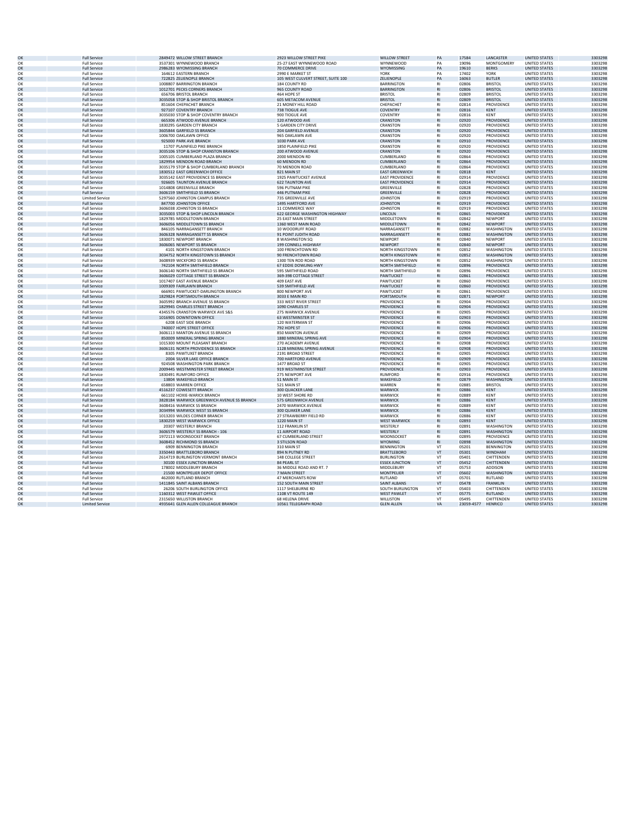| OK       | <b>Full Service</b>    | 2849472 WILLOW STREET BRANCH               | 2923 WILLOW STREET PIKE            | <b>WILLOW STREET</b>   | PA        | 17584      | <b>I ANCASTER</b> | <b>UNITED STATES</b> | 3303298 |
|----------|------------------------|--------------------------------------------|------------------------------------|------------------------|-----------|------------|-------------------|----------------------|---------|
| OK       |                        |                                            |                                    |                        | PA        |            |                   |                      | 3303298 |
|          | <b>Full Service</b>    | 3537301 WYNNEWOOD BRANCH                   | 25-27 EAST WYNNEWOOD ROAD          | WYNNEWOOD              |           | 19096      | MONTGOMERY        | <b>UNITED STATES</b> |         |
| OK       | <b>Full Service</b>    | 2986283 WYOMISSING BRANCH                  | 70 COMMERCE DRIVE                  | WYOMISSING             | PA        | 19610      | <b>BERKS</b>      | <b>UNITED STATES</b> | 3303298 |
| OK       | <b>Full Service</b>    | 164612 EASTERN BRANCH                      | 2990 F MARKET ST                   | YORK                   | PA        | 17402      | YORK              | UNITED STATES        | 3303298 |
| OK       | <b>Full Service</b>    | 722825 ZELIENOPLE BRANCH                   | 105 WEST CULVERT STREET, SUITE 100 | ZELIENOPLE             | PA        | 16063      | <b>BUTLER</b>     | <b>UNITED STATES</b> | 3303298 |
| OK       |                        | 1008807 BARRINGTON BRANCH                  |                                    | <b>BARRINGTON</b>      | R1        | 02806      | <b>BRISTO</b>     | <b>UNITED STATES</b> | 3303298 |
|          | <b>Full Service</b>    |                                            | 184 COUNTY RD                      |                        |           |            |                   |                      |         |
| OK       | <b>Full Service</b>    | 1012701 PECKS CORNERS BRANCH               | 965 COUNTY ROAD                    | <b>BARRINGTON</b>      | <b>RI</b> | 02806      | <b>BRISTOL</b>    | <b>UNITED STATES</b> | 330329  |
| OK       | <b>Full Service</b>    | 656706 BRISTOL BRANCH                      | 464 HOPE ST                        | <b>BRISTOL</b>         | R1        | 02809      | <b>BRISTOL</b>    | <b>UNITED STATES</b> | 3303298 |
| OK       | <b>Full Service</b>    | 3035058 STOP & SHOP BRISTOL BRANCH         | 605 METACOM AVENUE                 | <b>BRISTOL</b>         | <b>RI</b> | 02809      | <b>BRISTOL</b>    | <b>UNITED STATES</b> | 330329  |
|          |                        |                                            |                                    |                        |           |            |                   |                      |         |
| OK       | <b>Full Service</b>    | 851604 CHEPACHET BRANCH                    | 21 MONEY HILL ROAD                 | CHEPACHET              | <b>RI</b> | 02814      | PROVIDENCE        | <b>UNITED STATES</b> | 3303298 |
| OK       | <b>Full Service</b>    | 927107 COVENTRY BRANCH                     | 738 TIOGUE AVE                     | <b>COVENTRY</b>        | <b>RI</b> | 02816      | <b>KENT</b>       | <b>UNITED STATES</b> | 3303298 |
| OK       | <b>Full Service</b>    | 3035030 STOP & SHOP COVENTRY BRANCH        | 900 TIOGUE AVE                     | <b>COVENTRY</b>        | <b>RI</b> | 02816      | <b>KENT</b>       | <b>UNITED STATES</b> | 3303298 |
| OK       | <b>Full Service</b>    | 665306 ATWOOD AVENUE BRANCH                | 120 ATWOOD AVE                     | CRANSTON               | R1        | 02920      | PROVIDENCE        | <b>UNITED STATES</b> | 3303298 |
|          |                        |                                            |                                    |                        |           |            |                   |                      |         |
| OK       | <b>Full Service</b>    | 1830295 GARDEN CITY BRANCH                 | 5 GARDEN CITY DRIVE                | CRANSTON               | <b>RI</b> | 02920      | PROVIDENCE        | <b>UNITED STATES</b> | 330329  |
| OK       | <b>Full Service</b>    | 3605844 GARFIELD SS BRANCH                 | 204 GARFIFLD AVENUE                | CRANSTON               | <b>RI</b> | 02920      | <b>PROVIDENCE</b> | <b>UNITED STATES</b> | 3303298 |
| OK       | <b>Full Service</b>    | 1006700 OAKLAWN OFFICE                     | 965 OAKLAWN AVE                    | CRANSTON               | R1        | 02920      | PROVIDENCE        | <b>UNITED STATES</b> | 330329  |
|          |                        |                                            |                                    |                        |           |            |                   |                      |         |
| OK       | <b>Full Service</b>    | 925000 PARK AVE BRANCH                     | 1030 PARK AVE                      | CRANSTON               | R1        | 02910      | PROVIDENCE        | <b>UNITED STATES</b> | 3303298 |
| OK       | <b>Full Service</b>    | 11707 PLAINFIELD PIKE BRANCH               | 1850 PLAINFIELD PIKE               | CRANSTON               | R1        | 02920      | PROVIDENCE        | <b>UNITED STATES</b> | 3303298 |
| OK       | <b>Full Service</b>    | 3035106 STOP & SHOP CRANSTON BRANCH        | 200 ATWOOD AVENUE                  | CRANSTON               | <b>RI</b> | 02920      | PROVIDENCE        | <b>UNITED STATES</b> | 3303298 |
| OK       | <b>Full Service</b>    | 1005105 CUMBERLAND PLAZA BRANCH            | 2000 MENDON RD                     | <b>CUMBERLAND</b>      | R1        | 02864      | <b>PROVIDENCE</b> | <b>UNITED STATES</b> | 3303298 |
|          |                        |                                            |                                    |                        |           |            |                   |                      |         |
| OK       | <b>Full Service</b>    | 1829954 MENDON ROAD BRANCH                 | 60 MENDON RD                       | CUMBERLAND             | <b>RI</b> | 02864      | PROVIDENCE        | <b>UNITED STATES</b> | 330329  |
| OK       | <b>Full Service</b>    | 3035179 STOP & SHOP CUMBERLAND BRANCH      | 70 MENDON ROAD                     | <b>CUMBERLAND</b>      | R1        | 02864      | <b>PROVIDENCE</b> | <b>UNITED STATES</b> | 3303298 |
| OK       | <b>Full Service</b>    | 1830512 EAST GREENWICH OFFICE              | 821 MAIN ST                        | <b>EAST GREENWICH</b>  | <b>RI</b> | 02818      | <b>KFNT</b>       | <b>UNITED STATES</b> | 330329  |
|          |                        |                                            |                                    |                        |           |            |                   |                      |         |
| OK       | <b>Full Service</b>    | 3035142 EAST PROVIDENCE SS BRANCH          | 1925 PAWTUCKET AVENUE              | <b>EAST PROVIDENCE</b> | <b>RI</b> | 02914      | PROVIDENCE        | <b>UNITED STATES</b> | 3303298 |
| OK       | <b>Full Service</b>    | 926605 TAUNTON AVENUE BRANCH               | <b>622 TAUNTON AVE</b>             | <b>EAST PROVIDENCE</b> | <b>RI</b> | 02914      | PROVIDENCE        | <b>UNITED STATES</b> | 3303298 |
| OK       | <b>Full Service</b>    | 1014808 GREENVILLE BRANCH                  | 596 PUTNAM PIKE                    | GREENVILLE             | RI        | 02828      | <b>PROVIDENCE</b> | <b>UNITED STATES</b> | 3303298 |
| $\alpha$ | <b>Full Service</b>    | 3606159 SMITHFIELD SS BRANCH               | 446 PUTNAM PIKE                    | <b>GREENVILLE</b>      | <b>RI</b> | 02828      | <b>PROVIDENCE</b> | <b>UNITED STATES</b> | 3303298 |
|          |                        |                                            |                                    |                        |           |            |                   |                      |         |
| OK       | <b>Limited Service</b> | 5297560 JOHNSTON CAMPUS BRANCH             | 735 GREENVILLE AVE                 | <b>JOHNSTON</b>        | <b>RI</b> | 02919      | PROVIDENCE        | <b>UNITED STATES</b> | 330329  |
| OK       | <b>Full Service</b>    | 847700 JOHNSTON OFFICE                     | 1495 HARTFORD AVE                  | <b>JOHNSTON</b>        | <b>RI</b> | 02919      | PROVIDENCE        | <b>UNITED STATES</b> | 3303298 |
| OK       | <b>Full Service</b>    | 3606038 JOHNSTON SS BRANCH                 | 11 COMMERCE WAY                    | <b>JOHNSTON</b>        | R1        | 02919      | PROVIDENCE        | <b>UNITED STATES</b> | 330329  |
|          |                        |                                            |                                    |                        |           |            |                   |                      |         |
| OK       | <b>Full Service</b>    | 3035003 STOP & SHOP LINCOLN BRANCH         | 622 GEORGE WASHINGTON HIGHWAY      | LINCOLN                | R1        | 02865      | PROVIDENCE        | <b>UNITED STATES</b> | 3303298 |
| OK       | <b>Full Service</b>    | 1829785 MIDDLETOWN BRANCH                  | 25 EAST MAIN STREET                | MIDDLETOWN             | R1        | 02842      | <b>NEWPORT</b>    | <b>UNITED STATES</b> | 3303298 |
| OK       | <b>Full Service</b>    | 3606056 MIDDLETOWN SS BRANCH               | 1360 WEST MAIN ROAD                | MIDDI FTOWN            | <b>RI</b> | 02842      | <b>NFWPORT</b>    | <b>UNITED STATES</b> | 3303298 |
|          |                        |                                            |                                    |                        |           |            |                   |                      |         |
| OK       | <b>Full Service</b>    | 846105 NARRAGANSETT BRANCH                 | 10 WOODRUFF ROAD                   | NARRAGANSETT           | RI        | 02882      | <b>WASHINGTON</b> | <b>UNITED STATES</b> | 3303298 |
| OK       | <b>Full Service</b>    | 3606328 NARRAGANSETT SS BRANCH             | 91 POINT JUDITH ROAD               | NARRAGANSETT           | R1        | 02882      | WASHINGTON        | <b>UNITED STATES</b> | 3303298 |
| OK       | <b>Full Service</b>    | 1830071 NEWPORT BRANCH                     | 8 WASHINGTON SO                    | NEWPORT                | <b>RI</b> | 02840      | <b>NEWPORT</b>    | <b>UNITED STATES</b> | 3303298 |
|          |                        |                                            |                                    |                        |           |            |                   |                      |         |
| OK       | <b>Full Service</b>    | 3606065 NEWPORT SS BRANCH                  | 199 CONNELL HIGHWAY                | <b>NEWPORT</b>         | <b>RI</b> | 02840      | <b>NEWPORT</b>    | <b>UNITED STATES</b> | 3303298 |
| OK       | <b>Full Service</b>    | 4101 NORTH KINGSTOWN BRANCH                | 100 FRENCHTOWN RD                  | NORTH KINGSTOWN        | R1        | 02852      | WASHINGTON        | <b>UNITED STATES</b> | 3303298 |
| OK       | <b>Full Service</b>    | 3034752 NORTH KINGSTOWN SS BRANCH          | 90 FRENCHTOWN ROAD                 | <b>NORTH KINGSTOWN</b> | <b>RI</b> | 02852      | <b>WASHINGTON</b> | <b>UNITED STATES</b> | 3303298 |
|          |                        |                                            | 1300 TEN ROD ROAD                  |                        | <b>RI</b> | 02852      |                   |                      | 3303298 |
| OK       | <b>Full Service</b>    | 3608939 WICKFORD SS BRANCH                 |                                    | NORTH KINGSTOWN        |           |            | WASHINGTON        | <b>UNITED STATES</b> |         |
| OK       | <b>Full Service</b>    | 742104 NORTH SMITHFIFLD BRANCH             | 67 EDDIE DOWLING HWY               | NORTH SMITHFIELD       | <b>RI</b> | 02896      | PROVIDENCE        | <b>UNITED STATES</b> | 3303298 |
| OK       | <b>Full Service</b>    | 3606140 NORTH SMITHFIELD SS BRANCH         | 595 SMITHFIELD ROAD                | NORTH SMITHFIELD       | R1        | 02896      | PROVIDENCE        | <b>UNITED STATES</b> | 3303298 |
| OK       | <b>Full Service</b>    | 3606029 COTTAGE STREET SS BRANCH           | 369-398 COTTAGE STREET             | PAWTUCKET              | <b>RI</b> | 02861      | PROVIDENCE        | <b>UNITED STATES</b> | 3303298 |
|          |                        |                                            |                                    |                        | RI        |            |                   |                      |         |
| OK       | <b>Full Service</b>    | 1017407 EAST AVENUE BRANCH                 | 409 EAST AVE                       | PAWTUCKE <sup>®</sup>  |           | 02860      | PROVIDENCE        | UNITED STATES        | 3303298 |
| OK       | <b>Full Service</b>    | 1009309 FAIRLAWN BRANCH                    | 539 SMITHFIELD AVE                 | PAWTUCKET              | R1        | 02860      | PROVIDENCE        | <b>UNITED STATES</b> | 3303298 |
| OK       | <b>Full Service</b>    | 666901 PAWTUCKET-DARLINGTON BRANCH         | 800 NEWPORT AVE                    | <b>PAWTUCKET</b>       | R1        | 02861      | PROVIDENCE        | <b>UNITED STATES</b> | 3303298 |
| OK       | <b>Full Service</b>    |                                            | 3033 E MAIN RD                     | <b>PORTSMOUTH</b>      | R1        | 02871      | <b>NEWPORT</b>    | <b>UNITED STATES</b> | 3303298 |
|          |                        | 1829824 PORTSMOUTH BRANCH                  |                                    |                        |           |            |                   |                      |         |
| OK       | <b>Full Service</b>    | 3605992 BRANCH AVENUE SS BRANCH            | 333 WEST RIVER STREET              | PROVIDENCE             | R1        | 02904      | <b>PROVIDENCE</b> | <b>UNITED STATES</b> | 3303298 |
| OK       | <b>Full Service</b>    | 1829945 CHARLES STREET BRANCH              | 1090 CHARLES ST                    | <b>PROVIDENCE</b>      | <b>RI</b> | 02904      | PROVIDENCE        | <b>UNITED STATES</b> | 3303298 |
| OK       | <b>Full Service</b>    | 4345576 CRANSTON WARWICK AVE S&S           | 275 WARWICK AVENUE                 | PROVIDENCE             | <b>RI</b> | 02905      | PROVIDENCE        | <b>UNITED STATES</b> | 3303298 |
|          |                        |                                            |                                    |                        |           |            |                   |                      |         |
| OK       | <b>Full Service</b>    | 1016905 DOWNTOWN OFFICE                    | 63 WESTMINSTER ST                  | PROVIDENCE             | <b>RI</b> | 02903      | PROVIDENCE        | <b>UNITED STATES</b> | 3303298 |
| OK       | <b>Full Service</b>    | 6208 EAST SIDE BRANCH                      | 120 WATERMAN ST                    | PROVIDENCE             | R1        | 02906      | PROVIDENCE        | <b>UNITED STATES</b> | 3303298 |
| OK       | <b>Full Service</b>    | 740007 HOPE STREET OFFICE                  | 792 HOPE ST                        | PROVIDENCE             | R1        | 02906      | <b>PROVIDENCE</b> | <b>UNITED STATES</b> | 3303298 |
| OK       | <b>Full Service</b>    | 3606113 MANTON AVENUE SS BRANCH            | 850 MANTON AVENUE                  | PROVIDENCE             | <b>RI</b> | 02909      | PROVIDENCE        | <b>UNITED STATES</b> | 3303298 |
|          |                        |                                            |                                    |                        |           |            |                   |                      |         |
| $\Omega$ | <b>Full Service</b>    | 850009 MINERAL SPRING BRANCH               | 1880 MINERAL SPRING AVE            | <b>PROVIDENCE</b>      | R1        | 02904      | <b>PROVIDENCE</b> | <b>UNITED STATES</b> | 3303298 |
| OK       | <b>Full Service</b>    | 1015300 MOUNT PLEASANT BRANCH              | 270 ACADEMY AVENUE                 | PROVIDENCE             | R1        | 02908      | PROVIDENCE        | <b>UNITED STATES</b> | 3303298 |
| OK       | <b>Full Service</b>    | 3606131 NORTH PROVIDENCE SS BRANCH         | 1128 MINERAL SPRING AVENUE         | PROVIDENCE             | <b>RI</b> | 02908      | PROVIDENCE        | <b>UNITED STATES</b> | 3303298 |
|          |                        |                                            |                                    |                        |           |            |                   |                      |         |
| OK       | <b>Full Service</b>    | 8305 PAWTUXET BRANCH                       | 2191 BROAD STREET                  | PROVIDENCE             | <b>RI</b> | 02905      | PROVIDENCE        | <b>UNITED STATES</b> | 330329  |
| OK       | <b>Full Service</b>    | 2004 SILVER LAKE OFFICE BRANCH             | 700 HARTFORD AVENUE                | PROVIDENCE             | R1        | 02909      | PROVIDENCE        | <b>UNITED STATES</b> | 3303298 |
| OK       | <b>Full Service</b>    | 924508 WASHINGTON PARK BRANCH              | 1477 BROAD ST                      | PROVIDENCE             | R1        | 02905      | PROVIDENCE        | UNITED STATES        | 3303298 |
| OK       | <b>Full Service</b>    | 2009445 WESTMINSTER STREET BRANCH          | 919 WESTMINSTER STREET             | <b>PROVIDENCE</b>      | <b>RI</b> | 02903      | PROVIDENCE        | <b>UNITED STATES</b> | 3303298 |
|          |                        |                                            |                                    |                        |           |            |                   |                      |         |
| OK       | <b>Full Service</b>    | 1830491 RUMFORD OFFICE                     | 275 NEWPORT AVE                    | <b>RUMFORD</b>         | R1        | 02916      | PROVIDENCE        | <b>UNITED STATES</b> | 3303298 |
| OK       | <b>Full Service</b>    | 13804 WAKEFIELD BRANCH                     | 51 MAIN ST                         | WAKEFIELD              | <b>RI</b> | 02879      | <b>WASHINGTON</b> | <b>UNITED STATES</b> | 3303298 |
| OK       | <b>Full Service</b>    | 658803 WARREN OFFICE                       | 521 MAIN ST                        | WARREN                 | RI        | 02885      | <b>BRISTOL</b>    | <b>UNITED STATES</b> | 3303298 |
|          |                        |                                            |                                    |                        |           | 02886      |                   |                      |         |
| OK       | <b>Full Service</b>    | 4516237 COWESETT BRANCH                    | 300 QUACKER LANE                   | WARWICK                | R1        |            | KENT              | <b>UNITED STATES</b> | 3303298 |
| OK       | <b>Full Service</b>    | 661102 HOXIE-WARICK BRANCH                 | 10 WEST SHORE RD                   | WARWICK                | R1        | 02889      | KFNT              | <b>UNITED STATES</b> | 3303298 |
| OK       | <b>Full Service</b>    | 3828184 WARWICK GREENWICH AVENUE SS BRANCH | 575 GREENWICH AVENUE               | <b>WARWICK</b>         | <b>RI</b> | 02886      | <b>KENT</b>       | <b>UNITED STATES</b> | 3303298 |
| OK       | <b>Full Service</b>    | 3608416 WARWICK SS BRANCH                  | 2470 WARWICK AVENUE                | WARWICK                | R1        | 02889      | KENT              | <b>UNITED STATES</b> | 3303298 |
|          |                        |                                            |                                    |                        |           |            |                   |                      |         |
| OK       | <b>Full Service</b>    | 3034994 WARWICK WEST SS BRANCH             | 300 QUAKER LANE                    | <b>WARWICK</b>         | R1        | 02886      | <b>KENT</b>       | <b>UNITED STATES</b> | 3303298 |
| OK       | <b>Full Service</b>    | 1013203 WILDES CORNER BRANCH               | 27 STRAWBERRY FIELD RD             | WARWICK                | R1        | 02886      | KENT              | <b>UNITED STATES</b> | 3303298 |
| OK       | <b>Full Service</b>    | 1830259 WEST WARWICK OFFICE                | 1220 MAIN ST                       | <b>WEST WARWICK</b>    | <b>RI</b> | 02893      | <b>KENT</b>       | <b>UNITED STATES</b> | 3303298 |
|          |                        |                                            |                                    |                        |           |            |                   |                      |         |
| OK       | <b>Full Service</b>    | 20307 WESTERLY BRANCH                      | 112 FRANKLIN ST                    | WESTERLY               | <b>RI</b> | 02891      | WASHINGTON        | <b>UNITED STATES</b> | 330329  |
| OK       | <b>Full Service</b>    | 3606579 WESTERLY SS BRANCH - 106           | 11 AIRPORT ROAD                    | WESTERLY               | R1        | 02891      | <b>WASHINGTON</b> | <b>UNITED STATES</b> | 3303298 |
| OK       | <b>Full Service</b>    | 1972113 WOONSOCKET BRANCH                  | 67 CUMBERLAND STREET               | WOONSOCKET             | R1        | 02895      | PROVIDENCE        | <b>UNITED STATES</b> | 3303298 |
| OK       | <b>Full Service</b>    | 3608452 RICHMOND SS BRANCH                 | 3 STILSON ROAD                     | <b>WYOMING</b>         | <b>RI</b> | 02898      | <b>WASHINGTON</b> | <b>UNITED STATES</b> | 3303298 |
|          |                        |                                            |                                    |                        |           |            |                   |                      |         |
| OK       | <b>Full Service</b>    | 6909 BENNINGTON BRANCH                     | 310 MAIN ST                        | <b>BENNINGTON</b>      | VT        | 05201      | <b>BENNINGTON</b> | <b>UNITED STATES</b> | 3303298 |
| OK       | <b>Full Service</b>    | 3350443 BRATTLEBORO BRANCH                 | 894 N PUTNEY RD                    | <b>BRATTLEBORO</b>     | VT        | 05301      | <b>WINDHAM</b>    | <b>UNITED STATES</b> | 3303298 |
| OK       | <b>Full Service</b>    | 2614719 BURLINGTON VERMONT BRANCH          | 148 COLLEGE STREET                 | <b>BURLINGTON</b>      | VT        | 05401      | CHITTENDEN        | <b>UNITED STATES</b> | 3303298 |
|          |                        |                                            |                                    |                        |           |            |                   |                      |         |
| OK       | <b>Full Service</b>    | 30100 ESSEX JUNCTION BRANCH                | 84 PEARL ST                        | <b>ESSEX JUNCTION</b>  | VT        | 05452      | CHITTENDEN        | <b>UNITED STATES</b> | 3303298 |
| OK       | <b>Full Service</b>    | 178002 MIDDLEBURY BRANCH                   | 36 MIDDLE ROAD AND RT. 7           | MIDDLEBURY             | VT        | 05753      | ADDISON           | <b>UNITED STATES</b> | 3303298 |
| OK       | <b>Full Service</b>    | 21500 MONTPELIER DEPOT OFFICE              | 7 MAIN STREET                      | <b>MONTPELIER</b>      | VT        | 05602      | <b>WASHINGTON</b> | <b>UNITED STATES</b> | 3303298 |
| OK       | <b>Full Service</b>    | 462000 RUTLAND BRANCH                      | <b>47 MERCHANTS ROW</b>            | RUTLAND                | VT        | 05701      | RUTLAND           | <b>UNITED STATES</b> | 3303298 |
|          |                        |                                            |                                    |                        |           |            |                   |                      |         |
| OK       | <b>Full Service</b>    | 1411845 SAINT ALBANS BRANCH                | 152 SOUTH MAIN STREET              | SAINT ALBANS           | VT        | 05478      | <b>FRANKLIN</b>   | <b>UNITED STATES</b> | 3303298 |
| OK       | <b>Full Service</b>    | 26206 SOUTH BURLINGTON OFFICE              | 1117 SHELBURNE RD                  | SOUTH BURLINGTON       | VT        | 05403      | CHITTENDEN        | UNITED STATES        | 3303298 |
| $\alpha$ | <b>Full Service</b>    | 1160312 WEST PAWLET OFFICE                 | 1108 VT ROUTE 149                  | <b>WEST PAWLET</b>     | <b>VT</b> | 05775      | <b>RUTI AND</b>   | <b>UNITED STATES</b> | 3303298 |
|          |                        |                                            |                                    |                        |           |            |                   |                      |         |
| OK       | <b>Full Service</b>    | 2315650 WILLISTON BRANCH                   | 68 HELENA DRIVE                    | WILLISTON              | VT        | 05495      | CHITTENDEN        | <b>UNITED STATES</b> | 330329  |
| OK       | <b>Limited Service</b> | 4935641 GLEN ALLEN COLLEAGUE BRANCH        | 10561 TELEGRAPH ROAD               | <b>GLEN ALLEN</b>      | VA        | 23059-4577 | HENRICO           | <b>UNITED STATES</b> | 330329  |
|          |                        |                                            |                                    |                        |           |            |                   |                      |         |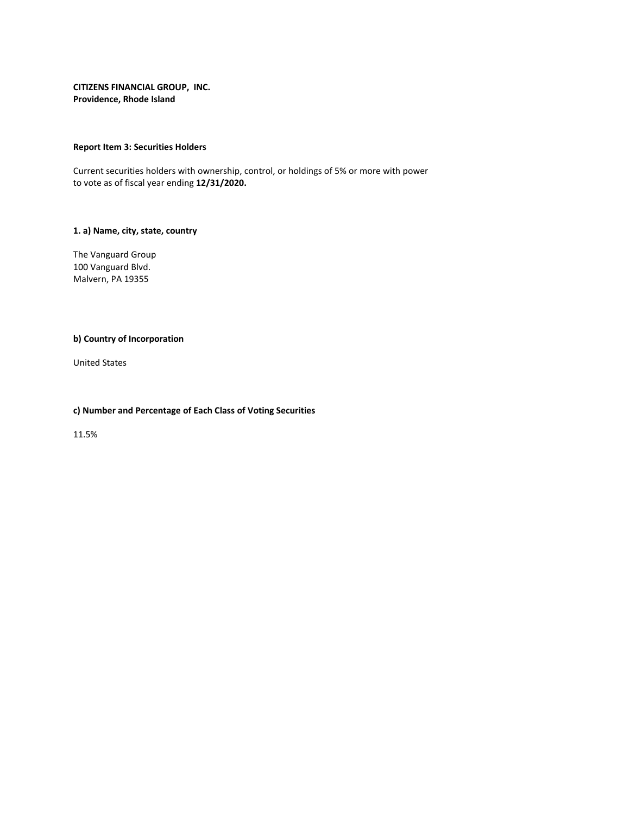# **Report Item 3: Securities Holders**

Current securities holders with ownership, control, or holdings of 5% or more with power to vote as of fiscal year ending **12/31/2020.**

# **1. a) Name, city, state, country**

The Vanguard Group 100 Vanguard Blvd. Malvern, PA 19355

# **b) Country of Incorporation**

United States

# **c) Number and Percentage of Each Class of Voting Securities**

11.5%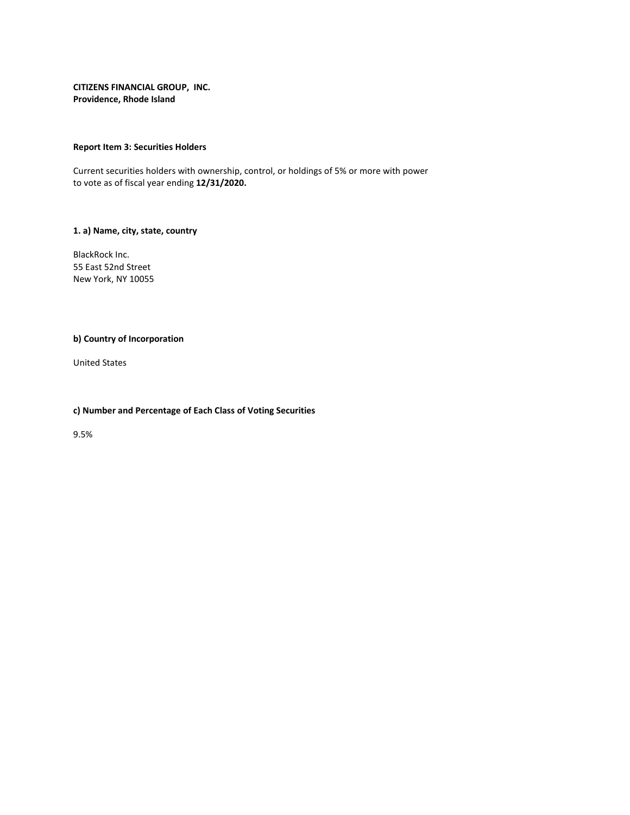# **Report Item 3: Securities Holders**

Current securities holders with ownership, control, or holdings of 5% or more with power to vote as of fiscal year ending **12/31/2020.**

# **1. a) Name, city, state, country**

BlackRock Inc. 55 East 52nd Street New York, NY 10055

# **b) Country of Incorporation**

United States

# **c) Number and Percentage of Each Class of Voting Securities**

9.5%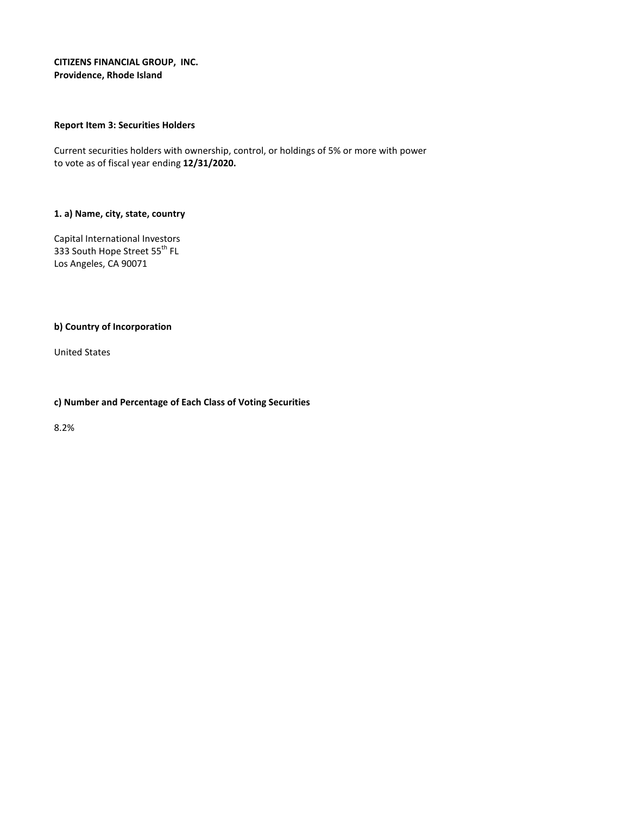# **Report Item 3: Securities Holders**

Current securities holders with ownership, control, or holdings of 5% or more with power to vote as of fiscal year ending **12/31/2020.**

# **1. a) Name, city, state, country**

Capital International Investors 333 South Hope Street 55<sup>th</sup> FL Los Angeles, CA 90071

# **b) Country of Incorporation**

United States

# **c) Number and Percentage of Each Class of Voting Securities**

8.2%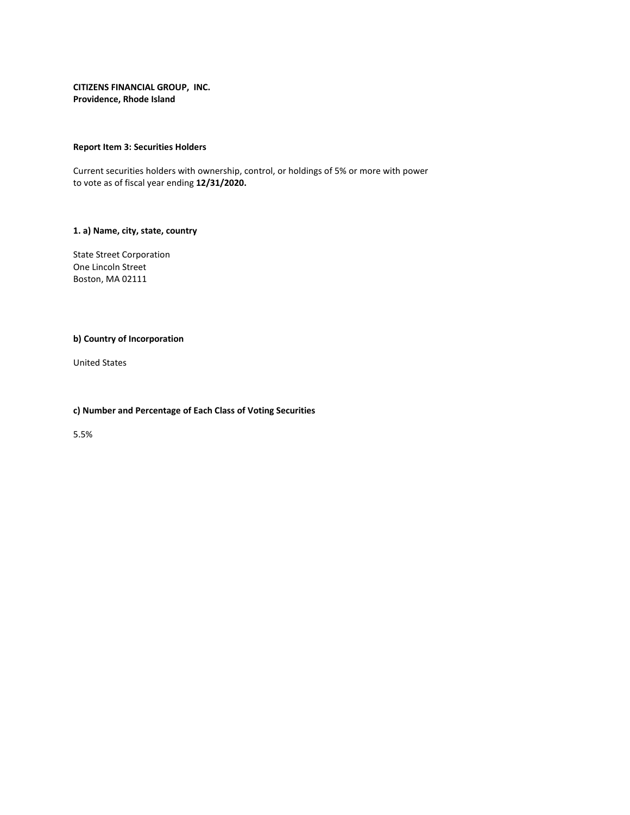# **Report Item 3: Securities Holders**

Current securities holders with ownership, control, or holdings of 5% or more with power to vote as of fiscal year ending **12/31/2020.**

# **1. a) Name, city, state, country**

State Street Corporation One Lincoln Street Boston, MA 02111

# **b) Country of Incorporation**

United States

# **c) Number and Percentage of Each Class of Voting Securities**

5.5%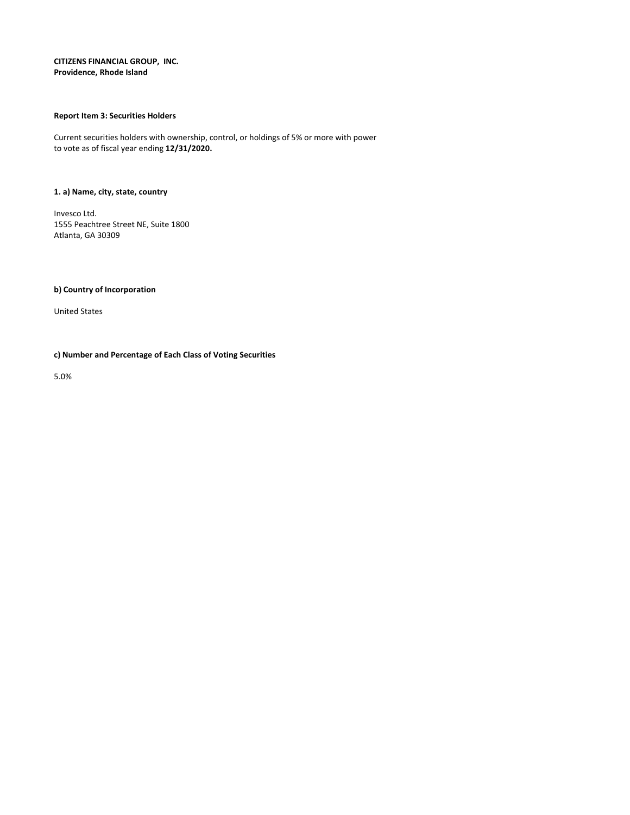# **Report Item 3: Securities Holders**

Current securities holders with ownership, control, or holdings of 5% or more with power to vote as of fiscal year ending **12/31/2020.**

# **1. a) Name, city, state, country**

Invesco Ltd. 1555 Peachtree Street NE, Suite 1800 Atlanta, GA 30309

**b) Country of Incorporation**

United States

# **c) Number and Percentage of Each Class of Voting Securities**

5.0%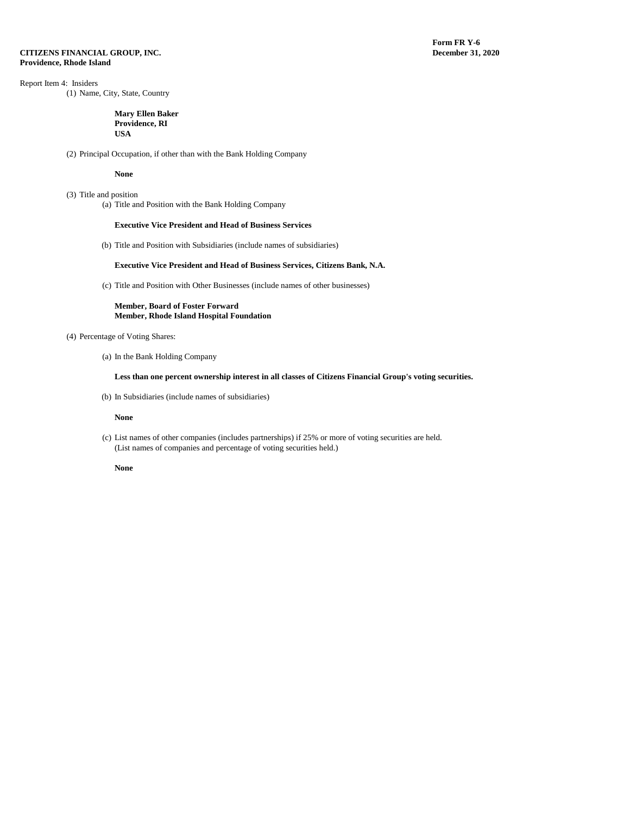**Form FR Y-6**<br>December 31, 2020

# Report Item 4: Insiders

(1) Name, City, State, Country

#### **Mary Ellen Baker Providence, RI USA**

(2) Principal Occupation, if other than with the Bank Holding Company

#### **None**

(3) Title and position (a) Title and Position with the Bank Holding Company

#### **Executive Vice President and Head of Business Services**

(b) Title and Position with Subsidiaries (include names of subsidiaries)

#### **Executive Vice President and Head of Business Services, Citizens Bank, N.A.**

(c) Title and Position with Other Businesses (include names of other businesses)

**Member, Board of Foster Forward Member, Rhode Island Hospital Foundation**

# (4) Percentage of Voting Shares:

(a) In the Bank Holding Company

# **Less than one percent ownership interest in all classes of Citizens Financial Group's voting securities.**

(b) In Subsidiaries (include names of subsidiaries)

#### **None**

(c) List names of other companies (includes partnerships) if 25% or more of voting securities are held. (List names of companies and percentage of voting securities held.)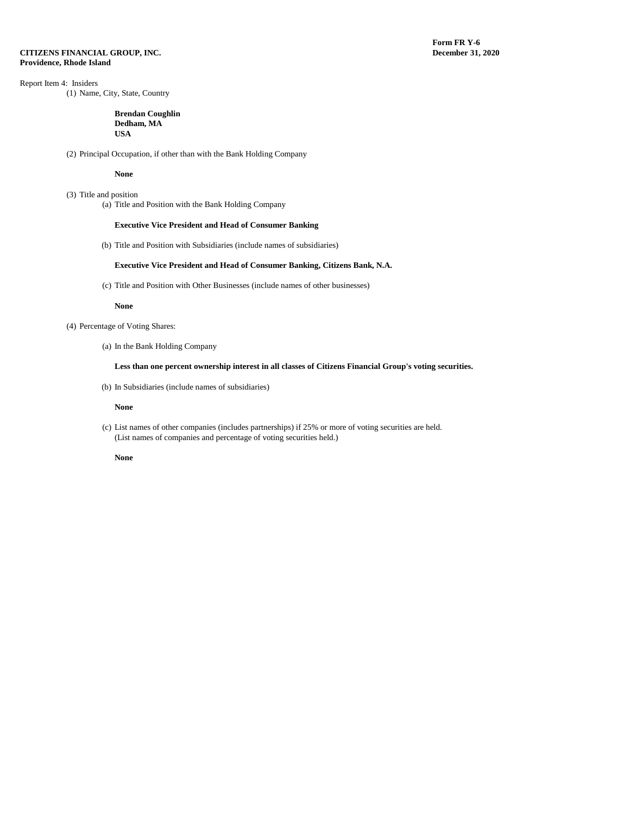**Form FR Y-6**<br>December 31, 2020

# Report Item 4: Insiders

(1) Name, City, State, Country

#### **Brendan Coughlin Dedham, MA USA**

(2) Principal Occupation, if other than with the Bank Holding Company

#### **None**

(3) Title and position (a) Title and Position with the Bank Holding Company

#### **Executive Vice President and Head of Consumer Banking**

(b) Title and Position with Subsidiaries (include names of subsidiaries)

#### **Executive Vice President and Head of Consumer Banking, Citizens Bank, N.A.**

(c) Title and Position with Other Businesses (include names of other businesses)

#### **None**

- (4) Percentage of Voting Shares:
	- (a) In the Bank Holding Company

### **Less than one percent ownership interest in all classes of Citizens Financial Group's voting securities.**

(b) In Subsidiaries (include names of subsidiaries)

#### **None**

(c) List names of other companies (includes partnerships) if 25% or more of voting securities are held. (List names of companies and percentage of voting securities held.)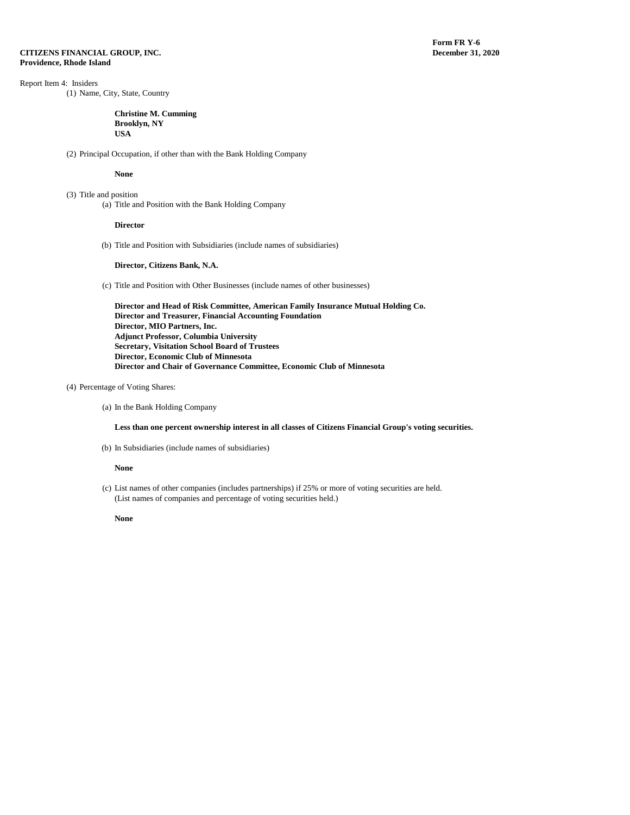# Report Item 4: Insiders

(1) Name, City, State, Country

#### **Christine M. Cumming Brooklyn, NY USA**

(2) Principal Occupation, if other than with the Bank Holding Company

#### **None**

(3) Title and position (a) Title and Position with the Bank Holding Company

#### **Director**

(b) Title and Position with Subsidiaries (include names of subsidiaries)

#### **Director, Citizens Bank, N.A.**

(c) Title and Position with Other Businesses (include names of other businesses)

**Director and Head of Risk Committee, American Family Insurance Mutual Holding Co. Director and Treasurer, Financial Accounting Foundation Director, MIO Partners, Inc. Adjunct Professor, Columbia University Secretary, Visitation School Board of Trustees Director, Economic Club of Minnesota Director and Chair of Governance Committee, Economic Club of Minnesota**

# (4) Percentage of Voting Shares:

(a) In the Bank Holding Company

**Less than one percent ownership interest in all classes of Citizens Financial Group's voting securities.**

(b) In Subsidiaries (include names of subsidiaries)

#### **None**

(c) List names of other companies (includes partnerships) if 25% or more of voting securities are held. (List names of companies and percentage of voting securities held.)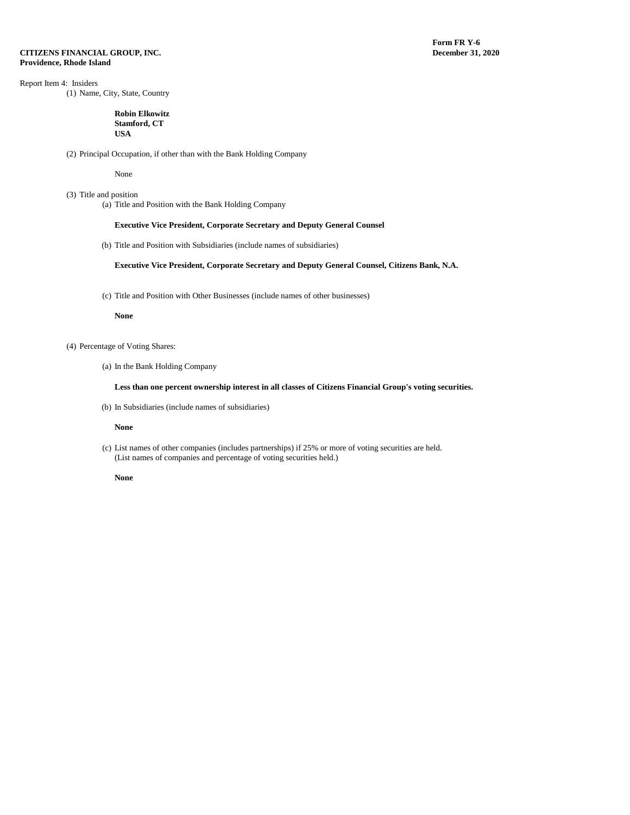**Form FR Y-6**<br>December 31, 2020

# Report Item 4: Insiders

(1) Name, City, State, Country

#### **Robin Elkowitz Stamford, CT USA**

(2) Principal Occupation, if other than with the Bank Holding Company

None

(3) Title and position (a) Title and Position with the Bank Holding Company

#### **Executive Vice President, Corporate Secretary and Deputy General Counsel**

(b) Title and Position with Subsidiaries (include names of subsidiaries)

#### **Executive Vice President, Corporate Secretary and Deputy General Counsel, Citizens Bank, N.A.**

(c) Title and Position with Other Businesses (include names of other businesses)

#### **None**

- (4) Percentage of Voting Shares:
	- (a) In the Bank Holding Company

# **Less than one percent ownership interest in all classes of Citizens Financial Group's voting securities.**

(b) In Subsidiaries (include names of subsidiaries)

#### **None**

(c) List names of other companies (includes partnerships) if 25% or more of voting securities are held. (List names of companies and percentage of voting securities held.)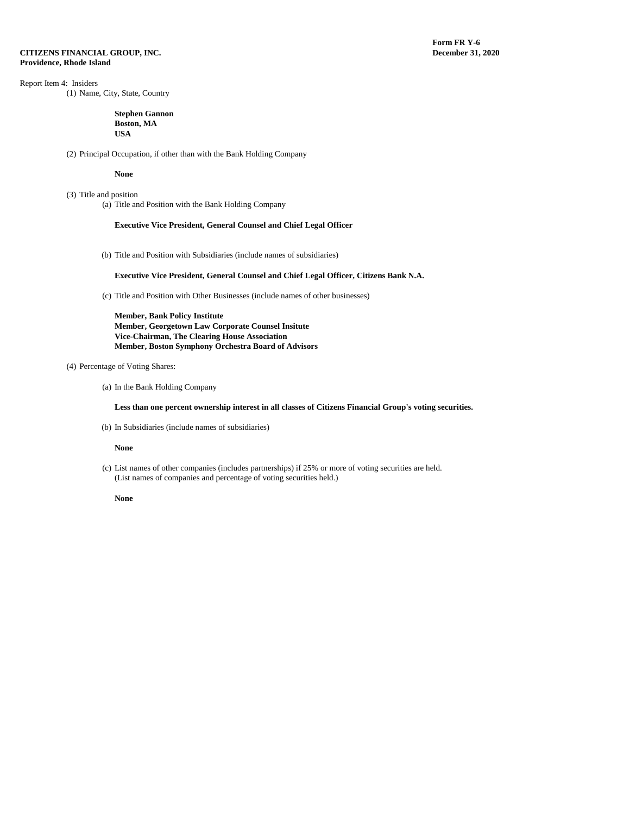# Report Item 4: Insiders

(1) Name, City, State, Country

#### **Stephen Gannon Boston, MA USA**

(2) Principal Occupation, if other than with the Bank Holding Company

#### **None**

(3) Title and position (a) Title and Position with the Bank Holding Company

#### **Executive Vice President, General Counsel and Chief Legal Officer**

(b) Title and Position with Subsidiaries (include names of subsidiaries)

### **Executive Vice President, General Counsel and Chief Legal Officer, Citizens Bank N.A.**

(c) Title and Position with Other Businesses (include names of other businesses)

**Member, Bank Policy Institute Member, Georgetown Law Corporate Counsel Insitute Vice-Chairman, The Clearing House Association Member, Boston Symphony Orchestra Board of Advisors**

### (4) Percentage of Voting Shares:

(a) In the Bank Holding Company

**Less than one percent ownership interest in all classes of Citizens Financial Group's voting securities.**

(b) In Subsidiaries (include names of subsidiaries)

#### **None**

(c) List names of other companies (includes partnerships) if 25% or more of voting securities are held. (List names of companies and percentage of voting securities held.)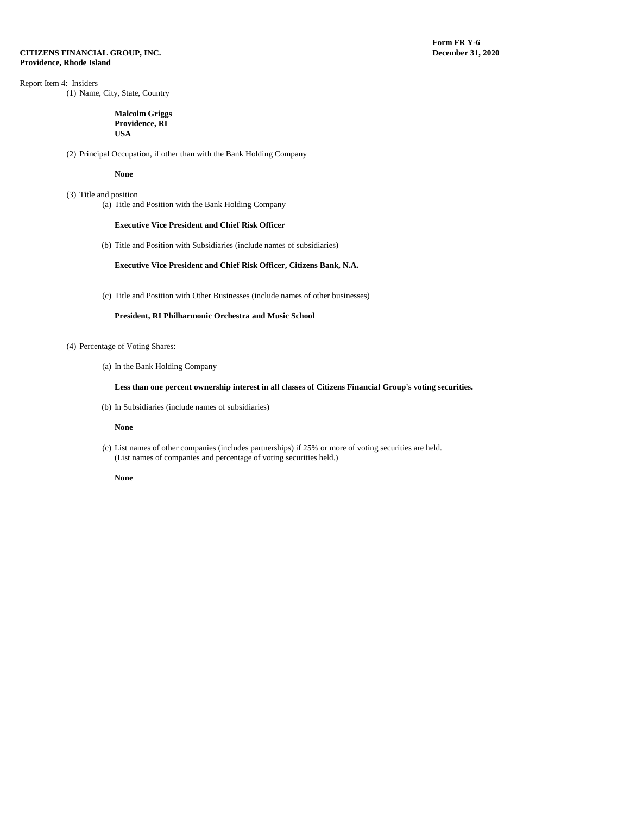**Form FR Y-6**<br>December 31, 2020

# Report Item 4: Insiders

(1) Name, City, State, Country

#### **Malcolm Griggs Providence, RI USA**

(2) Principal Occupation, if other than with the Bank Holding Company

#### **None**

(3) Title and position (a) Title and Position with the Bank Holding Company

#### **Executive Vice President and Chief Risk Officer**

(b) Title and Position with Subsidiaries (include names of subsidiaries)

### **Executive Vice President and Chief Risk Officer, Citizens Bank, N.A.**

(c) Title and Position with Other Businesses (include names of other businesses)

# **President, RI Philharmonic Orchestra and Music School**

# (4) Percentage of Voting Shares:

(a) In the Bank Holding Company

# **Less than one percent ownership interest in all classes of Citizens Financial Group's voting securities.**

(b) In Subsidiaries (include names of subsidiaries)

#### **None**

(c) List names of other companies (includes partnerships) if 25% or more of voting securities are held. (List names of companies and percentage of voting securities held.)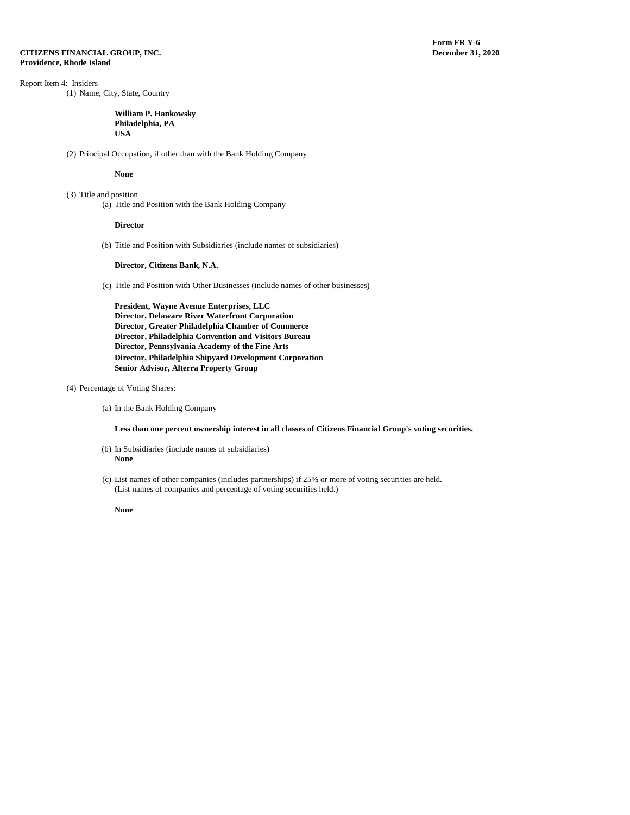# Report Item 4: Insiders

(1) Name, City, State, Country

#### **William P. Hankowsky Philadelphia, PA USA**

(2) Principal Occupation, if other than with the Bank Holding Company

#### **None**

(3) Title and position (a) Title and Position with the Bank Holding Company

#### **Director**

(b) Title and Position with Subsidiaries (include names of subsidiaries)

#### **Director, Citizens Bank, N.A.**

(c) Title and Position with Other Businesses (include names of other businesses)

**President, Wayne Avenue Enterprises, LLC Director, Delaware River Waterfront Corporation Director, Greater Philadelphia Chamber of Commerce Director, Philadelphia Convention and Visitors Bureau Director, Pennsylvania Academy of the Fine Arts Director, Philadelphia Shipyard Development Corporation Senior Advisor, Alterra Property Group**

### (4) Percentage of Voting Shares:

(a) In the Bank Holding Company

**Less than one percent ownership interest in all classes of Citizens Financial Group's voting securities.**

- (b) In Subsidiaries (include names of subsidiaries) **None**
- (c) List names of other companies (includes partnerships) if 25% or more of voting securities are held. (List names of companies and percentage of voting securities held.)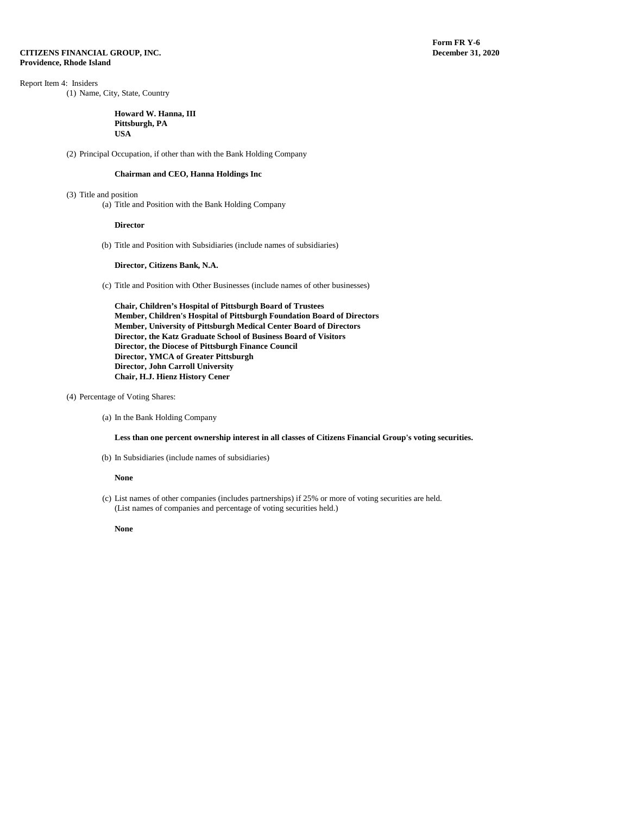Report Item 4: Insiders

(1) Name, City, State, Country

#### **Howard W. Hanna, III Pittsburgh, PA USA**

(2) Principal Occupation, if other than with the Bank Holding Company

# **Chairman and CEO, Hanna Holdings Inc**

- (3) Title and position
	- (a) Title and Position with the Bank Holding Company

#### **Director**

(b) Title and Position with Subsidiaries (include names of subsidiaries)

#### **Director, Citizens Bank, N.A.**

(c) Title and Position with Other Businesses (include names of other businesses)

**Chair, Children's Hospital of Pittsburgh Board of Trustees Member, Children's Hospital of Pittsburgh Foundation Board of Directors Member, University of Pittsburgh Medical Center Board of Directors Director, the Katz Graduate School of Business Board of Visitors Director, the Diocese of Pittsburgh Finance Council Director, YMCA of Greater Pittsburgh Director, John Carroll University Chair, H.J. Hienz History Cener**

- (4) Percentage of Voting Shares:
	- (a) In the Bank Holding Company

# **Less than one percent ownership interest in all classes of Citizens Financial Group's voting securities.**

(b) In Subsidiaries (include names of subsidiaries)

#### **None**

(c) List names of other companies (includes partnerships) if 25% or more of voting securities are held. (List names of companies and percentage of voting securities held.)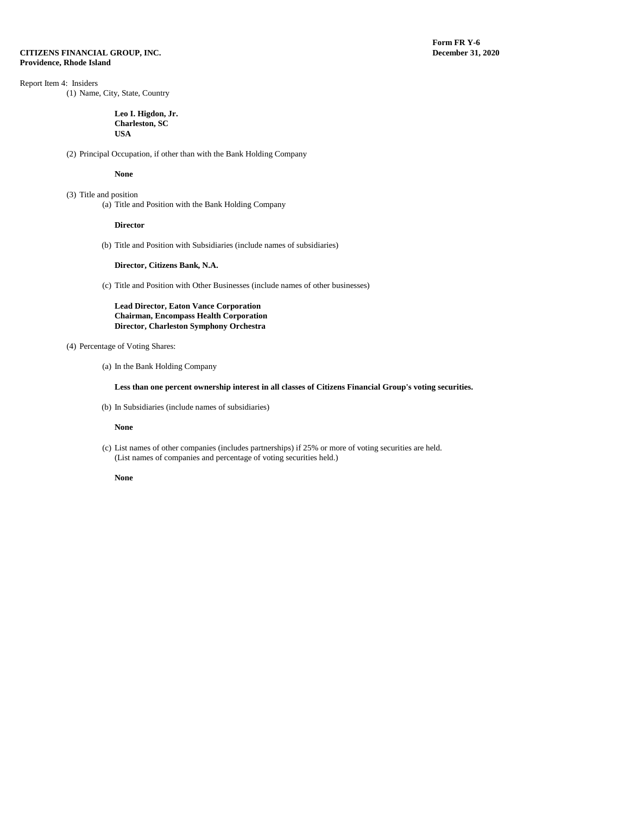# Report Item 4: Insiders

(1) Name, City, State, Country

#### **Leo I. Higdon, Jr. Charleston, SC USA**

(2) Principal Occupation, if other than with the Bank Holding Company

#### **None**

(3) Title and position (a) Title and Position with the Bank Holding Company

#### **Director**

(b) Title and Position with Subsidiaries (include names of subsidiaries)

#### **Director, Citizens Bank, N.A.**

(c) Title and Position with Other Businesses (include names of other businesses)

**Lead Director, Eaton Vance Corporation Chairman, Encompass Health Corporation Director, Charleston Symphony Orchestra**

# (4) Percentage of Voting Shares:

(a) In the Bank Holding Company

# **Less than one percent ownership interest in all classes of Citizens Financial Group's voting securities.**

(b) In Subsidiaries (include names of subsidiaries)

#### **None**

(c) List names of other companies (includes partnerships) if 25% or more of voting securities are held. (List names of companies and percentage of voting securities held.)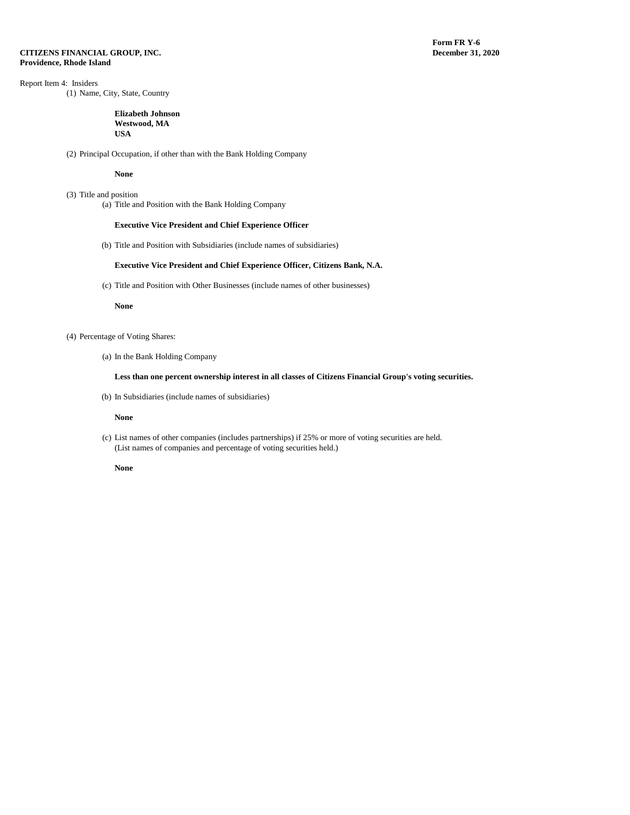**Form FR Y-6**<br>December 31, 2020

# Report Item 4: Insiders

(1) Name, City, State, Country

#### **Elizabeth Johnson Westwood, MA USA**

(2) Principal Occupation, if other than with the Bank Holding Company

#### **None**

(3) Title and position (a) Title and Position with the Bank Holding Company

#### **Executive Vice President and Chief Experience Officer**

(b) Title and Position with Subsidiaries (include names of subsidiaries)

#### **Executive Vice President and Chief Experience Officer, Citizens Bank, N.A.**

(c) Title and Position with Other Businesses (include names of other businesses)

#### **None**

- (4) Percentage of Voting Shares:
	- (a) In the Bank Holding Company

# **Less than one percent ownership interest in all classes of Citizens Financial Group's voting securities.**

(b) In Subsidiaries (include names of subsidiaries)

#### **None**

(c) List names of other companies (includes partnerships) if 25% or more of voting securities are held. (List names of companies and percentage of voting securities held.)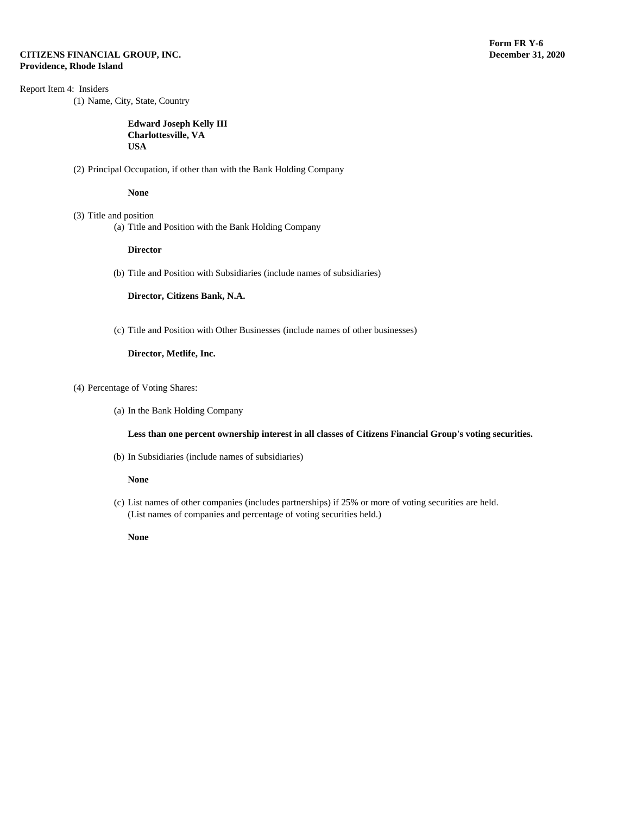# Report Item 4: Insiders

(1) Name, City, State, Country

# **Edward Joseph Kelly III Charlottesville, VA USA**

(2) Principal Occupation, if other than with the Bank Holding Company

### **None**

- (3) Title and position
	- (a) Title and Position with the Bank Holding Company

### **Director**

(b) Title and Position with Subsidiaries (include names of subsidiaries)

**Director, Citizens Bank, N.A.** 

(c) Title and Position with Other Businesses (include names of other businesses)

# **Director, Metlife, Inc.**

- (4) Percentage of Voting Shares:
	- (a) In the Bank Holding Company

### **Less than one percent ownership interest in all classes of Citizens Financial Group's voting securities.**

(b) In Subsidiaries (include names of subsidiaries)

### **None**

(c) List names of other companies (includes partnerships) if 25% or more of voting securities are held. (List names of companies and percentage of voting securities held.)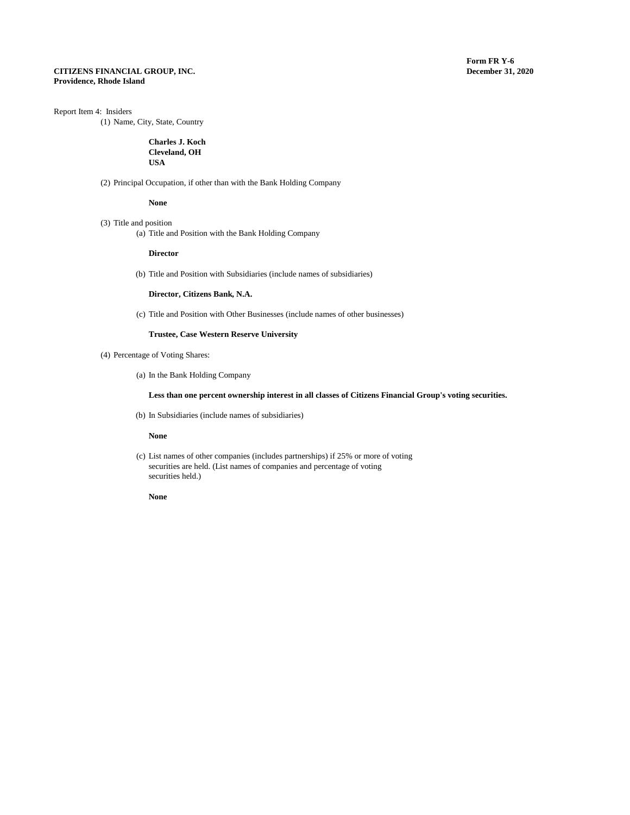### Report Item 4: Insiders

(1) Name, City, State, Country

# **Charles J. Koch Cleveland, OH USA**

(2) Principal Occupation, if other than with the Bank Holding Company

**None**

(3) Title and position (a) Title and Position with the Bank Holding Company

**Director**

(b) Title and Position with Subsidiaries (include names of subsidiaries)

**Director, Citizens Bank, N.A.**

(c) Title and Position with Other Businesses (include names of other businesses)

# **Trustee, Case Western Reserve University**

(4) Percentage of Voting Shares:

(a) In the Bank Holding Company

# **Less than one percent ownership interest in all classes of Citizens Financial Group's voting securities.**

(b) In Subsidiaries (include names of subsidiaries)

**None**

(c) List names of other companies (includes partnerships) if 25% or more of voting securities are held. (List names of companies and percentage of voting securities held.)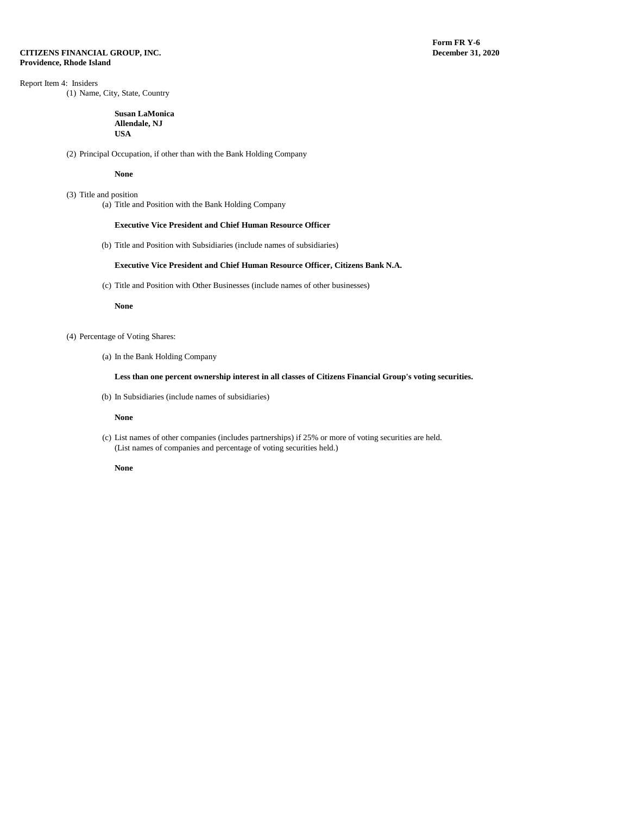**Form FR Y-6**<br>December 31, 2020

# Report Item 4: Insiders

(1) Name, City, State, Country

#### **Susan LaMonica Allendale, NJ USA**

(2) Principal Occupation, if other than with the Bank Holding Company

#### **None**

(3) Title and position (a) Title and Position with the Bank Holding Company

#### **Executive Vice President and Chief Human Resource Officer**

(b) Title and Position with Subsidiaries (include names of subsidiaries)

#### **Executive Vice President and Chief Human Resource Officer, Citizens Bank N.A.**

(c) Title and Position with Other Businesses (include names of other businesses)

#### **None**

- (4) Percentage of Voting Shares:
	- (a) In the Bank Holding Company

# **Less than one percent ownership interest in all classes of Citizens Financial Group's voting securities.**

(b) In Subsidiaries (include names of subsidiaries)

#### **None**

(c) List names of other companies (includes partnerships) if 25% or more of voting securities are held. (List names of companies and percentage of voting securities held.)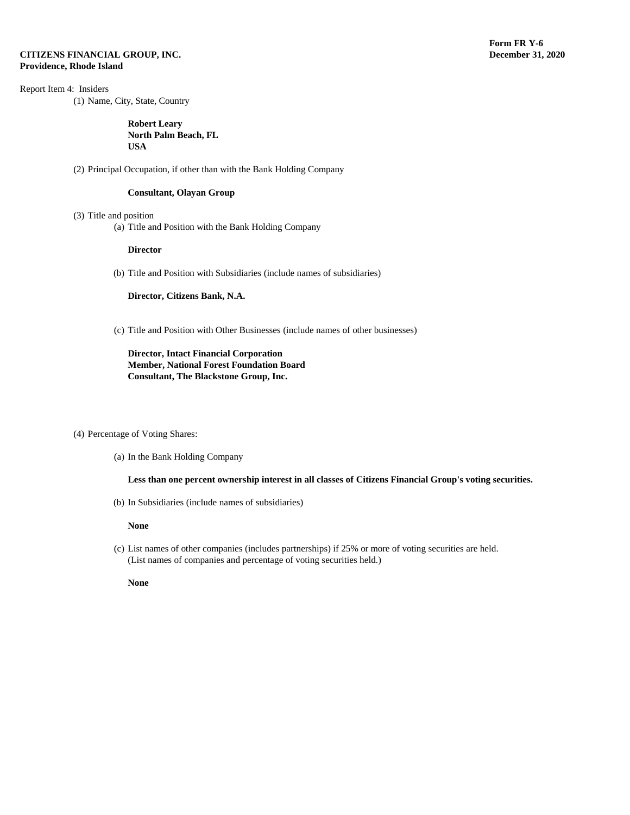Report Item 4: Insiders

(1) Name, City, State, Country

**Robert Leary North Palm Beach, FL USA**

(2) Principal Occupation, if other than with the Bank Holding Company

# **Consultant, Olayan Group**

- (3) Title and position
	- (a) Title and Position with the Bank Holding Company

#### **Director**

(b) Title and Position with Subsidiaries (include names of subsidiaries)

**Director, Citizens Bank, N.A.** 

(c) Title and Position with Other Businesses (include names of other businesses)

**Director, Intact Financial Corporation Member, National Forest Foundation Board Consultant, The Blackstone Group, Inc.**

### (4) Percentage of Voting Shares:

(a) In the Bank Holding Company

**Less than one percent ownership interest in all classes of Citizens Financial Group's voting securities.**

(b) In Subsidiaries (include names of subsidiaries)

# **None**

(c) List names of other companies (includes partnerships) if 25% or more of voting securities are held. (List names of companies and percentage of voting securities held.)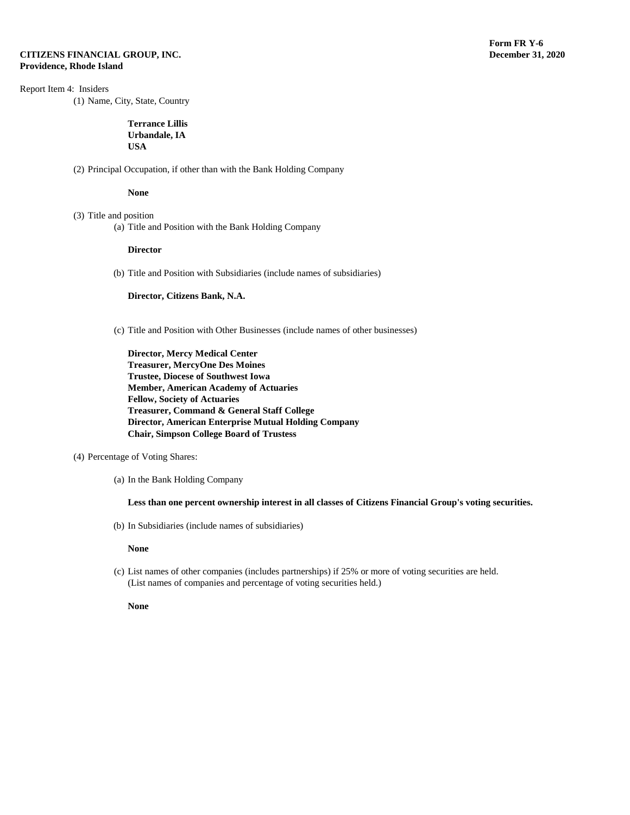# Report Item 4: Insiders

(1) Name, City, State, Country

**Terrance Lillis Urbandale, IA USA**

(2) Principal Occupation, if other than with the Bank Holding Company

**None**

- (3) Title and position
	- (a) Title and Position with the Bank Holding Company

#### **Director**

(b) Title and Position with Subsidiaries (include names of subsidiaries)

**Director, Citizens Bank, N.A.** 

(c) Title and Position with Other Businesses (include names of other businesses)

**Director, Mercy Medical Center Treasurer, MercyOne Des Moines Trustee, Diocese of Southwest Iowa Member, American Academy of Actuaries Fellow, Society of Actuaries Treasurer, Command & General Staff College Director, American Enterprise Mutual Holding Company Chair, Simpson College Board of Trustess**

- (4) Percentage of Voting Shares:
	- (a) In the Bank Holding Company

### **Less than one percent ownership interest in all classes of Citizens Financial Group's voting securities.**

(b) In Subsidiaries (include names of subsidiaries)

#### **None**

(c) List names of other companies (includes partnerships) if 25% or more of voting securities are held. (List names of companies and percentage of voting securities held.)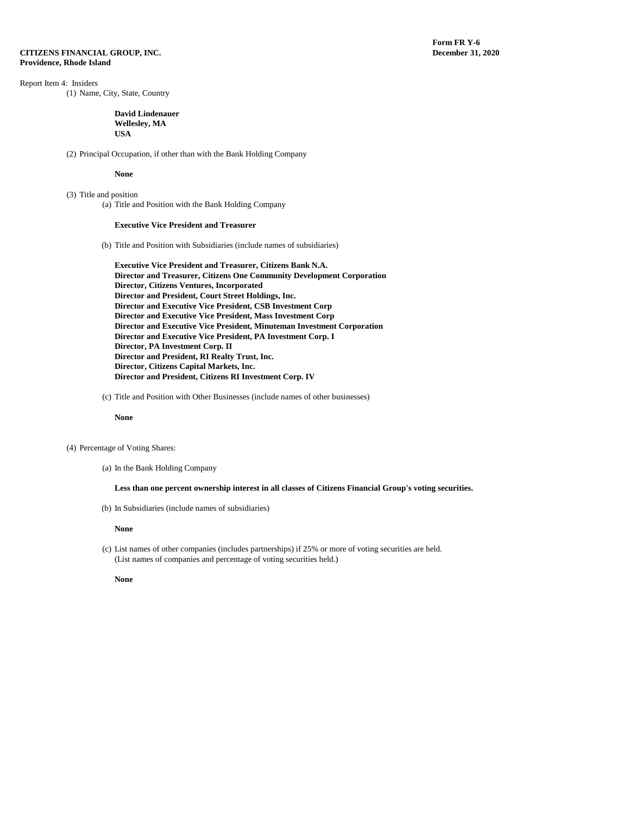**Form FR Y-6**<br>December 31, 2020

Report Item 4: Insiders

(1) Name, City, State, Country

#### **David Lindenauer Wellesley, MA USA**

(2) Principal Occupation, if other than with the Bank Holding Company

#### **None**

(3) Title and position (a) Title and Position with the Bank Holding Company

#### **Executive Vice President and Treasurer**

- (b) Title and Position with Subsidiaries (include names of subsidiaries)
	- **Executive Vice President and Treasurer, Citizens Bank N.A. Director and Treasurer, Citizens One Community Development Corporation Director, Citizens Ventures, Incorporated Director and President, Court Street Holdings, Inc. Director and Executive Vice President, CSB Investment Corp Director and Executive Vice President, Mass Investment Corp Director and Executive Vice President, Minuteman Investment Corporation Director and Executive Vice President, PA Investment Corp. I Director, PA Investment Corp. II Director and President, RI Realty Trust, Inc. Director, Citizens Capital Markets, Inc. Director and President, Citizens RI Investment Corp. IV**
- (c) Title and Position with Other Businesses (include names of other businesses)

#### **None**

- (4) Percentage of Voting Shares:
	- (a) In the Bank Holding Company

#### **Less than one percent ownership interest in all classes of Citizens Financial Group's voting securities.**

(b) In Subsidiaries (include names of subsidiaries)

#### **None**

(c) List names of other companies (includes partnerships) if 25% or more of voting securities are held. (List names of companies and percentage of voting securities held.)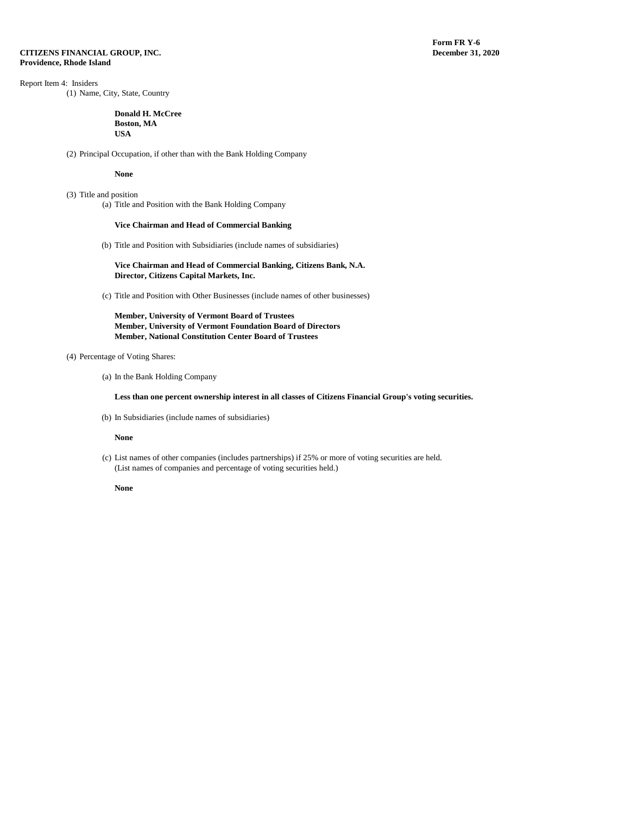**Form FR Y-6**<br>**December 31, 2020** 

# Report Item 4: Insiders

(1) Name, City, State, Country

#### **Donald H. McCree Boston, MA USA**

(2) Principal Occupation, if other than with the Bank Holding Company

#### **None**

(3) Title and position (a) Title and Position with the Bank Holding Company

#### **Vice Chairman and Head of Commercial Banking**

(b) Title and Position with Subsidiaries (include names of subsidiaries)

#### **Vice Chairman and Head of Commercial Banking, Citizens Bank, N.A. Director, Citizens Capital Markets, Inc.**

(c) Title and Position with Other Businesses (include names of other businesses)

# **Member, University of Vermont Board of Trustees Member, University of Vermont Foundation Board of Directors Member, National Constitution Center Board of Trustees**

# (4) Percentage of Voting Shares:

(a) In the Bank Holding Company

### **Less than one percent ownership interest in all classes of Citizens Financial Group's voting securities.**

(b) In Subsidiaries (include names of subsidiaries)

# **None**

(c) List names of other companies (includes partnerships) if 25% or more of voting securities are held. (List names of companies and percentage of voting securities held.)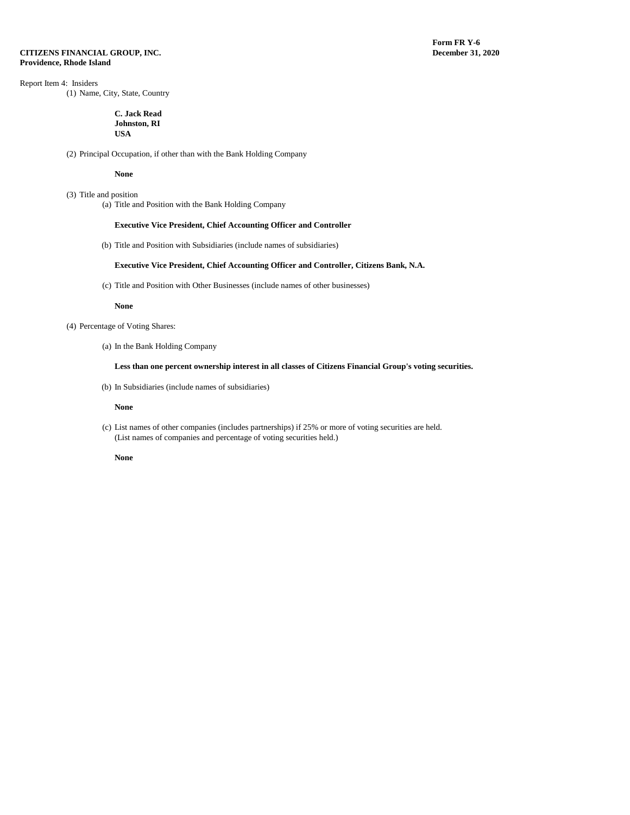# Report Item 4: Insiders

(1) Name, City, State, Country

#### **C. Jack Read Johnston, RI USA**

(2) Principal Occupation, if other than with the Bank Holding Company

#### **None**

(3) Title and position (a) Title and Position with the Bank Holding Company

### **Executive Vice President, Chief Accounting Officer and Controller**

(b) Title and Position with Subsidiaries (include names of subsidiaries)

#### **Executive Vice President, Chief Accounting Officer and Controller, Citizens Bank, N.A.**

(c) Title and Position with Other Businesses (include names of other businesses)

#### **None**

- (4) Percentage of Voting Shares:
	- (a) In the Bank Holding Company

### **Less than one percent ownership interest in all classes of Citizens Financial Group's voting securities.**

(b) In Subsidiaries (include names of subsidiaries)

#### **None**

(c) List names of other companies (includes partnerships) if 25% or more of voting securities are held. (List names of companies and percentage of voting securities held.)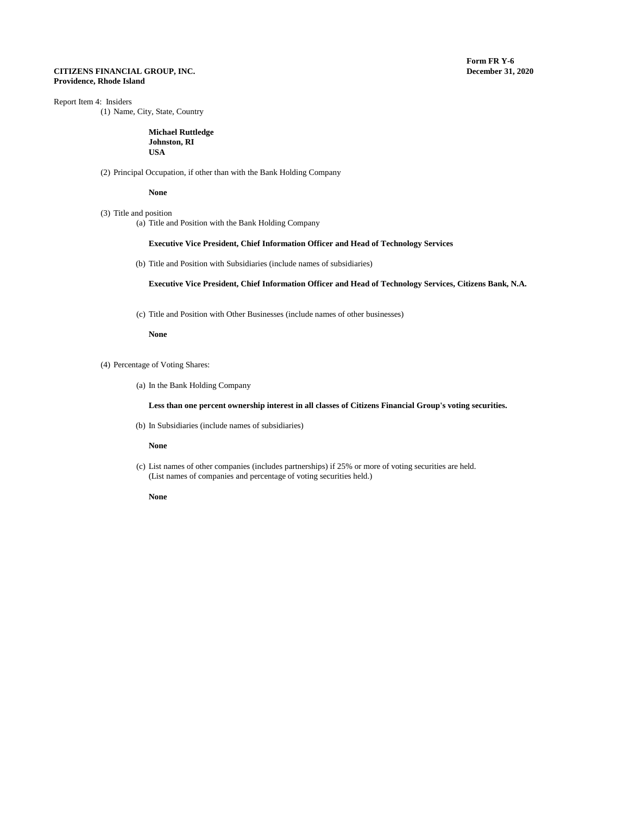# Report Item 4: Insiders

(1) Name, City, State, Country

**Michael Ruttledge Johnston, RI USA**

(2) Principal Occupation, if other than with the Bank Holding Company

**None**

### (3) Title and position

(a) Title and Position with the Bank Holding Company

# **Executive Vice President, Chief Information Officer and Head of Technology Services**

(b) Title and Position with Subsidiaries (include names of subsidiaries)

**Executive Vice President, Chief Information Officer and Head of Technology Services, Citizens Bank, N.A.**

(c) Title and Position with Other Businesses (include names of other businesses)

**None**

- (4) Percentage of Voting Shares:
	- (a) In the Bank Holding Company

**Less than one percent ownership interest in all classes of Citizens Financial Group's voting securities.**

(b) In Subsidiaries (include names of subsidiaries)

**None**

(c) List names of other companies (includes partnerships) if 25% or more of voting securities are held. (List names of companies and percentage of voting securities held.)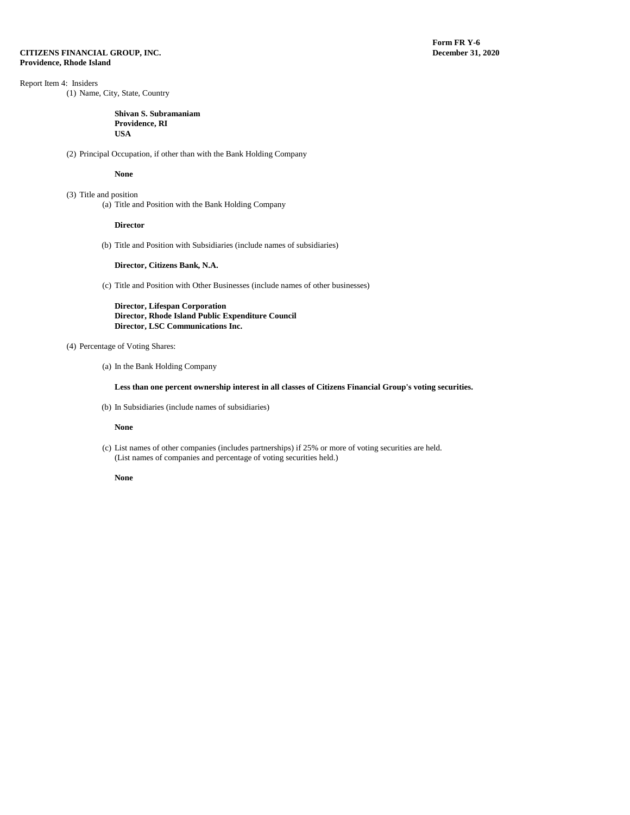# Report Item 4: Insiders

(1) Name, City, State, Country

#### **Shivan S. Subramaniam Providence, RI USA**

(2) Principal Occupation, if other than with the Bank Holding Company

#### **None**

(3) Title and position (a) Title and Position with the Bank Holding Company

#### **Director**

(b) Title and Position with Subsidiaries (include names of subsidiaries)

#### **Director, Citizens Bank, N.A.**

(c) Title and Position with Other Businesses (include names of other businesses)

**Director, Lifespan Corporation Director, Rhode Island Public Expenditure Council Director, LSC Communications Inc.**

# (4) Percentage of Voting Shares:

(a) In the Bank Holding Company

# **Less than one percent ownership interest in all classes of Citizens Financial Group's voting securities.**

(b) In Subsidiaries (include names of subsidiaries)

#### **None**

(c) List names of other companies (includes partnerships) if 25% or more of voting securities are held. (List names of companies and percentage of voting securities held.)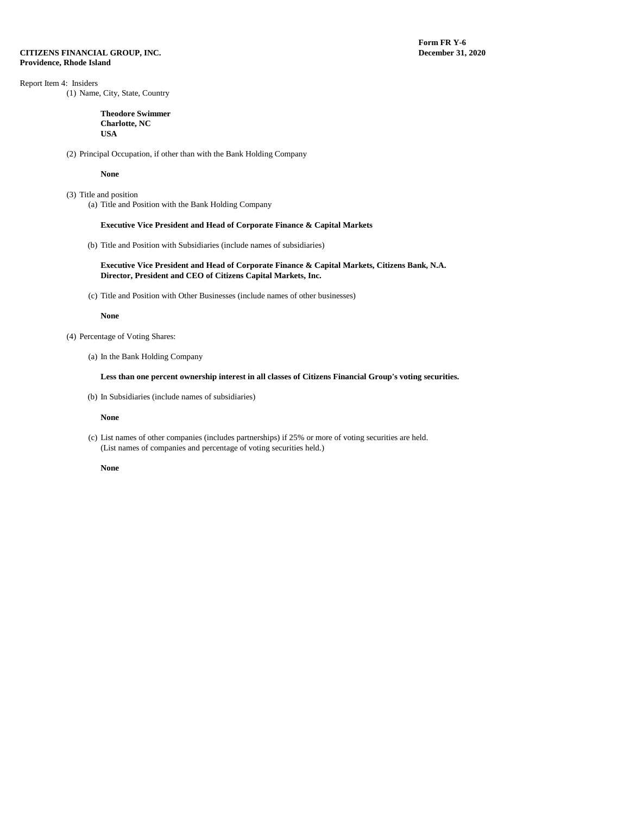**Form FR Y-6**<br>December 31, 2020

# Report Item 4: Insiders

(1) Name, City, State, Country

#### **Theodore Swimmer Charlotte, NC USA**

(2) Principal Occupation, if other than with the Bank Holding Company

#### **None**

- (3) Title and position
	- (a) Title and Position with the Bank Holding Company

#### **Executive Vice President and Head of Corporate Finance & Capital Markets**

(b) Title and Position with Subsidiaries (include names of subsidiaries)

#### **Executive Vice President and Head of Corporate Finance & Capital Markets, Citizens Bank, N.A. Director, President and CEO of Citizens Capital Markets, Inc.**

(c) Title and Position with Other Businesses (include names of other businesses)

#### **None**

- (4) Percentage of Voting Shares:
	- (a) In the Bank Holding Company

### **Less than one percent ownership interest in all classes of Citizens Financial Group's voting securities.**

(b) In Subsidiaries (include names of subsidiaries)

#### **None**

(c) List names of other companies (includes partnerships) if 25% or more of voting securities are held. (List names of companies and percentage of voting securities held.)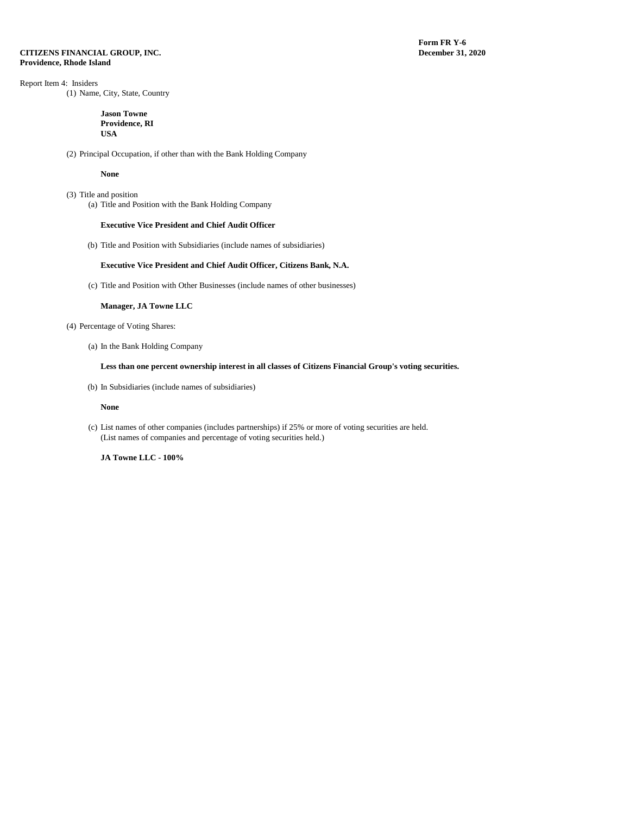**Form FR Y-6**<br>December 31, 2020

# Report Item 4: Insiders

(1) Name, City, State, Country

#### **Jason Towne Providence, RI USA**

(2) Principal Occupation, if other than with the Bank Holding Company

#### **None**

(3) Title and position (a) Title and Position with the Bank Holding Company

#### **Executive Vice President and Chief Audit Officer**

(b) Title and Position with Subsidiaries (include names of subsidiaries)

#### **Executive Vice President and Chief Audit Officer, Citizens Bank, N.A.**

(c) Title and Position with Other Businesses (include names of other businesses)

#### **Manager, JA Towne LLC**

- (4) Percentage of Voting Shares:
	- (a) In the Bank Holding Company

### **Less than one percent ownership interest in all classes of Citizens Financial Group's voting securities.**

(b) In Subsidiaries (include names of subsidiaries)

**None**

(c) List names of other companies (includes partnerships) if 25% or more of voting securities are held. (List names of companies and percentage of voting securities held.)

**JA Towne LLC - 100%**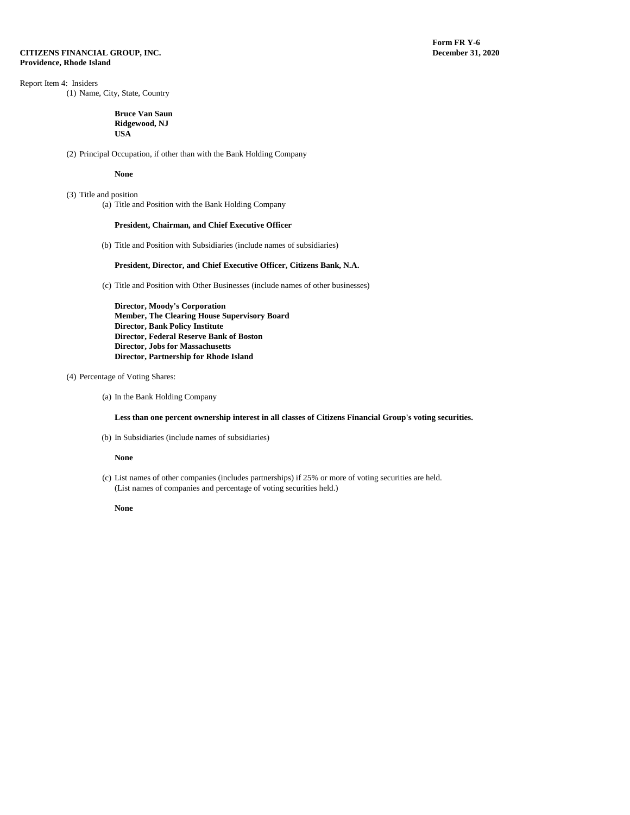**Form FR Y-6**<br>**December 31, 2020** 

# Report Item 4: Insiders

(1) Name, City, State, Country

#### **Bruce Van Saun Ridgewood, NJ USA**

(2) Principal Occupation, if other than with the Bank Holding Company

#### **None**

(3) Title and position (a) Title and Position with the Bank Holding Company

#### **President, Chairman, and Chief Executive Officer**

(b) Title and Position with Subsidiaries (include names of subsidiaries)

#### **President, Director, and Chief Executive Officer, Citizens Bank, N.A.**

(c) Title and Position with Other Businesses (include names of other businesses)

**Director, Moody's Corporation Member, The Clearing House Supervisory Board Director, Bank Policy Institute Director, Federal Reserve Bank of Boston Director, Jobs for Massachusetts Director, Partnership for Rhode Island**

# (4) Percentage of Voting Shares:

(a) In the Bank Holding Company

**Less than one percent ownership interest in all classes of Citizens Financial Group's voting securities.**

(b) In Subsidiaries (include names of subsidiaries)

#### **None**

(c) List names of other companies (includes partnerships) if 25% or more of voting securities are held. (List names of companies and percentage of voting securities held.)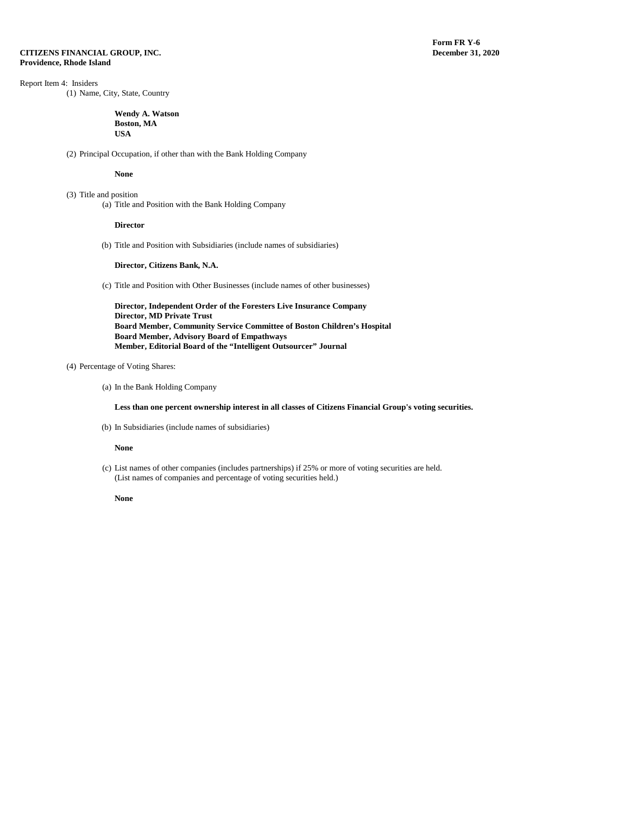# Report Item 4: Insiders

(1) Name, City, State, Country

#### **Wendy A. Watson Boston, MA USA**

(2) Principal Occupation, if other than with the Bank Holding Company

#### **None**

(3) Title and position (a) Title and Position with the Bank Holding Company

#### **Director**

(b) Title and Position with Subsidiaries (include names of subsidiaries)

#### **Director, Citizens Bank, N.A.**

(c) Title and Position with Other Businesses (include names of other businesses)

**Director, Independent Order of the Foresters Live Insurance Company Director, MD Private Trust Board Member, Community Service Committee of Boston Children's Hospital Board Member, Advisory Board of Empathways Member, Editorial Board of the "Intelligent Outsourcer" Journal** 

### (4) Percentage of Voting Shares:

(a) In the Bank Holding Company

**Less than one percent ownership interest in all classes of Citizens Financial Group's voting securities.**

(b) In Subsidiaries (include names of subsidiaries)

#### **None**

(c) List names of other companies (includes partnerships) if 25% or more of voting securities are held. (List names of companies and percentage of voting securities held.)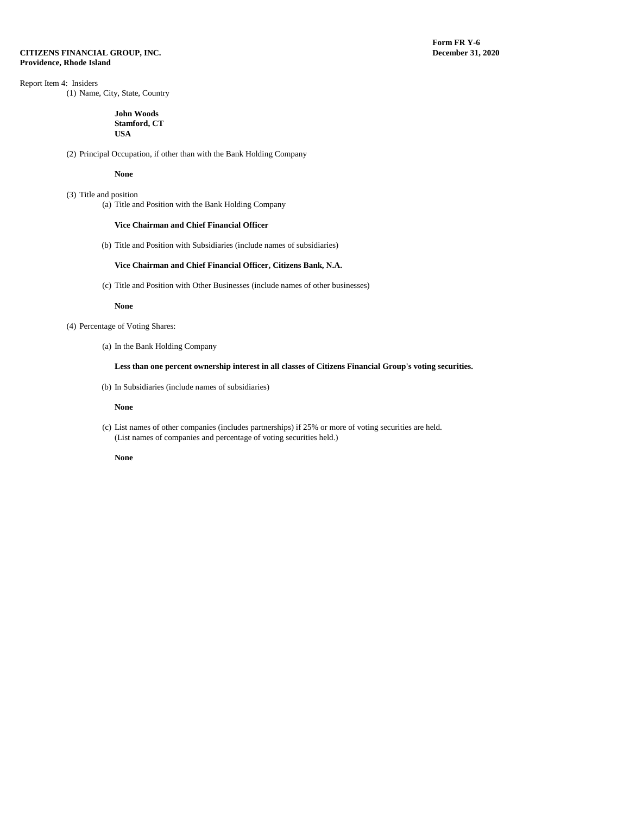# Report Item 4: Insiders

(1) Name, City, State, Country

#### **John Woods Stamford, CT USA**

(2) Principal Occupation, if other than with the Bank Holding Company

#### **None**

(3) Title and position (a) Title and Position with the Bank Holding Company

#### **Vice Chairman and Chief Financial Officer**

(b) Title and Position with Subsidiaries (include names of subsidiaries)

# **Vice Chairman and Chief Financial Officer, Citizens Bank, N.A.**

(c) Title and Position with Other Businesses (include names of other businesses)

#### **None**

- (4) Percentage of Voting Shares:
	- (a) In the Bank Holding Company

### **Less than one percent ownership interest in all classes of Citizens Financial Group's voting securities.**

(b) In Subsidiaries (include names of subsidiaries)

#### **None**

(c) List names of other companies (includes partnerships) if 25% or more of voting securities are held. (List names of companies and percentage of voting securities held.)